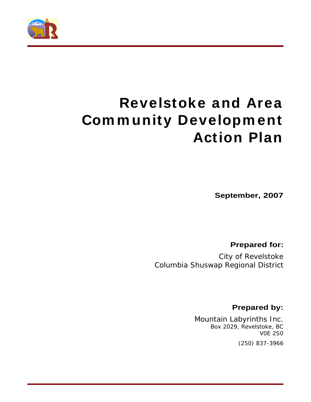

# **Revelstoke and Area Com m unity Developm ent Action Plan**

**September, 2007**

**Prepared for:** 

City of Revelstoke Columbia Shuswap Regional District

**Prepared by:**

Mountain Labyrinths Inc. Box 2029, Revelstoke, BC V0E 2S0

(250) 837-3966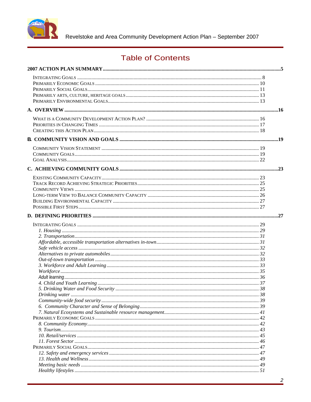

Revelstoke and Area Community Development Action Plan - September 2007

## **Table of Contents**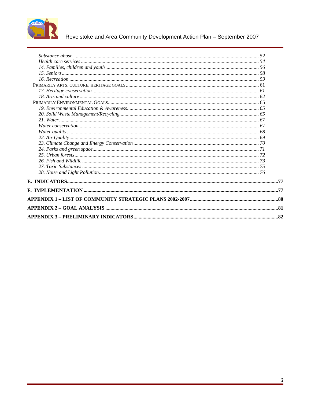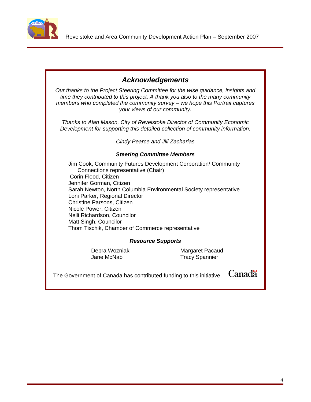

## **Acknowledgements**

Our thanks to the Project Steering Committee for the wise guidance, insights and time they contributed to this project. A thank you also to the many community members who completed the community survey – we hope this Portrait captures your views of our community.

Thanks to Alan Mason, City of Revelstoke Director of Community Economic Development for supporting this detailed collection of community information.

Cindy Pearce and Jill Zacharias

### **Steering Committee Members**

Jim Cook, Community Futures Development Corporation/ Community Connections representative (Chair) Corin Flood, Citizen Jennifer Gorman, Citizen Sarah Newton, North Columbia Environmental Society representative Loni Parker, Regional Director Christine Parsons, Citizen Nicole Power, Citizen Nelli Richardson, Councilor Matt Singh, Councilor Thom Tischik, Chamber of Commerce representative

#### **Resource Supports**

Debra Wozniak Margaret Pacaud Jane McNab Tracy Spannier

The Government of Canada has contributed funding to this initiative.  $\emph{Canada}$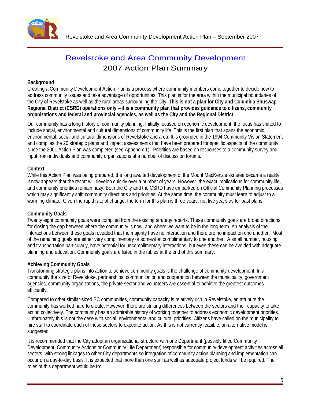

## Revelstoke and Area Community Development 2007 Action Plan Summary

#### **Background**

Creating a Community Development Action Plan is a process where community members come together to decide how to address community issues and take advantage of opportunities. This plan is for the area within the municipal boundaries of the City of Revelstoke as well as the rural areas surrounding the City. **This is not a plan for City and Columbia Shuswap Regional District (CSRD) operations only – it is a community plan that provides guidance to citizens, community**  organizations and federal and provincial agencies, as well as the City and the Regional District.<br>Our community has a long history of community planning. Initially focused on economic development, the focus has shifted to

include social, environmental and cultural dimensions of community life. This is the first plan that spans the economic, environmental, social and cultural dimensions of Revelstoke and area. It is grounded in the 1994 Community Vision Statement and compiles the 20 strategic plans and impact assessments that have been prepared for specific aspects of the community since the 2001 Action Plan was completed (see Appendix 1). Priorities are based on responses to a community survey and input from individuals and community organizations at a number of discussion forums.

#### **Context**

While this Action Plan was being prepared, the long awaited development of the Mount MacKenzie ski area became a reality. It now appears that the resort will develop quickly over a number of years. However, the exact implications for community life, and community priorities remain hazy. Both the City and the CSRD have embarked on Official Community Planning processes which may significantly shift community directions and priorities. At the same time, the community must learn to adjust to a warming climate. Given the rapid rate of change, the term for this plan is three years, not five years as for past plans.

#### **Community Goals**

Twenty eight community goals were compiled from the existing strategy reports. These community goals are broad directions for closing the gap between where the community is now, and where we want to be in the long-term. An analysis of the interactions between these goals revealed that the majority have no interaction and therefore no impact on one another. Most of the remaining goals are either very complimentary or somewhat complimentary to one another. A small number, housing and transportation particularly, have potential for uncomplimentary interactions, but even these can be avoided with adequate planning and education. Community goals are listed in the tables at the end of this summary.

#### **Achieving Community Goals**

Transforming strategic plans into action to achieve community goals is the challenge of community development. In a community the size of Revelstoke, partnerships, communication and cooperation between the municipality, government agencies, community organizations, the private sector and volunteers are essential to achieve the greatest outcomes efficiently.

Compared to other similar-sized BC communities, community capacity is relatively rich in Revelstoke, an attribute the community has worked hard to create. However, there are striking differences between the sectors and their capacity to take action collectively. The community has an admirable history of working together to address economic development priorities. Unfortunately this is not the case with social, environmental and cultural priorities. Citizens have called on the municipality to hire staff to coordinate each of these sectors to expedite action. As this is not currently feasible, an alternative model is suggested. The contract of the contract of the contract of the contract of the contract of the contract of the contract of the contract of the contract of the contract of the contract of the contract of the contract of the

It is recommended that the City adopt an organizational structure with one Department (possibly titled Community Development, Community Actions or Community Life Department) responsible for community development activities across all sectors, with strong linkages to other City departments so integration of community action planning and implementation can occur on a day-to-day basis. It is expected that more than one staff as well as adequate project funds will be required. The roles of this department would be to: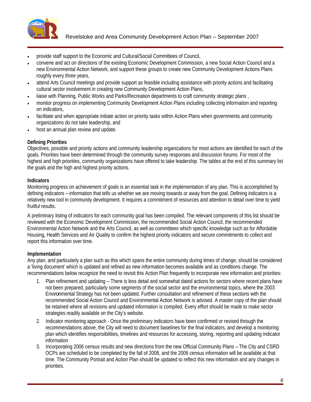

- provide staff support to the Economic and Cultural/Social Committees of Council,
- convene and act on directions of the existing Economic Development Commission, a new Social Action Council and a new Environmental Action Network, and support these groups to create new Community Development Actions Plans roughly every three years,
- attend Arts Council meetings and provide support as feasible including assistance with priority actions and facilitating cultural sector involvement in creating new Community Development Action Plans,
- liaise with Planning, Public Works and Parks/Recreation departments to craft community strategic plans ,
- monitor progress on implementing Community Development Action Plans including collecting information and reporting on indicators,
- facilitate and when appropriate initiate action on priority tasks within Action Plans when governments and community organizations do not take leadership, and
- host an annual plan review and update.

#### **Defining Priorities**

Objectives, possible and priority actions and community leadership organizations for most actions are identified for each of the goals. Priorities have been determined through the community survey responses and discussion forums. For most of the highest and high priorities, community organizations have offered to take leadership. The tables at the end of this summary list the goals and the high and highest priority actions.

#### **Indicators**

Monitoring progress on achievement of goals is an essential task in the implementation of any plan. This is accomplished by defining indicators – information that tells us whether we are moving towards or away from the goal. Defining indicators is a relatively new tool in community development. It requires a commitment of resources and attention to detail over time to yield fruitful results.

A preliminary listing of indicators for each community goal has been compiled. The relevant components of this list should be reviewed with the Economic Development Commission, the recommended Social Action Council, the recommended Environmental Action Network and the Arts Council, as well as committees which specific knowledge such as for Affordable Housing, Health Services and Air Quality to confirm the highest priority indicators and secure commitments to collect and report this information over time.

### **Implementation**

Any plan, and particularly a plan such as this which spans the entire community during times of change, should be considered a 'living document' which is updated and refined as new information becomes available and as conditions change. The recommendations below recognize the need to revisit this Action Plan frequently to incorporate new information and priorities:

- 1. Plan refinement and updating There is less detail and somewhat dated actions for sectors where recent plans have not been prepared, particularly some segments of the social sector and the environmental topics, where the 2003 Environmental Strategy has not been updated. Further consultation and refinement of these sections with the recommended Social Action Council and Environmental Action Network is advised. A master copy of the plan should be retained where all revisions and updated information is compiled. Every effort should be made to make sector strategies readily available on the City's website.
- 2. Indicator monitoring approach Once the preliminary indicators have been confirmed or revised through the recommendations above, the City will need to document baselines for the final indicators, and develop a monitoring plan which identifies responsibilities, timelines and resources for accessing, storing, reporting and updating indicator information
- 3. Incorporating 2006 census results and new directions from the new Official Community Plans –The City and CSRD OCPs are scheduled to be completed by the fall of 2008, and the 2006 census information will be available at that time. The Community Portrait and Action Plan should be updated to reflect this new information and any changes in priorities.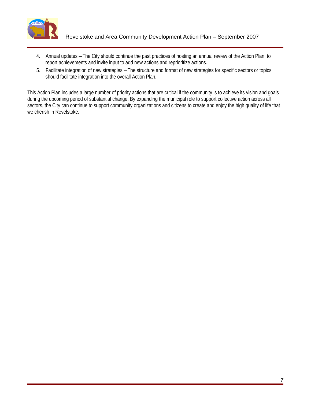

- 4. Annual updates The City should continue the past practices of hosting an annual review of the Action Plan to report achievements and invite input to add new actions and reprioritize actions.
- 5. Facilitate integration of new strategies The structure and format of new strategies for specific sectors or topics should facilitate integration into the overall Action Plan.

This Action Plan includes a large number of priority actions that are critical if the community is to achieve its vision and goals during the upcoming period of substantial change. By expanding the municipal role to support collective action across all sectors, the City can continue to support community organizations and citizens to create and enjoy the high quality of life that we cherish in Revelstoke.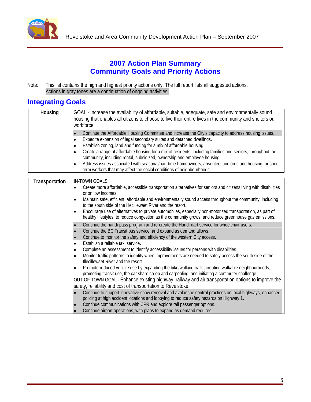

## **2007 Action Plan Summary Community Goals and Priority Actions**

Note: This list contains the high and highest priority actions only. The full report lists all suggested actions. Actions in gray tones are a continuation of ongoing activities.

## **Integrating Goals**

| <b>Housing</b>        | GOAL - Increase the availability of affordable, suitable, adequate, safe and environmentally sound                                                                                                     |
|-----------------------|--------------------------------------------------------------------------------------------------------------------------------------------------------------------------------------------------------|
|                       | housing that enables all citizens to choose to live their entire lives in the community and shelters our                                                                                               |
|                       | workforce.                                                                                                                                                                                             |
|                       |                                                                                                                                                                                                        |
|                       | Continue the Affordable Housing Committee and increase the City's capacity to address housing issues.                                                                                                  |
|                       | Expedite expansion of legal secondary suites and detached dwellings.                                                                                                                                   |
|                       | Establish zoning, land and funding for a mix of affordable housing.                                                                                                                                    |
|                       | Create a range of affordable housing for a mix of residents, including families and seniors, throughout the                                                                                            |
|                       | community, including rental, subsidized, ownership and employee housing.                                                                                                                               |
|                       | Address issues associated with seasonal/part-time homeowners, absentee landlords and housing for short-                                                                                                |
|                       | term workers that may affect the social conditions of neighbourhoods.                                                                                                                                  |
|                       |                                                                                                                                                                                                        |
| <b>Transportation</b> | <b>IN-TOWN GOALS</b>                                                                                                                                                                                   |
|                       | • Create more affordable, accessible transportation alternatives for seniors and citizens living with disabilities                                                                                     |
|                       | or on low incomes.                                                                                                                                                                                     |
|                       | Maintain safe, efficient, affordable and environmentally sound access throughout the community, including                                                                                              |
|                       | to the south side of the Illecillewaet River and the resort.                                                                                                                                           |
|                       | Encourage use of alternatives to private automobiles, especially non-motorized transportation, as part of                                                                                              |
|                       | healthy lifestyles, to reduce congestion as the community grows, and reduce greenhouse gas emissions.                                                                                                  |
|                       | Continue the handi-pass program and re-create the Handi-dart service for wheelchair users.                                                                                                             |
|                       | Continue the BC Transit bus service, and expand as demand allows.                                                                                                                                      |
|                       | Continue to monitor the safety and efficiency of the western City access.                                                                                                                              |
|                       | Establish a reliable taxi service.                                                                                                                                                                     |
|                       | Complete an assessment to identify accessibility issues for persons with disabilities.                                                                                                                 |
|                       | Monitor traffic patterns to identify when improvements are needed to safely access the south side of the                                                                                               |
|                       | Illecillewaet River and the resort.                                                                                                                                                                    |
|                       |                                                                                                                                                                                                        |
|                       | Promote reduced vehicle use by expanding the bike/walking trails; creating walkable neighbourhoods;<br>promoting transit use, the car share co-op and carpooling; and initiating a commuter challenge. |
|                       |                                                                                                                                                                                                        |
|                       | OUT-OF-TOWN GOAL - Enhance existing highway, railway and air transportation options to improve the                                                                                                     |
|                       | safety, reliability and cost of transportation to Revelstoke.                                                                                                                                          |
|                       | Continue to support innovative snow removal and avalanche control practices on local highways, enhanced                                                                                                |
|                       | policing at high accident locations and lobbying to reduce safety hazards on Highway 1.                                                                                                                |
|                       | Continue communications with CPR and explore rail passenger options.                                                                                                                                   |
|                       | Continue airport operations, with plans to expand as demand requires.                                                                                                                                  |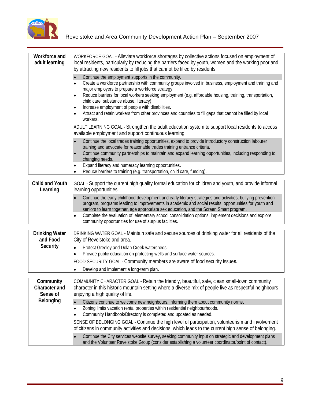

| <b>Workforce and</b><br>adult learning | WORKFORCE GOAL - Alleviate workforce shortages by collective actions focused on employment of<br>local residents, particularly by reducing the barriers faced by youth, women and the working poor and<br>by attracting new residents to fill jobs that cannot be filled by residents.                                           |
|----------------------------------------|----------------------------------------------------------------------------------------------------------------------------------------------------------------------------------------------------------------------------------------------------------------------------------------------------------------------------------|
|                                        | Continue the employment supports in the community.<br>Create a workforce partnership with community groups involved in business, employment and training and<br>major employers to prepare a workforce strategy.                                                                                                                 |
|                                        | Reduce barriers for local workers seeking employment (e.g. affordable housing, training, transportation,<br>child care, substance abuse, literacy).<br>Increase employment of people with disabilities.<br>Attract and retain workers from other provinces and countries to fill gaps that cannot be filled by local<br>workers. |
|                                        | ADULT LEARNING GOAL - Strengthen the adult education system to support local residents to access<br>available employment and support continuous learning.                                                                                                                                                                        |
|                                        | Continue the local trades training opportunities, expand to provide introductory construction labourer<br>training and advocate for reasonable trades training entrance criteria.<br>Continue community partnerships to maintain and expand learning opportunities, including responding to<br>changing needs.                   |
|                                        | Expand literacy and numeracy learning opportunities.<br>• Reduce barriers to training (e.g. transportation, child care, funding).                                                                                                                                                                                                |
| <b>Child and Youth</b><br>Learning     | GOAL - Support the current high quality formal education for children and youth, and provide informal<br>learning opportunities.                                                                                                                                                                                                 |
|                                        | Continue the early childhood development and early literacy strategies and activities, bullying prevention<br>program, programs leading to improvements in academic and social results, opportunities for youth and<br>seniors to learn together, age appropriate sex education, and the Screen Smart program.                   |
|                                        | Complete the evaluation of elementary school consolidation options, implement decisions and explore<br>community opportunities for use of surplus facilities.                                                                                                                                                                    |
| <b>Drinking Water</b><br>and Food      | DRINKING WATER GOAL - Maintain safe and secure sources of drinking water for all residents of the<br>City of Revelstoke and area.                                                                                                                                                                                                |
| <b>Security</b>                        | • Protect Greeley and Dolan Creek watersheds.<br>• Provide public education on protecting wells and surface water sources.                                                                                                                                                                                                       |
|                                        | FOOD SECURITY GOAL - Community members are aware of food security issues.<br>• Develop and implement a long-term plan.                                                                                                                                                                                                           |
| Community                              | COMMUNITY CHARACTER GOAL - Retain the friendly, beautiful, safe, clean small-town community                                                                                                                                                                                                                                      |
| <b>Character and</b><br>Sense of       | character in this historic mountain setting where a diverse mix of people live as respectful neighbours<br>enjoying a high quality of life.                                                                                                                                                                                      |
| <b>Belonging</b>                       | • Citizens continue to welcome new neighbours, informing them about community norms.<br>• Zoning limits vacation rental properties within residential neighbourhoods.<br>• Community Handbook/Directory is completed and updated as needed.                                                                                      |
|                                        | SENSE OF BELONGING GOAL - Continue the high level of participation, volunteerism and involvement<br>of citizens in community activities and decisions, which leads to the current high sense of belonging.                                                                                                                       |
|                                        | Continue the City services website survey, seeking community input on strategic and development plans<br>and the Volunteer Revelstoke Group (consider establishing a volunteer coordinator/point of contact).                                                                                                                    |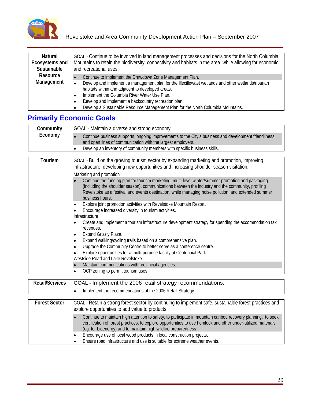

| <b>Natural</b>     | GOAL - Continue to be involved in land management processes and decisions for the North Columbia                                 |
|--------------------|----------------------------------------------------------------------------------------------------------------------------------|
|                    | <b>Ecosystems and</b>   Mountains to retain the biodiversity, connectivity and habitats in the area, while allowing for economic |
| <b>Sustainable</b> | and recreational uses.                                                                                                           |
| <b>Resource</b>    | Continue to implement the Drawdown Zone Management Plan.                                                                         |
| <b>Management</b>  | Develop and implement a management plan for the Illecillewaet wetlands and other wetlands/riparian                               |
|                    | habitats within and adjacent to developed areas.                                                                                 |
|                    | Implement the Columbia River Water Use Plan.                                                                                     |
|                    | Develop and implement a backcountry recreation plan.                                                                             |
|                    | Develop a Sustainable Resource Management Plan for the North Columbia Mountains.                                                 |

## **Primarily Economic Goals**

| Communit <sup>®</sup> | IL - Maintain a diverse and strong economy.                                                          |
|-----------------------|------------------------------------------------------------------------------------------------------|
| Economy               | Continue business supports, ongoing improvements to the City's business and development friendliness |
|                       | and open lines of communication with the largest employers.                                          |
|                       | Develop an inventory of community members with specific business skills.                             |

| Tourism | GOAL - Build on the growing tourism sector by expanding marketing and promotion, improving<br>infrastructure, developing new opportunities and increasing shoulder season visitation.                                                                                                                                              |  |  |  |
|---------|------------------------------------------------------------------------------------------------------------------------------------------------------------------------------------------------------------------------------------------------------------------------------------------------------------------------------------|--|--|--|
|         | Marketing and promotion                                                                                                                                                                                                                                                                                                            |  |  |  |
|         | Continue the funding plan for tourism marketing, multi-level winter/summer promotion and packaging<br>(including the shoulder season), communications between the industry and the community, profiling<br>Revelstoke as a festival and events destination, while managing noise pollution, and extended summer<br>business hours. |  |  |  |
|         | Explore joint promotion activities with Revelstoke Mountain Resort.                                                                                                                                                                                                                                                                |  |  |  |
|         | Encourage increased diversity in tourism activities.                                                                                                                                                                                                                                                                               |  |  |  |
|         | Infrastructure                                                                                                                                                                                                                                                                                                                     |  |  |  |
|         | • Create and implement a tourism infrastructure development strategy for spending the accommodation tax<br>revenues.                                                                                                                                                                                                               |  |  |  |
|         | Extend Grizzly Plaza.                                                                                                                                                                                                                                                                                                              |  |  |  |
|         | Expand walking/cycling trails based on a comprehensive plan.                                                                                                                                                                                                                                                                       |  |  |  |
|         | Upgrade the Community Centre to better serve as a conference centre.                                                                                                                                                                                                                                                               |  |  |  |
|         | Explore opportunities for a multi-purpose facility at Centennial Park.                                                                                                                                                                                                                                                             |  |  |  |
|         | Westside Road and Lake Revelstoke                                                                                                                                                                                                                                                                                                  |  |  |  |
|         | • Maintain communications with provincial agencies.                                                                                                                                                                                                                                                                                |  |  |  |
|         | • OCP zoning to permit tourism uses.                                                                                                                                                                                                                                                                                               |  |  |  |

| <b>Retail/Services</b> | GOAL - Implement the 2006 retail strategy recommendations.                                                                                                                                                                                                                                       |
|------------------------|--------------------------------------------------------------------------------------------------------------------------------------------------------------------------------------------------------------------------------------------------------------------------------------------------|
|                        | Implement the recommendations of the 2006 Retail Strategy.                                                                                                                                                                                                                                       |
|                        |                                                                                                                                                                                                                                                                                                  |
| <b>Forest Sector</b>   | GOAL - Retain a strong forest sector by continuing to implement safe, sustainable forest practices and<br>explore opportunities to add value to products.                                                                                                                                        |
|                        | Continue to maintain high attention to safety, to participate in mountain caribou recovery planning, to seek<br>certification of forest practices, to explore opportunities to use hemlock and other under-utilized materials<br>(eg. for bioenergy) and to maintain high wildfire preparedness. |
|                        | Encourage use of local wood products in local construction projects.                                                                                                                                                                                                                             |
|                        | Ensure road infrastructure and use is suitable for extreme weather events.                                                                                                                                                                                                                       |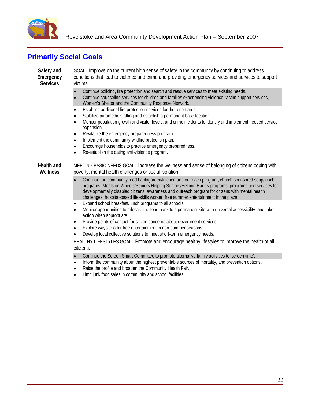

## **Primarily Social Goals**

| <b>Safety and</b> | GOAL - Improve on the current high sense of safety in the community by continuing to address               |
|-------------------|------------------------------------------------------------------------------------------------------------|
| <b>Emergency</b>  | conditions that lead to violence and crime and providing emergency services and services to support        |
| <b>Services</b>   | victims.                                                                                                   |
|                   | Continue policing, fire protection and search and rescue services to meet existing needs.                  |
|                   | Continue counseling services for children and families experiencing violence, victim support services,     |
|                   | Women's Shelter and the Community Response Network.                                                        |
|                   | Establish additional fire protection services for the resort area.                                         |
|                   | Stabilize paramedic staffing and establish a permanent base location.                                      |
|                   | Monitor population growth and visitor levels, and crime incidents to identify and implement needed service |
|                   | expansion.                                                                                                 |
|                   | Revitalize the emergency preparedness program.                                                             |
|                   | Implement the community wildfire protection plan.                                                          |
|                   | Encourage households to practice emergency preparedness.                                                   |
|                   | Re-establish the dating anti-violence program.                                                             |

| <b>Health and</b><br>Wellness | MEETING BASIC NEEDS GOAL - Increase the wellness and sense of belonging of citizens coping with<br>poverty, mental health challenges or social isolation.                                                                                                                                                                                                                                                                  |
|-------------------------------|----------------------------------------------------------------------------------------------------------------------------------------------------------------------------------------------------------------------------------------------------------------------------------------------------------------------------------------------------------------------------------------------------------------------------|
|                               | Continue the community food bank/garden/kitchen and outreach program, church sponsored soup/lunch<br>programs, Meals on Wheels/Seniors Helping Seniors/Helping Hands programs, programs and services for<br>developmentally disabled citizens, awareness and outreach program for citizens with mental health<br>challenges, hospital-based life-skills worker, free summer entertainment in the plaza.                    |
|                               | Expand school breakfast/lunch programs to all schools.<br>Monitor opportunities to relocate the food bank to a permanent site with universal accessibility, and take<br>action when appropriate.<br>Provide points of contact for citizen concerns about government services.<br>Explore ways to offer free entertainment in non-summer seasons.<br>Develop local collective solutions to meet short-term emergency needs. |
|                               | HEALTHY LIFESTYLES GOAL - Promote and encourage healthy lifestyles to improve the health of all<br>citizens.                                                                                                                                                                                                                                                                                                               |
|                               | Continue the Screen Smart Committee to promote alternative family activities to 'screen time'.<br>Inform the community about the highest preventable sources of mortality, and prevention options.<br>Raise the profile and broaden the Community Health Fair.<br>Limit junk food sales in community and school facilities.                                                                                                |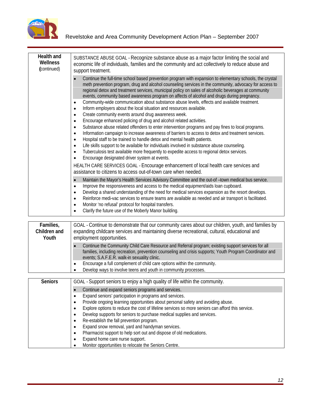

| <b>Health and</b><br>Wellness<br>(continued) | SUBSTANCE ABUSE GOAL - Recognize substance abuse as a major factor limiting the social and<br>economic life of individuals, families and the community and act collectively to reduce abuse and<br>support treatment.                                                                                                                                                                                                                                                                                                   |
|----------------------------------------------|-------------------------------------------------------------------------------------------------------------------------------------------------------------------------------------------------------------------------------------------------------------------------------------------------------------------------------------------------------------------------------------------------------------------------------------------------------------------------------------------------------------------------|
|                                              | Continue the full-time school based prevention program with expansion to elementary schools, the crystal<br>meth prevention program, drug and alcohol counseling services in the community, advocacy for access to<br>regional detox and treatment services, municipal policy on sales of alcoholic beverages at community<br>events, community based awareness program on affects of alcohol and drugs during pregnancy.                                                                                               |
|                                              | Community-wide communication about substance abuse levels, effects and available treatment.<br>Inform employers about the local situation and resources available.<br>Create community events around drug awareness week.<br>Encourage enhanced policing of drug and alcohol related activities.                                                                                                                                                                                                                        |
|                                              | Substance abuse related offenders to enter intervention programs and pay fines to local programs.<br>Information campaign to increase awareness of barriers to access to detox and treatment services.<br>Hospital staff to be trained to handle detox and mental health patients.<br>Life skills support to be available for individuals involved in substance abuse counseling.<br>Tuberculosis test available more frequently to expedite access to regional detox services.                                         |
|                                              | Encourage designated driver system at events.<br>HEALTH CARE SERVICES GOAL - Encourage enhancement of local health care services and<br>assistance to citizens to access out-of-town care when needed.                                                                                                                                                                                                                                                                                                                  |
|                                              | Maintain the Mayor's Health Services Advisory Committee and the out-of -town medical bus service.<br>Improve the responsiveness and access to the medical equipment/aids loan cupboard.<br>Develop a shared understanding of the need for medical services expansion as the resort develops.<br>Reinforce medi-vac services to ensure teams are available as needed and air transport is facilitated.<br>Monitor 'no refusal' protocol for hospital transfers.<br>Clarify the future use of the Moberly Manor building. |

| Families,<br><b>Children and</b><br>Youth | GOAL - Continue to demonstrate that our community cares about our children, youth, and families by So<br>expanding childcare services and maintaining diverse recreational, cultural, educational and<br>employment opportunities.                             |
|-------------------------------------------|----------------------------------------------------------------------------------------------------------------------------------------------------------------------------------------------------------------------------------------------------------------|
|                                           | Continue the Community Child Care Resource and Referral program; existing support services for all<br>families, including recreation, prevention counseling and crisis supports; Youth Program Coordinator and<br>events; S.A.F.E.R. walk-in sexuality clinic. |
|                                           | Encourage a full complement of child care options within the community.<br>Develop ways to involve teens and youth in community processes.                                                                                                                     |
| <b>Seniors</b>                            | GOAL - Support seniors to enjoy a high quality of life within the community.                                                                                                                                                                                   |

| <b>Seniors</b> | GOAL - Support seniors to enjoy a high quality of life within the community.                     |
|----------------|--------------------------------------------------------------------------------------------------|
|                | Continue and expand seniors programs and services.                                               |
|                | Expand seniors' participation in programs and services.                                          |
|                | Provide ongoing learning opportunities about personal safety and avoiding abuse.                 |
|                | Explore options to reduce the cost of lifeline services so more seniors can afford this service. |
|                | Develop supports for seniors to purchase medical supplies and services.                          |
|                | Re-establish the fall prevention program.                                                        |
|                | Expand snow removal, yard and handyman services.                                                 |
|                | Pharmacist support to help sort out and dispose of old medications.                              |
|                | Expand home care nurse support.                                                                  |
|                | Monitor opportunities to relocate the Seniors Centre.                                            |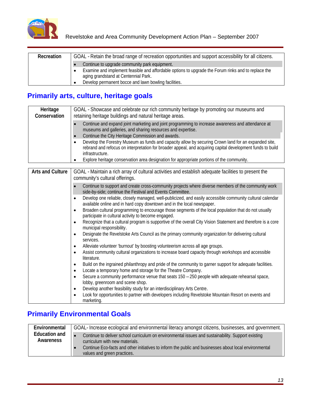

| Recreation   GOAL - Retain the broad range of recreation opportunities and support accessibility for all citizens. |
|--------------------------------------------------------------------------------------------------------------------|
| $\bullet$ Continue to upgrade community park equipment.                                                            |
| Examine and implement feasible and affordable options to upgrade the Forum rinks and to replace the                |
| aging grandstand at Centennial Park.                                                                               |
| • Develop permanent bocce and lawn bowling facilities.                                                             |

## **Primarily arts, culture, heritage goals**

| Heritage<br><b>Conservation</b> | GOAL - Showcase and celebrate our rich community heritage by promoting our museums and<br>retaining heritage buildings and natural heritage areas.                                                                                                                                                                                 |
|---------------------------------|------------------------------------------------------------------------------------------------------------------------------------------------------------------------------------------------------------------------------------------------------------------------------------------------------------------------------------|
|                                 | Continue and expand joint marketing and joint programming to increase awareness and attendance at<br>museums and galleries, and sharing resources and expertise.<br>Continue the City Heritage Commission and awards.                                                                                                              |
|                                 | Develop the Forestry Museum as funds and capacity allow by securing Crown land for an expanded site,<br>rebrand and refocus on interpretation for broader appeal, and acquiring capital development funds to build<br>infrastructure.<br>Explore heritage conservation area designation for appropriate portions of the community. |

| <b>Arts and Culture</b> | GOAL - Maintain a rich array of cultural activities and establish adequate facilities to present the<br>community's cultural offerings.                                                             |
|-------------------------|-----------------------------------------------------------------------------------------------------------------------------------------------------------------------------------------------------|
|                         | Continue to support and create cross-community projects where diverse members of the community work<br>side-by-side; continue the Festival and Events Committee.                                    |
|                         | Develop one reliable, closely managed, well-publicized, and easily accessible community cultural calendar<br>available online and in hard copy downtown and in the local newspaper.                 |
|                         | Broaden cultural programming to encourage those segments of the local population that do not usually<br>participate in cultural activity to become engaged.                                         |
|                         | Recognize that a cultural program is supportive of the overall City Vision Statement and therefore is a core<br>municipal responsibility.                                                           |
|                         | Designate the Revelstoke Arts Council as the primary community organization for delivering cultural<br>services.                                                                                    |
|                         | Alleviate volunteer 'burnout' by boosting volunteerism across all age groups.<br>Assist community cultural organizations to increase board capacity through workshops and accessible<br>literature. |
|                         | Build on the ingrained philanthropy and pride of the community to garner support for adequate facilities.<br>Locate a temporary home and storage for the Theatre Company.                           |
|                         | Secure a community performance venue that seats $150 - 250$ people with adequate rehearsal space,<br>lobby, greenroom and scene shop.                                                               |
|                         | Develop another feasibility study for an interdisciplinary Arts Centre.<br>Look for opportunities to partner with developers including Revelstoke Mountain Resort on events and<br>marketing.       |

## **Primarily Environmental Goals**

| <b>Environmental</b>                     | GOAL- Increase ecological and environmental literacy amongst citizens, businesses, and government. '                                  |
|------------------------------------------|---------------------------------------------------------------------------------------------------------------------------------------|
| <b>Education and</b><br><b>Awareness</b> | Continue to deliver school curriculum on environmental issues and sustainability. Support existing<br>curriculum with new materials.  |
|                                          | Continue Eco-facts and other initiatives to inform the public and businesses about local environmental<br>values and green practices. |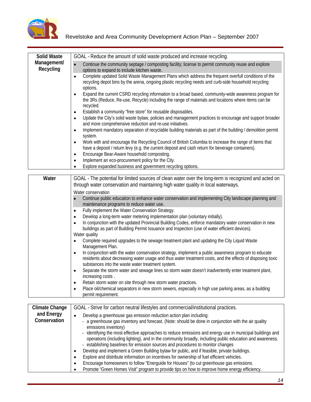

| <b>Solid Waste</b>       | GOAL - Reduce the amount of solid waste produced and increase recycling.                                                                                                                                                  |
|--------------------------|---------------------------------------------------------------------------------------------------------------------------------------------------------------------------------------------------------------------------|
| Management/<br>Recycling | Continue the community septage / composting facility; license to permit community reuse and explore<br>options to expand to include kitchen waste.                                                                        |
|                          | • Complete updated Solid Waste Management Plans which address the frequent overfull conditions of the<br>recycling depot bins by the arena, ongoing plastic recycling needs and curb-side household recycling<br>options. |
|                          | Expand the current CSRD recycling information to a broad based, community-wide awareness program for<br>the 3Rs (Reduce, Re-use, Recycle) including the range of materials and locations where items can be<br>recycled.  |
|                          | Establish a community "free store" for reusable disposables.                                                                                                                                                              |
|                          | Update the City's solid waste bylaw, policies and management practices to encourage and support broader<br>and more comprehensive reduction and re-use initiatives.                                                       |
|                          | Implement mandatory separation of recyclable building materials as part of the building / demolition permit<br>system                                                                                                     |
|                          | • Work with and encourage the Recycling Council of British Columbia to increase the range of items that<br>have a deposit / return levy (e.g. the current deposit and cash return for beverage containers).               |
|                          | Encourage Bear-Aware household composting.                                                                                                                                                                                |
|                          | Implement an eco-procurement policy for the City.                                                                                                                                                                         |
|                          | • Explore expanded business and government recycling options.                                                                                                                                                             |

| Water                             | GOAL - The potential for limited sources of clean water over the long-term is recognized and acted on<br>through water conservation and maintaining high water quality in local waterways.                                                                                                                                                                                                                                                                                                                                                                                                                                                                                                                                                                                                          |
|-----------------------------------|-----------------------------------------------------------------------------------------------------------------------------------------------------------------------------------------------------------------------------------------------------------------------------------------------------------------------------------------------------------------------------------------------------------------------------------------------------------------------------------------------------------------------------------------------------------------------------------------------------------------------------------------------------------------------------------------------------------------------------------------------------------------------------------------------------|
|                                   | Water conservation                                                                                                                                                                                                                                                                                                                                                                                                                                                                                                                                                                                                                                                                                                                                                                                  |
|                                   | Continue public education to enhance water conservation and implementing City landscape planning and<br>maintenance programs to reduce water use.                                                                                                                                                                                                                                                                                                                                                                                                                                                                                                                                                                                                                                                   |
|                                   | Fully implement the Water Conservation Strategy.                                                                                                                                                                                                                                                                                                                                                                                                                                                                                                                                                                                                                                                                                                                                                    |
|                                   | Develop a long-term water metering implementation plan (voluntary initially).                                                                                                                                                                                                                                                                                                                                                                                                                                                                                                                                                                                                                                                                                                                       |
|                                   | • In conjunction with the updated Provincial Building Codes, enforce mandatory water conservation in new<br>buildings as part of Building Permit Issuance and Inspection (use of water efficient devices).                                                                                                                                                                                                                                                                                                                                                                                                                                                                                                                                                                                          |
|                                   | Water quality                                                                                                                                                                                                                                                                                                                                                                                                                                                                                                                                                                                                                                                                                                                                                                                       |
|                                   | • Complete required upgrades to the sewage treatment plant and updating the City Liquid Waste<br>Management Plan.                                                                                                                                                                                                                                                                                                                                                                                                                                                                                                                                                                                                                                                                                   |
|                                   | In conjunction with the water conservation strategy, implement a public awareness program to educate<br>residents about decreasing water usage and thus water treatment costs, and the effects of disposing toxic<br>substances into the waste water treatment system.                                                                                                                                                                                                                                                                                                                                                                                                                                                                                                                              |
|                                   | Separate the storm water and sewage lines so storm water doesn't inadvertently enter treatment plant,<br>increasing costs.                                                                                                                                                                                                                                                                                                                                                                                                                                                                                                                                                                                                                                                                          |
|                                   | Retain storm water on site through new storm water practices.                                                                                                                                                                                                                                                                                                                                                                                                                                                                                                                                                                                                                                                                                                                                       |
|                                   | Place oil/chemical separators in new storm sewers, especially in high use parking areas, as a building<br>permit requirement.                                                                                                                                                                                                                                                                                                                                                                                                                                                                                                                                                                                                                                                                       |
| <b>Climate Change</b>             | GOAL - Strive for carbon neutral lifestyles and commercial/institutional practices.                                                                                                                                                                                                                                                                                                                                                                                                                                                                                                                                                                                                                                                                                                                 |
| and Energy<br><b>Conservation</b> | Develop a greenhouse gas emission reduction action plan including:<br>- a greenhouse gas inventory and forecast. (Note: should be done in conjunction with the air quality<br>emissions inventory)<br>identifying the most effective approaches to reduce emissions and energy use in municipal buildings and<br>operations (including lighting), and in the community broadly, including public education and awareness.<br>establishing baselines for emission sources and procedures to monitor changes<br>Develop and implement a Green Building bylaw for public, and if feasible, private buildings.<br>Explore and distribute information on incentives for ownership of fuel efficient vehicles.<br>Encourage homeowners to follow "Energuide for Houses" (to cut greenhouse gas emissions. |

Promote "Green Homes Visit" program to provide tips on how to improve home energy efficiency.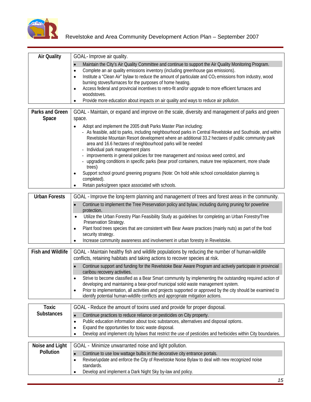

| <b>Air Quality</b>     | GOAL- Improve air quality.                                                                                          |
|------------------------|---------------------------------------------------------------------------------------------------------------------|
|                        | • Maintain the City's Air Quality Committee and continue to support the Air Quality Monitoring Program.             |
|                        | Complete an air quality emissions inventory (including greenhouse gas emissions).                                   |
|                        | Institute a "Clean Air" bylaw to reduce the amount of particulate and CO <sub>2</sub> emissions from industry, wood |
|                        | burning stoves/furnaces for the purposes of home heating.                                                           |
|                        | Access federal and provincial incentives to retro-fit and/or upgrade to more efficient furnaces and                 |
|                        | woodstoves.                                                                                                         |
|                        | • Provide more education about impacts on air quality and ways to reduce air pollution.                             |
| <b>Parks and Green</b> | GOAL - Maintain, or expand and improve on the scale, diversity and management of parks and green                    |
| Space                  | space.                                                                                                              |
|                        | Adopt and implement the 2005 draft Parks Master Plan including:                                                     |
|                        | - As feasible, add to parks, including neighbourhood parks in Central Revelstoke and Southside, and within          |
|                        | Revelstoke Mountain Resort development where an additional 33.2 hectares of public community park                   |
|                        | area and 16.6 hectares of neighbourhood parks will be needed                                                        |
|                        | - Individual park management plans                                                                                  |
|                        | - improvements in general policies for tree management and noxious weed control, and                                |
|                        | upgrading conditions in specific parks (bear proof containers, mature tree replacement, more shade<br>trees)        |
|                        | Support school ground greening programs (Note: On hold while school consolidation planning is                       |
|                        | completed).                                                                                                         |
|                        | • Retain parks/green space associated with schools.                                                                 |
| <b>Urban Forests</b>   |                                                                                                                     |
|                        | GOAL - Improve the long-term planning and management of trees and forest areas in the community.                    |
|                        | Continue to implement the Tree Preservation policy and bylaw, including during pruning for powerline<br>protection. |
|                        | • Utilize the Urban Forestry Plan Feasibility Study as guidelines for completing an Urban Forestry/Tree             |
|                        | Preservation Strategy.                                                                                              |
|                        | Plant food trees species that are consistent with Bear Aware practices (mainly nuts) as part of the food            |
|                        | security strategy.                                                                                                  |
|                        | • Increase community awareness and involvement in urban forestry in Revelstoke.                                     |
|                        | Fish and Wildlife   GOAL - Maintain healthy fish and wildlife populations by reducing the number of human-wildlife  |
|                        | conflicts, retaining habitats and taking actions to recover species at risk.                                        |
|                        | Continue support and funding for the Revelstoke Bear Aware Program and actively participate in provincial           |
|                        | caribou recovery activities.                                                                                        |
|                        | Strive to become classified as a Bear Smart community by implementing the outstanding required action of            |
|                        | developing and maintaining a bear-proof municipal solid waste management system.                                    |
|                        | Prior to implementation, all activities and projects supported or approved by the city should be examined to        |
|                        | identify potential human-wildlife conflicts and appropriate mitigation actions.                                     |
| Toxic                  | GOAL - Reduce the amount of toxins used and provide for proper disposal.                                            |
| <b>Substances</b>      | Continue practices to reduce reliance on pesticides on City property.                                               |
|                        | • Public education information about toxic substances, alternatives and disposal options.                           |
|                        | Expand the opportunities for toxic waste disposal.                                                                  |
|                        | • Develop and implement city bylaws that restrict the use of pesticides and herbicides within City boundaries.      |
|                        |                                                                                                                     |
|                        | <b>Noise and Light</b>   GOAL - Minimize unwarranted noise and light pollution.                                     |
| <b>Pollution</b>       | Continue to use low wattage bulbs in the decorative city entrance portals.                                          |
|                        | Revise/update and enforce the City of Revelstoke Noise Bylaw to deal with new recognized noise                      |
|                        | standards.                                                                                                          |
|                        | • Develop and implement a Dark Night Sky by-law and policy.                                                         |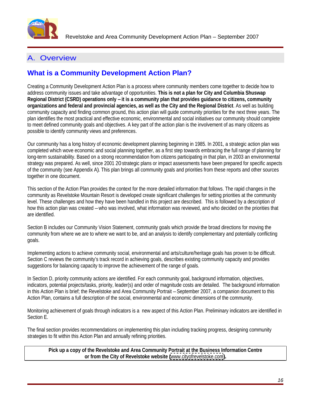

## A. Overview

## **What is a Community Development Action Plan?**

Creating a Community Development Action Plan is a process where community members come together to decide how to address community issues and take advantage of opportunities. **This is not a plan for City and Columbia Shuswap Regional District (CSRD) operations only – it is a community plan that provides guidance to citizens, community organizations and federal and provincial agencies, as well as the City and the Regional District**. As well as building community capacity and finding common ground, this action plan will guide community priorities for the next three years. The plan identifies the most practical and effective economic, environmental and social initiatives our community should complete to meet defined community goals and objectives. A key part of the action plan is the involvement of as many citizens as possible to identify community views and preferences.

Our community has a long history of economic development planning beginning in 1985. In 2001, a strategic action plan was completed which wove economic and social planning together, as a first step towards embracing the full range of planning for long-term sustainability. Based on a strong recommendation from citizens participating in that plan, in 2003 an environmental strategy was prepared. As well, since 2001 20 strategic plans or impact assessments have been prepared for specific aspects of the community (see Appendix A). This plan brings all community goals and priorities from these reports and other sources together in one document.

This section of the Action Plan provides the context for the more detailed information that follows. The rapid changes in the community as Revelstoke Mountain Resort is developed create significant challenges for setting priorities at the community level. These challenges and how they have been handled in this project are described. This is followed by a description of how this action plan was created – who was involved, what information was reviewed, and who decided on the priorities that are identified.

Section B includes our Community Vision Statement, community goals which provide the broad directions for moving the community from where we are to where we want to be, and an analysis to identify complementary and potentially conflicting goals.

Implementing actions to achieve community social, environmental and arts/culture/heritage goals has proven to be difficult. Section C reviews the community's track record in achieving goals, describes existing community capacity and provides suggestions for balancing capacity to improve the achievement of the range of goals.

In Section D, priority community actions are identified. For each community goal, background information, objectives, indicators, potential projects/tasks, priority, leader(s) and order of magnitude costs are detailed. The background information in this Action Plan is brief; the Revelstoke and Area Community Portrait – September 2007, a companion document to this Action Plan, contains a full description of the social, environmental and economic dimensions of the community.

Monitoring achievement of goals through indicators is a new aspect of this Action Plan. Preliminary indicators are identified in Section E.

The final section provides recommendations on implementing this plan including tracking progress, designing community strategies to fit within this Action Plan and annually refining priorities.

**Pick up a copy of the Revelstoke and Area Community Portrait at the Business Information Centre or from the City of Revelstoke website (**[www.cityofrevelstoke.com](http://www.cityofrevelstoke.com)**).**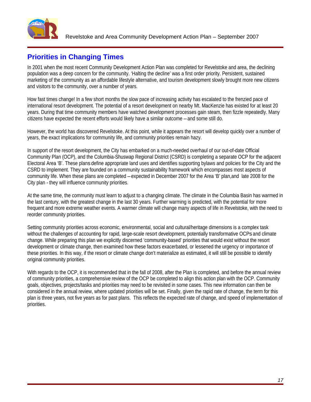

## **Priorities in Changing Times**

In 2001 when the most recent Community Development Action Plan was completed for Revelstoke and area, the declining population was a deep concern for the community. 'Halting the decline' was a first order priority. Persistent, sustained marketing of the community as an affordable lifestyle alternative, and tourism development slowly brought more new citizens and visitors to the community, over a number of years.

How fast times change! In a few short months the slow pace of increasing activity has escalated to the frenzied pace of international resort development. The potential of a resort development on nearby Mt. MacKenzie has existed for at least 20 years. During that time community members have watched development processes gain steam, then fizzle repeatedly. Many citizens have expected the recent efforts would likely have a similar outcome – and some still do.

However, the world has discovered Revelstoke. At this point, while it appears the resort will develop quickly over a number of years, the exact implications for community life, and community priorities remain hazy.

In support of the resort development, the City has embarked on a much-needed overhaul of our out-of-date Official Community Plan (OCP), and the Columbia-Shuswap Regional District (CSRD) is completing a separate OCP for the adjacent Electoral Area 'B'. These plans define appropriate land uses and identifies supporting bylaws and policies for the City and the CSRD to implement. They are founded on a community sustainability framework which encompasses most aspects of community life. When these plans are completed – expected in December 2007 for the Area 'B' plan,and late 2008 for the City plan - they will influence community priorities.

At the same time, the community must learn to adjust to a changing climate. The climate in the Columbia Basin has warmed in the last century, with the greatest change in the last 30 years. Further warming is predicted, with the potential for more frequent and more extreme weather events. A warmer climate will change many aspects of life in Revelstoke, with the need to reorder community priorities.

Setting community priorities across economic, environmental, social and cultural/heritage dimensions is a complex task without the challenges of accounting for rapid, large-scale resort development, potentially transformative OCPs and climate change. While preparing this plan we explicitly discerned 'community-based' priorities that would exist without the resort development or climate change, then examined how these factors exacerbated, or lessened the urgency or importance of these priorities. In this way, if the resort or climate change don't materialize as estimated, it will still be possible to identify original community priorities.

With regards to the OCP, it is recommended that in the fall of 2008, after the Plan is completed, and before the annual review of community priorities, a comprehensive review of the OCP be completed to align this action plan with the OCP. Community goals, objectives, projects/tasks and priorities may need to be revisited in some cases. This new information can then be considered in the annual review, where updated priorities will be set. Finally, given the rapid rate of change, the term for this plan is three years, not five years as for past plans. This reflects the expected rate of change, and speed of implementation of priorities.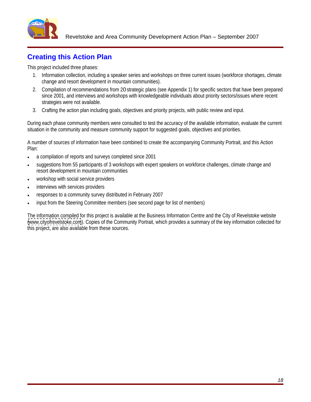

## **Creating this Action Plan**

This project included three phases:

- 1. Information collection, including a speaker series and workshops on three current issues (workforce shortages, climate change and resort development in mountain communities).
- 2. Compilation of recommendations from 20 strategic plans (see Appendix 1) for specific sectors that have been prepared since 2001, and interviews and workshops with knowledgeable individuals about priority sectors/issues where recent strategies were not available.
- 3. Crafting the action plan including goals, objectives and priority projects, with public review and input.

During each phase community members were consulted to test the accuracy of the available information, evaluate the current situation in the community and measure community support for suggested goals, objectives and priorities.

A number of sources of information have been combined to create the accompanying Community Portrait, and this Action Plan:

- a compilation of reports and surveys completed since 2001
- suggestions from 55 participants of 3 workshops with expert speakers on workforce challenges, climate change and resort development in mountain communities
- workshop with social service providers
- interviews with services providers
- responses to a community survey distributed in February 2007
- input from the Steering Committee members (see second page for list of members)

The information compiled for this project is available at the Business Information Centre and the City of Revelstoke website ([www.cityofrevelstoke.com](http://www.cityofrevelstoke.com)). Copies of the Community Portrait, which provides a summary of the key information collected for this project, are also available from these sources.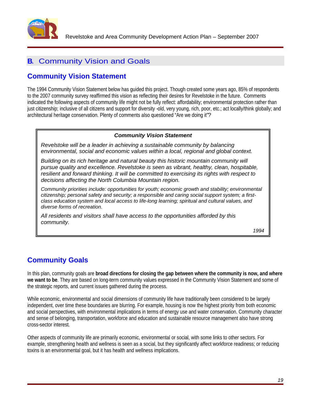

## **B**. Community Vision and Goals

## **Community Vision Statement**

The 1994 Community Vision Statement below has guided this project. Though created some years ago, 85% of respondents to the 2007 community survey reaffirmed this vision as reflecting their desires for Revelstoke in the future. Comments indicated the following aspects of community life might not be fully reflect: affordability; environmental protection rather than just citizenship; inclusive of all citizens and support for diversity -old, very young, rich, poor, etc.; act locally/think globally; and architectural heritage conservation. Plenty of comments also questioned "Are we doing it"?

### **Community Vision Statement**

Revelstoke will be a leader in achieving a sustainable community by balancing environmental, social and economic values within a local, regional and global context.

Building on its rich heritage and natural beauty this historic mountain community will pursue quality and excellence. Revelstoke is seen as vibrant, healthy, clean, hospitable, resilient and forward thinking. It will be committed to exercising its rights with respect to decisions affecting the North Columbia Mountain region.

Community priorities include: opportunities for youth; economic growth and stability; environmental citizenship; personal safety and security; a responsible and caring social support system; a first class education system and local access to life-long learning; spiritual and cultural values, and diverse forms of recreation.

All residents and visitors shall have access to the opportunities afforded by this community.

1994

## **Community Goals**

In this plan, community goals are **broad directions for closing the gap between where the community is now, and where we want to be**. They are based on long-term community values expressed in the Community Vision Statement and some of the strategic reports, and current issues gathered during the process.

While economic, environmental and social dimensions of community life have traditionally been considered to be largely independent, over time these boundaries are blurring. For example, housing is now the highest priority from both economic and social perspectives, with environmental implications in terms of energy use and water conservation. Community character and sense of belonging, transportation, workforce and education and sustainable resource management also have strong cross-sector interest.

Other aspects of community life are primarily economic, environmental or social, with some links to other sectors. For example, strengthening health and wellness is seen as a social, but they significantly affect workforce readiness; or reducing toxins is an environmental goal, but it has health and wellness implications.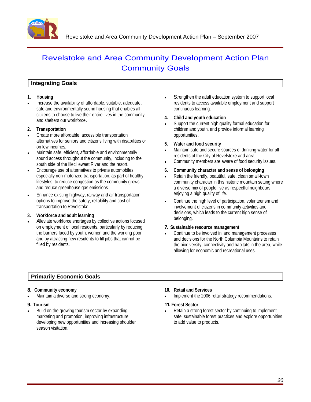

## Revelstoke and Area Community Development Action Plan **Community Goals Community Goals**

### **Integrating Goals**

Increase the availability of affordable, suitable, adequate, safe and environmentally sound housing that enables all citizens to choose to live their entire lives in the community<br>and shalter are unuslighted.

- Create more affordable, accessible transportation alternatives for seniors and citizens living with disabilities or **1998** Mater and food security
- Maintain safe, efficient, affordable and environmentally sound access throughout the community, including to the south side of the Illecillewaet River and the resort.
- Encourage use of alternatives to private automobiles, **6. Community character and sense of belonging** especially non-motorized transportation, as part of healthy lifestyles, to reduce congestion as the community grows,
- Enhance existing highway, railway and air transportation

workforce and addit learning<br>Alleviate workforce shortages by collective actions focused on employment of local residents, particularly by reducing the barriers faced by youth, women and the working poor

- **1. Housing** Strengthen the adult education system to support local residents to access available employment and support continuous learning.
	- **4. Child and youth education**
- and shelters our workforce.<br>Support the current high quality formal education for<br>All the current high quality formal education for **2. Transportation** children and youth, and provide informal learning opportunities.
	- **5. Water and food security**
	- on low incomes.<br>Maintain safe and secure sources of drinking water for all<br>Maintain safe and secure sources of drinking water for all residents of the City of Revelstoke and area.
		- Community members are aware of food security issues.

- lifestyles, to reduce congestion as the community grows, community character in this historic mountain setting where and reduce greenhouse gas emissions. a diverse mix of people live as respectful neighbours Retain the friendly, beautiful, safe, clean small-town enjoying a high quality of life.
- options to improve the safety, reliability and cost of Continue the high level of participation, volunteerism and transportation to Revelstoke. involvement of citizens in community activities and **3. Workforce and adult learning** decisions, which leads to the current high sense of belonging.

#### **7. Sustainable resource management**

and by attracting new residents to fill jobs that cannot be and decisions for the North Columbia Mountains to retain filled by residents. the biodiversity, connectivity and habitats in the area, while Continue to be involved in land management processes allowing for economic and recreational uses.

### **Primarily Economic Goals**

#### **8. Community economy**

developing new opportunities and increasing shoulder season visitation.

#### **10. Retail and Services**

Maintain a diverse and strong economy. Implement the 2006 retail strategy recommendations.

#### **9. Tourism 11. Forest Sector**

Build on the growing tourism sector by expanding Retain a strong forest sector by continuing to implement marketing and promotion, improving infrastructure, safe, sustainable forest practices and explore opportunities to add value to products.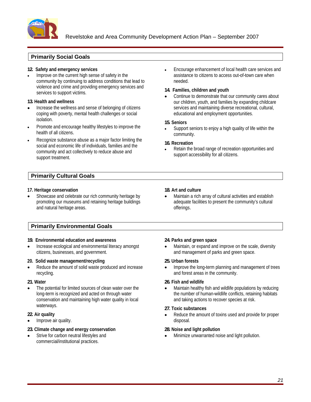

#### **Primarily Social Goals**

Improve on the current high sense of safety in the community by continuing to address conditions that lead to violence and crime and providing emergency services and<br>
14. Families, children and youth

- Increase the wellness and sense of belonging of citizens coping with poverty, mental health challenges or social isolation. The contract of the contract of the contract of the contract of the contract of the contract of the contract of the contract of the contract of the contract of the contract of the contract of the contract of the
- Promote and encourage healthy lifestyles to improve the
- Recognize substance abuse as a major factor limiting the **16. Recreation** social and economic life of individuals, families and the community and act collectively to reduce abuse and support treatment.

### **Primarily Cultural Goals**

#### **17. Heritage conservation**

Showcase and celebrate our rich community heritage by promoting our museums and retaining heritage buildings

### **Primarily Environmental Goals**

#### **19. Environmental education and awareness**

#### **20. Solid waste management/recycling**

conservation and maintaining high water quality in local waterways. The contract of the contract of the contract of the contract of the contract of the contract of the contract of the contract of the contract of the contract of the contract of the contract of the contract of the

Improve air quality. The contract of the contract of the contract of the contract of the contract of the contract of the contract of the contract of the contract of the contract of the contract of the contract of the contr

#### **23. Climate change and energy conservation**

commercial/institutional practices.

**12. Safety and emergency services** Encourage enhancement of local health care services and assistance to citizens to access out-of-town care when needed.

#### **14. Families, children and youth**

services to support victims.<br>  $\bullet$  Continue to demonstrate that our community cares about **13. Health and wellness 13. Health and wellness our children, youth, and families by expanding childcare** services and maintaining diverse recreational, cultural, educational and employment opportunities.

#### **15. Seniors**

health of all citizens. The community of all citizens of the community of the community of the community of the state of the community of the state of the state of the state of the state of the state of the state of the st Support seniors to enjoy a high quality of life within the community.

#### **16. Recreation**

Retain the broad range of recreation opportunities and support accessibility for all citizens.

**18. Art and culture**<br>
Showcase and celebrate our rich community heritage by **18. Art and culture**<br> **9. Promoting our museums and retaining heritage buildings**<br> **9. Promoting serves and natural heritage areas.**<br> **9. Promot** Maintain a rich array of cultural activities and establish adequate facilities to present the community's cultural offerings. **Example 20** is a set of the set of the set of the set of the set of the set of the set of the set of the set of the set of the set of the set of the set of the set of the set of the set of the set of the set of

#### **24. Parks and green space**

Increase ecological and environmental literacy amongst Maintain, or expand and improve on the scale, diversity citizens, businesses, and government. and management of parks and green space.

#### **25. Urban forests**

Reduce the amount of solid waste produced and increase **by a set of the long-term** planning and management of trees recycling. and forest areas in the community.

#### **21. Water 26. Fish and wildlife**

The potential for limited sources of clean water over the Maintain healthy fish and wildlife populations by reducing long-term is recognized and acted on through water **the end on the number of human-wildlife conflicts**, retaining habitats and taking actions to recover species at risk.

#### **27. Toxic substances**

**22. Air quality** and the amount of toxins used and provide for proper disposal.

#### **28. Noise and light pollution**

Strive for carbon neutral lifestyles and Minimize unwarranted noise and light pollution.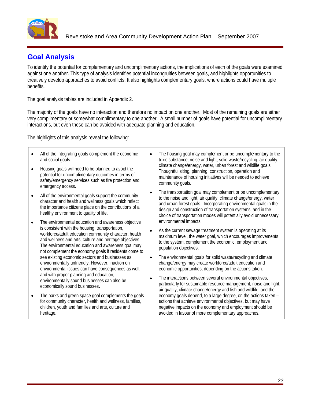

 $\mathsf{r}$ 

## **Goal Analysis**

To identify the potential for complementary and uncomplimentary actions, the implications of each of the goals were examined against one another. This type of analysis identifies potential incongruities between goals, and highlights opportunities to creatively develop approaches to avoid conflicts. It also highlights complementary goals, where actions could have multiple benefits. The contract of the contract of the contract of the contract of the contract of the contract of the contract of the contract of the contract of the contract of the contract of the contract of the contract of the

The goal analysis tables are included in Appendix 2.

The majority of the goals have no interaction and therefore no impact on one another. Most of the remaining goals are either very complimentary or somewhat complimentary to one another. A small number of goals have potential for uncomplimentary interactions, but even these can be avoided with adequate planning and education.

The highlights of this analysis reveal the following:

| All of the integrating goals complement the economic<br>and social goals.                                                                                                                                                                                                                                                                 | The housing goal may complement or be uncomplementary to the<br>toxic substance, noise and light, solid waste/recycling, air quality,                                                                                                                                                                                                                                                           |  |
|-------------------------------------------------------------------------------------------------------------------------------------------------------------------------------------------------------------------------------------------------------------------------------------------------------------------------------------------|-------------------------------------------------------------------------------------------------------------------------------------------------------------------------------------------------------------------------------------------------------------------------------------------------------------------------------------------------------------------------------------------------|--|
| Housing goals will need to be planned to avoid the<br>potential for uncomplimentary outcomes in terms of<br>safety/emergency services such as fire protection and<br>emergency access.                                                                                                                                                    | climate change/energy, water, urban forest and wildlife goals.<br>Thoughtful siting, planning, construction, operation and<br>maintenance of housing initiatives will be needed to achieve<br>community goals.                                                                                                                                                                                  |  |
| All of the environmental goals support the community<br>character and health and wellness goals which reflect<br>the importance citizens place on the contributions of a<br>healthy environment to quality of life.                                                                                                                       | • The transportation goal may complement or be uncomplementary<br>to the noise and light, air quality, climate change/energy, water<br>and urban forest goals. Incorporating environmental goals in the<br>design and construction of transportation systems, and in the<br>choice of transportation modes will potentially avoid unnecessary                                                   |  |
| The environmental education and awareness objective<br>is consistent with the housing, transportation,<br>workforce/adult education community character, health<br>and wellness and arts, culture and heritage objectives.<br>The environmental education and awareness goal may<br>not complement the economy goals if residents come to | environmental impacts.<br>As the current sewage treatment system is operating at its<br>maximum level, the water goal, which encourages improvements<br>to the system, complement the economic, employment and<br>population objectives.                                                                                                                                                        |  |
| see existing economic sectors and businesses as<br>environmentally unfriendly. However, inaction on<br>environmental issues can have consequences as well,<br>and with proper planning and education,<br>environmentally sound businesses can also be<br>economically sound businesses.                                                   | • The environmental goals for solid waste/recycling and climate<br>change/energy may create workforce/adult education and<br>economic opportunities, depending on the actions taken.<br>• The interactions between several environmental objectives,<br>particularly for sustainable resource management, noise and light,<br>air quality, climate change/energy and fish and wildlife, and the |  |
| The parks and green space goal complements the goals<br>for community character, health and wellness, families,<br>children, youth and families and arts, culture and<br>heritage.                                                                                                                                                        | economy goals depend, to a large degree, on the actions taken -<br>actions that achieve environmental objectives, but may have<br>negative impacts on the economy and employment should be<br>avoided in favour of more complementary approaches.                                                                                                                                               |  |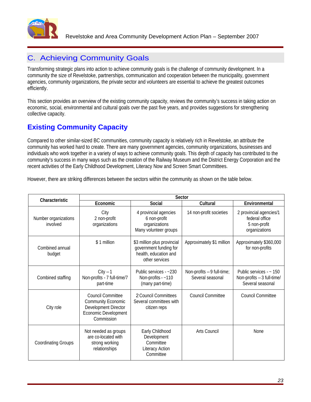

## C. Achieving Community Goals

Transforming strategic plans into action to achieve community goals is the challenge of community development. In a community the size of Revelstoke, partnerships, communication and cooperation between the municipality, government agencies, community organizations, the private sector and volunteers are essential to achieve the greatest outcomes efficiently.

This section provides an overview of the existing community capacity, reviews the community's success in taking action on economic, social, environmental and cultural goals over the past five years, and provides suggestions for strengthening collective capacity.

## **Existing Community Capacity**

Compared to other similar-sized BC communities, community capacity is relatively rich in Revelstoke, an attribute the community has worked hard to create. There are many government agencies, community organizations, businesses and individuals who work together in a variety of ways to achieve community goals. This depth of capacity has contributed to the community's success in many ways such as the creation of the Railway Museum and the District Energy Corporation and the recent activities of the Early Childhood Development, Literacy Now and Screen Smart Committees.

However, there are striking differences between the sectors within the community as shown on the table below.

| Characteristic                   |                                                                                                                                   |                                                                                    | Sector                                                  |                                                                            |
|----------------------------------|-----------------------------------------------------------------------------------------------------------------------------------|------------------------------------------------------------------------------------|---------------------------------------------------------|----------------------------------------------------------------------------|
|                                  | Economic                                                                                                                          | Social                                                                             | <b>Cultural</b>                                         | Environmental                                                              |
| Number organizations<br>involved | City<br>2 non-profit<br>organizations                                                                                             | 4 provincial agencies<br>6 non-profit<br>organizations<br>Many volunteer groups    | 14 non-profit societies                                 | 2 provincial agencies/1<br>federal office<br>5 non-profit<br>organizations |
| Combined annual<br>budget        | \$1 million                                                                                                                       | government funding for<br>health, education and<br>other services                  | \$3 million plus provincial   Approximately \$1 million | Approximately \$360,000<br>for non-profits                                 |
| Combined staffing                | $City - 1$<br>Non-profits - 7 full-time/7<br>part-time                                                                            | Public services - ~230<br>Non-profits - ~110<br>(many part-time)                   | Non-profits - 9 full-time;<br>Several seasonal          | Public services - ~ 150<br>Non-profits - 3 full-time/<br>Several seasonal  |
| City role                        | <b>Council Committee</b><br><b>Community Economic</b><br><b>Development Director</b><br><b>Economic Development</b><br>Commission | 2 Council Committees<br>Several committees with<br>citizen reps                    | <b>Council Committee</b>                                | <b>Council Committee</b>                                                   |
| <b>Coordinating Groups</b>       | Not needed as groups<br>are co-located with<br>strong working<br>relationships                                                    | Early Childhood<br>Development<br>Committee<br><b>Literacy Action</b><br>Committee | Arts Council                                            | None                                                                       |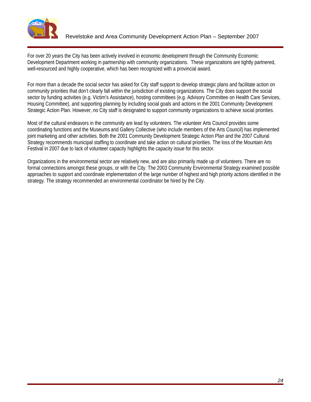

For over 20 years the City has been actively involved in economic development through the Community Economic Development Department working in partnership with community organizations. These organizations are tightly partnered, well-resourced and highly cooperative, which has been recognized with a provincial award.

For more than a decade the social sector has asked for City staff support to develop strategic plans and facilitate action on community priorities that don't clearly fall within the jurisdiction of existing organizations. The City does support the social sector by funding activities (e.g. Victim's Assistance), hosting committees (e.g. Advisory Committee on Health Care Services, Housing Committee), and supporting planning by including social goals and actions in the 2001 Community Development Strategic Action Plan. However, no City staff is designated to support community organizations to achieve social priorities.

Most of the cultural endeavors in the community are lead by volunteers. The volunteer Arts Council provides some coordinating functions and the Museums and Gallery Collective (who include members of the Arts Council) has implemented joint marketing and other activities. Both the 2001 Community Development Strategic Action Plan and the 2007 Cultural Strategy recommends municipal staffing to coordinate and take action on cultural priorities. The loss of the Mountain Arts Festival in 2007 due to lack of volunteer capacity highlights the capacity issue for this sector.

Organizations in the environmental sector are relatively new, and are also primarily made up of volunteers. There are no formal connections amongst these groups, or with the City. The 2003 Community Environmental Strategy examined possible approaches to support and coordinate implementation of the large number of highest and high priority actions identified in the strategy. The strategy recommended an environmental coordinator be hired by the City.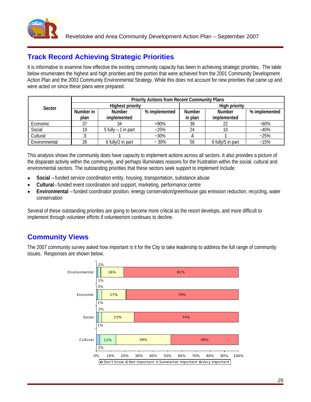

## **Track Record Achieving Strategic Priorities**

It is informative to examine how effective the existing community capacity has been in achieving strategic priorities. The table below enumerates the highest and high priorities and the portion that were achieved from the 2001 Community Development Action Plan and the 2003 Community Environmental Strategy. While this does not account for new priorities that came up and were acted on since these plans were prepared.

|               |        |                      | <b>Priority Actions from Recent Community Plans</b> |           |                |               |
|---------------|--------|----------------------|-----------------------------------------------------|-----------|----------------|---------------|
| Sector        |        | والممواطر            |                                                     |           |                |               |
|               | Number | Number               | % imnleme                                           | `   Numbe | Numher         | % implemented |
|               |        |                      |                                                     | in plar   | <u>Impleme</u> |               |
| Economic      |        |                      |                                                     |           |                |               |
| Social        |        | 5 fully $-1$ in part |                                                     |           |                |               |
| Cultural      |        |                      |                                                     |           |                |               |
| Environmental |        | A fully/2 in nart    |                                                     |           | 6 fully/5 in   |               |

This analysis shows the community does have capacity to implement actions across all sectors. It also provides a picture of the disparate activity within the community, and perhaps illuminates reasons for the frustration within the social, cultural and environmental sectors. The outstanding priorities that these sectors seek support to implement include:

- **Social** funded service coordination entity, housing, transportation, substance abuse
- **Cultural** funded event coordination and support, marketing, performance centre
- **Environmental** –funded coordinator position, energy conservation/greenhouse gas emission reduction, recycling, water conservation

Several of these outstanding priorities are going to become more critical as the resort develops, and more difficult to implement through volunteer efforts if volunteerism continues to decline.

## **Community Views**

The 2007 community survey asked how important is it for the City to take leadership to address the full range of community issues. Responses are shown below.

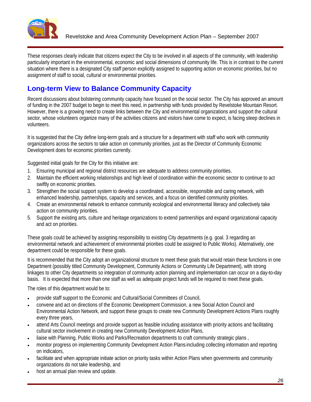

These responses clearly indicate that citizens expect the City to be involved in all aspects of the community, with leadership particularly important in the environmental, economic and social dimensions of community life. This is in contrast to the current situation where there is a designated City staff person explicitly assigned to supporting action on economic priorities, but no assignment of staff to social, cultural or environmental priorities.

## **Long-term View to Balance Community Capacity**

Recent discussions about bolstering community capacity have focused on the social sector. The City has approved an amount of funding in the 2007 budget to begin to meet this need, in partnership with funds provided by Revelstoke Mountain Resort.<br>However, there is a growing need to create links between the City and environmental organizations sector, whose volunteers organize many of the activities citizens and visitors have come to expect, is facing steep declines in volunteers.

It is suggested that the City define long-term goals and a structure for a department with staff who work with community organizations across the sectors to take action on community priorities, just as the Director of Community Economic Development does for economic priorities currently.

Suggested initial goals for the City for this initiative are:

- 1. Ensuring municipal and regional district resources are adequate to address community priorities.
- 2. Maintain the efficient working relationships and high level of coordination within the economic sector to continue to act swiftly on economic priorities.
- 3. Strengthen the social support system to develop a coordinated, accessible, responsible and caring network, with enhanced leadership, partnerships, capacity and services, and a focus on identified community priorities.
- 4. Create an environmental network to enhance community ecological and environmental literacy and collectively take action on community priorities.
- 5. Support the existing arts, culture and heritage organizations to extend partnerships and expand organizational capacity and act on priorities.

These goals could be achieved by assigning responsibility to existing City departments (e.g. goal. 3 regarding an environmental network and achievement of environmental priorities could be assigned to Public Works). Alternatively, one department could be responsible for these goals.

It is recommended that the City adopt an organizational structure to meet these goals that would retain these functions in one Department (possibly titled Community Development, Community Actions or Community Life Department), with strong linkages to other City departments so integration of community action planning and implementation can occur on a day-to-day basis. It is expected that more than one staff as well as adequate project funds will be required to meet these goals.

The roles of this department would be to:

- provide staff support to the Economic and Cultural/Social Committees of Council,
- convene and act on directions of the Economic Development Commission, a new Social Action Council and Environmental Action Network, and support these groups to create new Community Development Actions Plans roughly every three years, which is a state of the state of the state of the state of the state of the state of the state of the state of the state of the state of the state of the state of the state of the state of the state of t
- attend Arts Council meetings and provide support as feasible including assistance with priority actions and facilitating cultural sector involvement in creating new Community Development Action Plans,
- liaise with Planning, Public Works and Parks/Recreation departments to craft community strategic plans ,
- monitor progress on implementing Community Development Action Plans including collecting information and reporting on indicators,
- facilitate and when appropriate initiate action on priority tasks within Action Plans when governments and community organizations do not take leadership, and
- host an annual plan review and update.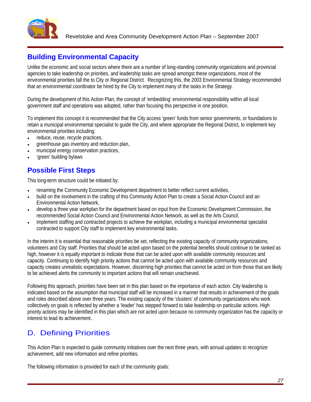

## **Building Environmental Capacity**

Unlike the economic and social sectors where there are a number of long-standing community organizations and provincial agencies to take leadership on priorities, and leadership tasks are spread amongst these organizations, most of the environmental priorities fall the to City or Regional District. Recognizing this, the 2003 Environmental Strategy recommended that an environmental coordinator be hired by the City to implement many of the tasks in the Strategy.

During the development of this Action Plan, the concept of 'embedding' environmental responsibility within all local government staff and operations was adopted, rather than focusing this perspective in one position.

To implement this concept it is recommended that the City access 'green' funds from senior governments, or foundations to retain a municipal environmental specialist to guide the City, and where appropriate the Regional District, to implement key environmental priorities including:

- reduce, reuse, recycle practices,  $\bullet$
- greenhouse gas inventory and reduction plan,
- municipal energy conservation practices,
- 'green' building bylaws

## **Possible First Steps**

This long-term structure could be initiated by:

- renaming the Community Economic Development department to better reflect current activities,
- build on the involvement in the crafting of this Community Action Plan to create a Social Action Council and an Environmental Action Network,
- develop a three year workplan for the department based on input from the Economic Development Commission, the recommended Social Action Council and Environmental Action Network, as well as the Arts Council,
- implement staffing and contracted projects to achieve the workplan, including a municipal environmental specialist contracted to support City staff to implement key environmental tasks.

In the interim it is essential that reasonable priorities be set, reflecting the existing capacity of community organizations, volunteers and City staff. Priorities that should be acted upon based on the potential benefits should continue to be ranked as high, however it is equally important to indicate those that can be acted upon with available community resources and capacity. Continuing to identify high priority actions that cannot be acted upon with available community resources and capacity creates unrealistic expectations. However, discerning high priorities that cannot be acted on from those that are likely to be achieved alerts the community to important actions that will remain unachieved.

Following this approach, priorities have been set in this plan based on the importance of each action. City leadership is indicated based on the assumption that municipal staff will be increased in a manner that results in achievement of the goals and roles described above over three years. The existing capacity of the 'clusters' of community organizations who work collectively on goals is reflected by whether a 'leader' has stepped forward to take leadership on particular actions. High priority actions may be identified in this plan which are not acted upon because no community organization has the capacity or interest to lead its achievement.

## D. Defining Priorities

This Action Plan is expected to guide community initiatives over the next three years, with annual updates to recognize achievement, add new information and refine priorities.

The following information is provided for each of the community goals: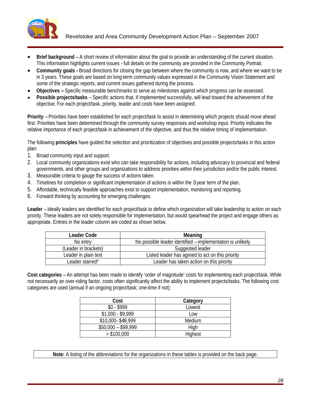

- **Brief background** A short review of information about the goal to provide an understanding of the current situation. This information highlights current issues - full details on the community are provided in the Community Portrait.
- **Community goals -** Broad directions for closing the gap between where the community is now, and where we want to be in 3 years. These goals are based on long-term community values expressed in the Community Vision Statement and some of the strategic reports, and current issues gathered during the process.
- **Objectives –**Specific measurable benchmarks to serve as milestones against which progress can be assessed.
- **Possible projects/tasks** Specific actions that, if implemented successfully, will lead toward the achievement of the objective. For each project/task, priority, leader and costs have been assigned.

**Priority** – Priorities have been established for each project/task to assist in determining which projects should move ahead first. Priorities have been determined through the community survey responses and workshop input. Priority indicates the relative importance of each project/task in achievement of the objective, and thus the relative timing of implementation.

The following **principles** have guided the selection and prioritization of objectives and possible projects/tasks in this action plan:

- 1. Broad community input and support.
- 2. Local community organizations exist who can take responsibility for actions, including advocacy to provincial and federal governments, and other groups and organizations to address priorities within their jurisdiction and/or the public interest.
- 3. Measurable criteria to gauge the success of actions taken.
- 4. Timelines for completion or significant implementation of actions is within the 3 year term of the plan.
- 5. Affordable, technically feasible approaches exist to support implementation, monitoring and reporting.
- 6. Forward thinking by accounting for emerging challenges.

Leader - Ideally leaders are identified for each project/task to define which organization will take leadership to action on each priority. These leaders are not solely responsible for implementation, but would spearhead the project and engage others as appropriate. Entries in the leader column are coded as shown below.

| <b>Leader Code</b>   | $M_{\alpha\alpha\mu}$                                     |
|----------------------|-----------------------------------------------------------|
| No entr <sup>.</sup> | o possible leader identified - implementation is unlikely |
| Leader in brackets)  | Suggested leader                                          |
| Leader in plain text | Listed leader has agreed to act on this priority          |
| Leader starred*      | Leader has taken action on this priority                  |

**Cost categories** – An attempt has been made to identify 'order of magnitude' costs for implementing each project/task. While not necessarily an over-riding factor, costs often significantly affect the ability to implement projects/tasks. The following cost categories are used (annual if an ongoing project/task; one-time if not):

| $\mathbf{r}$<br>៴៴៰៲ | P <sub>other</sub>           |
|----------------------|------------------------------|
| ሮስ ሮስሰሰ<br>. ທລລລ    | <br>LUWUJI                   |
| \$1,000 - \$9,999    |                              |
| $$10,000 - $49,999$  | $M$ odium<br><u>ivicului</u> |
| $$50,000 - $99,999$  |                              |
| > \$100,000          | Highest                      |

**Note:** A listing of the abbreviations for the organizations in these tables is provided on the back page.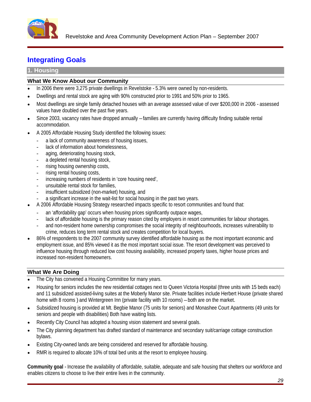

## **Integrating Goals**

#### **1. Housing**

### **What We Know About our Community**

- In 2006 there were 3,275 private dwellings in Revelstoke 5.3% were owned by non-residents.
- Dwellings and rental stock are aging with 90% constructed prior to 1991 and 50% prior to 1965.
- Most dwellings are single family detached houses with an average assessed value of over \$200,000 in 2006 assessed values have doubled over the past five years.
- Since 2003, vacancy rates have dropped annually families are currently having difficulty finding suitable rental accommodation.
- A 2005 Affordable Housing Study identified the following issues:
	- a lack of community awareness of housing issues,
	- lack of information about homelessness,
	- aging, deteriorating housing stock,
	- a depleted rental housing stock,
	- rising housing ownership costs,
	- rising rental housing costs,
	- increasing numbers of residents in 'core housing need'.
	- unsuitable rental stock for families.
	- insufficient subsidized (non-market) housing, and
	- a significant increase in the wait-list for social housing in the past two years.
- A 2006 Affordable Housing Strategy researched impacts specific to resort communities and found that:
	- an 'affordability gap' occurs when housing prices significantly outpace wages,
	- lack of affordable housing is the primary reason cited by employers in resort communities for labour shortages.
	- and non-resident home ownership compromises the social integrity of neighbourhoods, increases vulnerability to crime, reduces long term rental stock and creates competition for local buyers.
- 86% of respondents to the 2007 community survey identified affordable housing as the most important economic and employment issue, and 85% viewed it as the most important social issue. The resort development was perceived to influence housing through reduced low cost housing availability, increased property taxes, higher house prices and increased non-resident homeowners.

### **What We Are Doing**

- The City has convened a Housing Committee for many years.
- Housing for seniors includes the new residential cottages next to Queen Victoria Hospital (three units with 15 beds each) and 11 subsidized assisted-living suites at the Moberly Manor site. Private facilities include Herbert House (private shared home with 8 rooms ) and Wintergreen Inn (private facility with 10 rooms) – both are on the market.
- Subsidized housing is provided at Mt. Begbie Manor (75 units for seniors) and Monashee Court Apartments (49 units for seniors and people with disabilities) Both have waiting lists.
- Recently City Council has adopted a housing vision statement and several goals.
- The City planning department has drafted standard of maintenance and secondary suit/carriage cottage construction  $\bullet$ bylaws.
- Existing City-owned lands are being considered and reserved for affordable housing.
- RMR is required to allocate 10% of total bed units at the resort to employee housing.

**Community goal** - Increase the availability of affordable, suitable, adequate and safe housing that shelters our workforce and enables citizens to choose to live their entire lives in the community.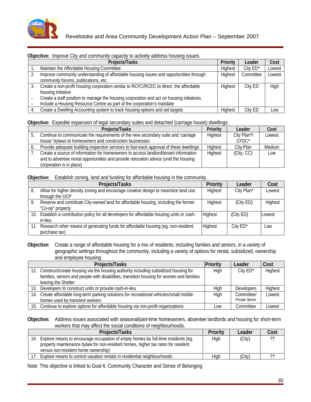

#### **Objective:** Improve City and community capacity to actively address housing issues.

| <b>Projects/Tasks</b>                                                                     | Priority Leader Cost         |     |
|-------------------------------------------------------------------------------------------|------------------------------|-----|
| Maintain the Affordable Housing Committee                                                 | Highest City ED* Lowest      |     |
| Improve community understanding of affordable housing issues and opportunities through    | Highest   Committee   Lowest |     |
| community forums, publications, etc.                                                      |                              |     |
| Create a non-profit housing corporation similar to RCFC/RCEC to direct the affordable     | City ED High                 |     |
| housing initiative                                                                        |                              |     |
| Create a staff position to manage the housing corporation and act on housing initiatives. |                              |     |
| Include a Housing Resource Centre as part of the corporation's mandate                    |                              |     |
| Create a Dwelling Accounting system to track housing options and set targets              | City ED                      | Low |

#### **Objective:** Expedite expansion of legal secondary suites and detached (carriage house) dwellings.

| <b>Projects/Tasks</b>                                                                              |               | Leader            | Cost   |
|----------------------------------------------------------------------------------------------------|---------------|-------------------|--------|
| Continue to communicate the requirements of the new secondary suite and 'carriage                  | <b>Highes</b> | City Plan*/       | Lowest |
| house' bylaws to homeowners and construction businesses                                            |               | $\cap$ m $\cap$ * |        |
| Provide adequate building inspection services to fast-track approval of these dwellings   Highest  |               | City Plan         | Medium |
| <sup>7</sup> Create a source of information for homeowners to access landlord/tenant information 1 |               | (City, CC)        | Low    |
| and to advertise rental opportunities and provide relocation advice (until the housing             |               |                   |        |
| corporation is in place) :                                                                         |               |                   |        |

#### **Objective:** Establish zoning, land and funding for affordable housing in the community.

| <b>Projects/Tasks</b>                                                                               | Driar   | Leader     | Cost    |
|-----------------------------------------------------------------------------------------------------|---------|------------|---------|
| Allow for higher density zoning and encourage creative design to maximize land use                  | Hiahest | City Plan* | Lowest  |
| through the OCP                                                                                     |         |            |         |
| Reserve and contribute City-owned land for affordable housing, including the former                 | Highest | (City E∟   | Highest |
| "Co-op" property                                                                                    |         |            |         |
| 0. Establish a contribution policy for all developers for affordable housing units or cash- Highest |         | (City ED)  | Lowest  |
|                                                                                                     |         |            |         |
| Research other means of generating funds for affordable housing (eg. non-resident                   |         | City ED    |         |
| purchase tax)                                                                                       |         |            |         |

**Objective:** Create a range of affordable housing for a mix of residents, including families and seniors, in a variety of geographic settings throughout the community, including a variety of options for rental, subsidized, ownership and employee housing.

| Projects/Tasks                                                                            | Leader                |        |
|-------------------------------------------------------------------------------------------|-----------------------|--------|
| 2. Construct/create housing via the housing authority including subsidized housing for    | City ED*              | Highes |
| families, seniors and people with disabilities, transition housing for women and families |                       |        |
| leaving the Shelter                                                                       |                       |        |
| 13. Developers to construct units or provide cash-in-lieu                                 | Developers   Highest  |        |
| 14. Create affordable long-term parking solutions for recreational vehicles/small mobile  | Committee/            | Lowest |
| homes used by transient workers                                                           | <b>Private Sector</b> |        |
| 5. Continue to explore options for affordable housing via non-profit organizations        | Committee             | Lowes  |

**Objective:** Address issues associated with seasonal/part-time homeowners, absentee landlords and housing for short-term workers that may affect the social conditions of neighbourhoods.

| <b>Projects/Tasks</b>                                                              |              | <u>Leader</u> | ⊡∩s<br>$\bullet\bullet\bullet\bullet$ |
|------------------------------------------------------------------------------------|--------------|---------------|---------------------------------------|
| . Explore means to encourage occupation of empty homes by full-time residents (eg. | المطاط المنا |               |                                       |
| property maintenance bylaw for non-resident homes, higher tax rates for resident   |              |               |                                       |
| versus non-resident home ownership)                                                |              |               |                                       |
| Explore means to control vacation rentals in residential neighbourhoods            |              |               |                                       |

Note: This objective is linked to Goal 6. Community Character and Sense of Belonging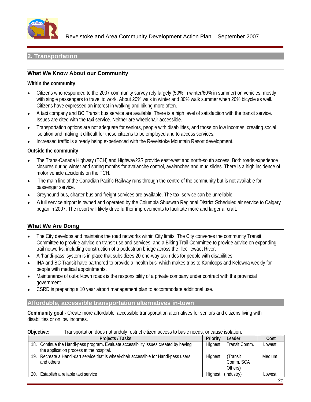

Revelstoke and Area Community Development Action Plan – September 2007

#### **2. Transportation**

#### **What We Know About our Community**

#### **Within the community**

- Citizens who responded to the 2007 community survey rely largely (50% in winter/60% in summer) on vehicles, mostly with single passengers to travel to work. About 20% walk in winter and 30% walk summer when 20% bicycle as well. Citizens have expressed an interest in walking and biking more often.
- A taxi company and BC Transit bus service are available. There is a high level of satisfaction with the transit service. Issues are cited with the taxi service. Neither are wheelchair accessible.
- Transportation options are not adequate for seniors, people with disabilities, and those on low incomes, creating social isolation and making it difficult for these citizens to be employed and to access services.
- Increased traffic is already being experienced with the Revelstoke Mountain Resort development.

#### **Outside the community**

- The Trans-Canada Highway (TCH) and Highway23S provide east-west and north-south access. Both roads experience closures during winter and spring months for avalanche control, avalanches and mud slides. There is a high incidence of motor vehicle accidents on the TCH.
- The main line of the Canadian Pacific Railway runs through the centre of the community but is not available for passenger service.
- Greyhound bus, charter bus and freight services are available. The taxi service can be unreliable.
- A full service airport is owned and operated by the Columbia Shuswap Regional District Scheduled air service to Calgary began in 2007. The resort will likely drive further improvements to facilitate more and larger aircraft.

#### **What We Are Doing**

- The City develops and maintains the road networks within City limits. The City convenes the community Transit Committee to provide advice on transit use and services, and a Biking Trail Committee to provide advice on expanding trail networks, including construction of a pedestrian bridge across the Illecillewaet River.
- A 'handi-pass' system is in place that subsidizes 20 one-way taxi rides for people with disabilities.
- IHA and BC Transit have partnered to provide a 'health bus' which makes trips to Kamloops and Kelowna weekly for people with medical appointments.
- Maintenance of out-of-town roads is the responsibility of a private company under contract with the provincial government.
- CSRD is preparing a 10 year airport management plan to accommodate additional use.

#### **Affordable, accessible transportation alternatives in-town**

**Community goal -** Create more affordable, accessible transportation alternatives for seniors and citizens living with disabilities or on low incomes.

#### **Objective:** Transportation does not unduly restrict citizen access to basic needs, or cause isolation.

| <b>Projects / Tasks</b>                                                                                  | <b>Priority Leader</b>   | Cost   |
|----------------------------------------------------------------------------------------------------------|--------------------------|--------|
| $^1$ 18. Continue the Handi-pass program. Evaluate accessibility issues created by having $\overline{a}$ | Highest<br>Transit Comm. | Lowest |
| the application process at the hospital.                                                                 |                          |        |
| 9. Recreate a Handi-dart service that is wheel-chair accessible for Handi-pass users                     |                          | Medium |
| and others                                                                                               | $\sim$<br>C0MM. SCA      |        |
|                                                                                                          |                          |        |
| 20. Establish a reliable taxi service                                                                    |                          | Lowest |
|                                                                                                          |                          |        |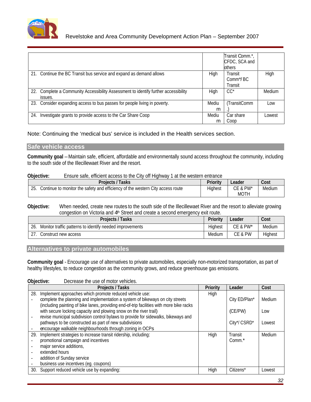

|                                                                                     |               | Transit Comm.*,<br>CFDC, SCA and |        |
|-------------------------------------------------------------------------------------|---------------|----------------------------------|--------|
|                                                                                     |               |                                  |        |
| 21. Continue the BC Transit bus service and expand as demand allows                 | High Transit  | ∣ Comm*/ P <sup>∽</sup>          |        |
| 22. Complete a Community Accessibility Assessment to identify further accessibility | $High$ $CC^*$ |                                  | Medium |
| 23. Consider expanding access to bus passes for people living in poverty.           |               | Mediu (TransitComm               | Low    |
| 24. Investigate grants to provide access to the Car Share Coop                      |               | Mediu   Car share<br>n ∣Coop     | Lowest |

Note: Continuing the 'medical bus' service is included in the Health services section.

#### **Safe vehicle access**

**Community goal** – Maintain safe, efficient, affordable and environmentally sound access throughout the community, including to the south side of the Illecillewaet River and the resort.

#### **Objective:** Ensure safe, efficient access to the City off Highway 1 at the western entrance

| <b>Projects / Tasks</b>                                                            | Priority | <b>Example 2</b> Leader        | $ $ Cost          |  |
|------------------------------------------------------------------------------------|----------|--------------------------------|-------------------|--|
| 25. Continue to monitor the safety and efficiency of the western City access route | Highe    |                                | CE & PW*   Medium |  |
|                                                                                    |          | $M$ $\cap$ T $\sqcup$<br>171 U |                   |  |

**Objective:** When needed, create new routes to the south side of the Illecillewaet River and the resort to alleviate growing congestion on Victoria and 4<sup>th</sup> Street and create a second emergency exit route.

| <b>Contract Contract Contract Contract Contract Contract Contract Contract Contract Contract Contract Contract Contract Contract Contract Contract Contract Contract Contract Contract Contract Contract Contract Contract Contr</b><br><b>Cost</b><br>المتحامل والمستنبذ<br><b>Projects / Ta</b><br>$\blacksquare$ Priority $\blacksquare$ Leader<br>таэл. |  |
|-------------------------------------------------------------------------------------------------------------------------------------------------------------------------------------------------------------------------------------------------------------------------------------------------------------------------------------------------------------|--|
| CE & PW* Medium<br>26. Monitor traffic patterns to identify needed improvements                                                                                                                                                                                                                                                                             |  |
| CE & PW Highest<br>27. Construct new access                                                                                                                                                                                                                                                                                                                 |  |

### **Alternatives to private automobiles**

**Community goal** - Encourage use of alternatives to private automobiles, especially non-motorized transportation, as part of healthy lifestyles, to reduce congestion as the community grows, and reduce greenhouse gas emissions.

| Decrease the use of motor vehicles. |  |
|-------------------------------------|--|
|-------------------------------------|--|

| <b>Projects / Tasks</b>                                                                  |      | Priority Leader        | $\csc$ |
|------------------------------------------------------------------------------------------|------|------------------------|--------|
| 28. Implement approaches which promote reduced vehicle use:                              | High |                        |        |
| complete the planning and implementation a system of bikeways on city streets            |      | City ED/Plan*   Medium |        |
| (including painting of bike lanes, providing end-of-trip facilities with more bike racks |      |                        |        |
| with secure locking capacity and plowing snow on the river trail)                        |      | (CE/PW)                | Low    |
| revise municipal subdivision control bylaws to provide for sidewalks, bikeways and       |      |                        |        |
| pathways to be constructed as part of new subdivisions                                   |      | City*/ CSRD* Lowest    |        |
| encourage walkable neighbourhoods through zoning in OCPs                                 |      |                        |        |
| 29. Implement strategies to increase transit ridership, including:                       | High | i ransit               | Medium |
| promotional campaign and incentives                                                      |      | Comm.*                 |        |
| major service additions,                                                                 |      |                        |        |
| extended hours                                                                           |      |                        |        |
| addition of Sunday service                                                               |      |                        |        |
| business use incentives (eg. coupons)                                                    |      |                        |        |
| 30. Support reduced vehicle use by expanding:                                            | High | Citizens*              | Lowest |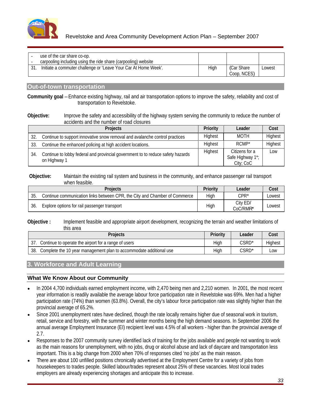

| use of the car share co-op.                                     |  |             |        |
|-----------------------------------------------------------------|--|-------------|--------|
| carpooling including using the ride share (carpooling) website  |  |             |        |
| Initiate a commuter challenge or 'Leave Your Car At Home Week'. |  | (Car Share) | Lowest |
|                                                                 |  | Coop, NCES) |        |

#### **Out-of-town transportation**

**Community goal** – Enhance existing highway, rail and air transportation options to improve the safety, reliability and cost of transportation to Revelstoke.

#### **Objective:** Improve the safety and accessibility of the highway system serving the community to reduce the number of accidents and the number of road closures

| Projects                                                                                        | Priority | Leader                                          | Cost    |
|-------------------------------------------------------------------------------------------------|----------|-------------------------------------------------|---------|
| Continue to support innovative snow removal and avalanche control practices                     | Highes,  | <b>MOTH</b>                                     | Highest |
| Continue the enhanced policing at high accident locations.                                      |          | RCMP*                                           | Highest |
| . Continue to lobby federal and provincial government to to reduce safety hazards<br>on Highway | וועווכאו | Citizens for a<br>Safe Highway 1*;<br>City; CoC | Low     |

#### **Objective:** Maintain the existing rail system and business in the community, and enhance passenger rail transport when feasible. The contract of the contract of the contract of the contract of the contract of the contract of the contract of the contract of the contract of the contract of the contract of the contract of the contract of

| <b>Projects</b>                                                                                                          | <b>Driority</b><br><b>FIJOHU</b> | ەلەم ا<br>$-0.99$                                                                | Cost<br>- - - - |
|--------------------------------------------------------------------------------------------------------------------------|----------------------------------|----------------------------------------------------------------------------------|-----------------|
| R, the City and Chamber of Commerce<br>$\sim$ $-$<br>$\cdot$ hotwoon ( $\cdot$ ).<br>Continue communication links betwee |                                  | $CDD^*$                                                                          | Lowest          |
| $\sim$<br>Explore options for rail passenger transport<br>JU.                                                            |                                  | City ED/<br>$\sim$ $\sim$ $\sim$ $\sim$ $\sim$ $\sim$ $\sim$<br><b>UUU/KIVII</b> | Lowest          |

#### **Objective :** Implement feasible and appropriate airport development, recognizing the terrain and weather limitations of this area

| <b>Projects</b>                                                        | <b>Priority</b> | Leader                      | <b>Cost</b> |
|------------------------------------------------------------------------|-----------------|-----------------------------|-------------|
| 37. Continue to operate the airport for a range of users               |                 | CSRD*                       | Highest     |
|                                                                        |                 | $\sim$ $\sim$ $\sim$ $\sim$ |             |
| 38. Complete the 10 year management plan to accommodate additional use |                 | CSRD*                       | Low         |

### **3. Workforce and Adult Learning**

### **What We Know About our Community**

- In 2004 4,700 individuals earned employment income, with 2,470 being men and 2,210 women. In 2001, the most recent year information is readily available the average labour force participation rate in Revelstoke was 69%. Men had a higher participation rate (74%) than women (63.8%). Overall, the city's labour force participation rate was slightly higher than the provincial average of 65.2%.
- Since 2001 unemployment rates have declined, though the rate locally remains higher due of seasonal work in tourism, retail, service and forestry, with the summer and winter months being the high demand seasons. In September 2006 the annual average Employment Insurance (EI) recipient level was 4.5% of all workers - higher than the provincial average of 2.7.
- Responses to the 2007 community survey identified lack of training for the jobs available and people not wanting to work as the main reasons for unemployment, with no jobs, drug or alcohol abuse and lack of daycare and transportation less important. This is a big change from 2000 when 70% of responses cited 'no jobs' as the main reason.
- There are about 100 unfilled positions chronically advertised at the Employment Centre for a variety of jobs from housekeepers to trades people. Skilled labour/trades represent about 25% of these vacancies. Most local trades employers are already experiencing shortages and anticipate this to increase.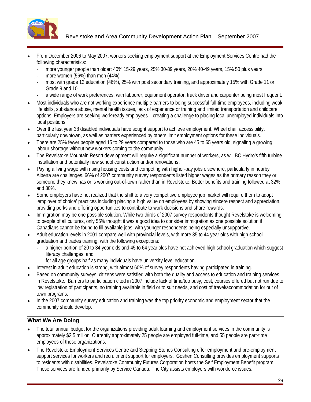

Revelstoke and Area Community Development Action Plan – September 2007

- From December 2006 to May 2007, workers seeking employment support at the Employment Services Centre had the following characteristics:
	- more younger people than older: 40% 15-29 years, 25% 30-39 years, 20% 40-49 years, 15% 50 plus years
	- more women (56%) than men  $(44%)$
	- most with grade 12 education (46%), 25% with post secondary training, and approximately 15% with Grade 11 or Grade 9 and 10
	- a wide range of work preferences, with labourer, equipment operator, truck driver and carpenter being most frequent.
- Most individuals who are not working experience multiple barriers to being successful full-time employees, including weak life skills, substance abuse, mental health issues, lack of experience or training and limited transportation and childcare options. Employers are seeking work-ready employees – creating a challenge to placing local unemployed individuals into local positions.
- Over the last year 38 disabled individuals have sought support to achieve employment. Wheel chair accessibility, particularly downtown, as well as barriers experienced by others limit employment options for these individuals.
- There are 25% fewer people aged 15 to 29 years compared to those who are 45 to 65 years old, signaling a growing labour shortage without new workers coming to the community.
- The Revelstoke Mountain Resort development will require a significant number of workers, as will BC Hydro's fifth turbine installation and potentially new school construction and/or renovations.
- Paying a living wage with rising housing costs and competing with higher-pay jobs elsewhere, particularly in nearby Alberta are challenges. 66% of 2007 community survey respondents listed higher wages as the primary reason they or someone they knew has or is working out-of-town rather than in Revelstoke. Better benefits and training followed at 32% and 30%.
- Some employers have not realized that the shift to a very competitive employee job market will require them to adopt 'employer of choice' practices including placing a high value on employees by showing sincere respect and appreciation, providing perks and offering opportunities to contribute to work decisions and share rewards.
- Immigration may be one possible solution. While two thirds of 2007 survey respondents thought Revelstoke is welcoming to people of all cultures, only 55% thought it was a good idea to consider immigration as one possible solution if Canadians cannot be found to fill available jobs, with younger respondents being especially unsupportive.
- Adult education levels in 2001 compare well with provincial levels, with more 35 to 44 year olds with high school graduation and trades training, with the following exceptions:
	- a higher portion of 20 to 34 year olds and 45 to 64 year olds have not achieved high school graduation which suggest literacy challenges, and
	- for all age groups half as many individuals have university level education.
- Interest in adult education is strong, with almost 60% of survey respondents having participated in training.
- Based on community surveys, citizens were satisfied with both the quality and access to education and training services in Revelstoke. Barriers to participation cited in 2007 include lack of time/too busy, cost, courses offered but not run due to low registration of participants, no training available in field or to suit needs, and cost of travel/accommodation for out of town programs.
- In the 2007 community survey education and training was the top priority economic and employment sector that the community should develop.

### **What We Are Doing**

- The total annual budget for the organizations providing adult learning and employment services in the community is approximately \$2.5 million. Currently approximately 25 people are employed full-time, and 55 people are part-time employees of these organizations.
- The Revelstoke Employment Services Centre and Stepping Stones Consulting offer employment and pre-employment support services for workers and recruitment support for employers. Goshen Consulting provides employment supports to residents with disabilities. Revelstoke Community Futures Corporation hosts the Self Employment Benefit program. These services are funded primarily by Service Canada. The City assists employers with workforce issues.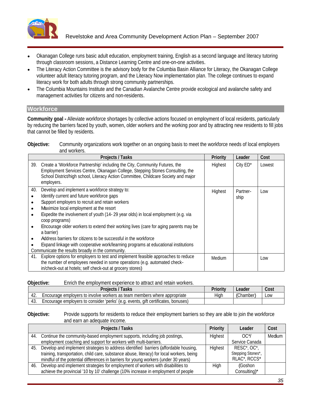

- Okanagan College runs basic adult education, employment training, English as a second language and literacy tutoring through classroom sessions, a Distance Learning Centre and one-on-one activities.
- The Literacy Action Committee is the advisory body for the Columbia Basin Alliance for Literacy, the Okanagan College volunteer adult literacy tutoring program, and the Literacy Now implementation plan. The college continues to expand literacy work for both adults through strong community partnerships.
- The Columbia Mountains Institute and the Canadian Avalanche Centre provide ecological and avalanche safety and  $\bullet$ management activities for citizens and non-residents.

#### **Workforce**

**Community goal -** Alleviate workforce shortages by collective actions focused on employment of local residents, particularly by reducing the barriers faced by youth, women, older workers and the working poor and by attracting new residents to fill jobs that cannot be filled by residents.

#### **Objective:** Community organizations work together on an ongoing basis to meet the workforce needs of local employers and workers.

|                                                                                                                                                                                                                                                                                                                                    | Priority | Leader Cost     |     |
|------------------------------------------------------------------------------------------------------------------------------------------------------------------------------------------------------------------------------------------------------------------------------------------------------------------------------------|----------|-----------------|-----|
| Create a 'Workforce Partnership' including the City, Community Futures, the<br>Employment Services Centre, Okanagan College, Stepping Stones Consulting, the<br>School District/high school, Literacy Action Committee, Childcare Society and major                                                                                | Highest  | City ED* Lowest |     |
| Expedite the involvement of youth (14-29 year olds) in local employment (e.g. via<br>Encourage older workers to extend their working lives (care for aging parents may be<br>Address barriers for citizens to be successful in the workforce<br>Expand linkage with cooperative work/learning programs at educational institutions | Highest  | Partner-        | Low |
| 1. Explore options for employers to test and implement feasible approaches to reduce<br>the number of employees needed in some operations (e.g. automated check-                                                                                                                                                                   | Medium   |                 | Low |

**Objective:** Enrich the employment experience to attract and retain workers.

#### **Objective:** Provide supports for residents to reduce their employment barriers so they are able to join the workforce and earn an adequate income.

| <b>Projects / Tasks</b>                                                                                                   | <b>Priority</b> | Leader            | Cost   |  |
|---------------------------------------------------------------------------------------------------------------------------|-----------------|-------------------|--------|--|
| . Continue the community-based employment supports, including job postings,                                               | Highes          | OC*/              | Medium |  |
| employment coaching and support for workers with multi-barriers.                                                          |                 | Service Canada    |        |  |
| 45. Develop and implement strategies to address identified barriers (affordable housing,                                  | Highest         | RESC*, OC*,       |        |  |
| training, transportation, child care, substance abuse, literacy) for local workers, being                                 |                 | Stepping Stones*, |        |  |
| mindful of the potential differences in barriers for young workers (under 30 years)                                       |                 | RLAC*, RCCS*      |        |  |
| 16. Develop and implement strategies for employment of workers with disabilities to                                       |                 | (Goshon           |        |  |
| $\scriptstyle\rm 6$ increase in employment of people $\scriptstyle\rm 1$<br>achieve the provincial '10 by 10' challenge ( |                 | Consultina)*      |        |  |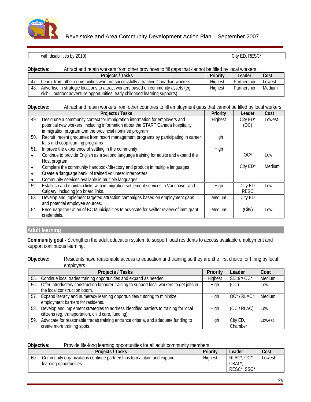

Revelstoke and Area Community Development Action Plan – September 2007

| , RESC |
|--------|

#### **Objective:** Attract and retain workers from other provinces to fill gaps that cannot be filled by local workers.

|                                                                                        |          | Leader               |  |
|----------------------------------------------------------------------------------------|----------|----------------------|--|
| 47. Learn from other communities who are successfully attracting Canadian workers      |          |                      |  |
| 48. Advertise in strategic locations to attract workers based on community assets (eg. | Llighoot | Partnership   Medium |  |
| skihill, outdoor adventure opportunities, early childhood learning supports)           |          |                      |  |

#### **Objective:** Attract and retain workers from other countries to fill employment gaps that cannot be filled by local workers.

| <b>Projects / Tasks</b>                                                                                                                   | <b>Priority</b> | Leader             | $\vert$ Cost |
|-------------------------------------------------------------------------------------------------------------------------------------------|-----------------|--------------------|--------------|
| Designate a community contact for immigration information for employers and                                                               | Highest         | City ED*           | Lowest       |
| potential new workers, including information about the START Canada hospitality<br>immigration program and the provincial nominee program |                 | (OC)               |              |
| . Recruit recent graduates from resort management programs by participating in career $\, \,$                                             | High            |                    |              |
| fairs and coop learning programs                                                                                                          |                 |                    |              |
| Improve the experience of settling in the community                                                                                       | Hiah            | $\bigcap_{\alpha}$ |              |
| Continue to provide English as a second language training for adults and expand the $\left  \right $<br>Host program                      |                 |                    | Low          |
| Complete the community handbook/directory and produce in multiple languages                                                               |                 | City ED*           | Medium       |
| Create a 'language bank' of trained volunteer interpreters<br>Community services available in multiple languages                          |                 |                    |              |
| Establish and maintain links with immigration settlement services in Vancouver and<br>Calgary, including job board links.                 | High            | City ED<br>RESC    | Low          |
| Develop and implement targeted attraction campaigns based on employment gaps<br>and potential employee sources.                           | Medium          | City ED            |              |
| Encourage the Union of BC Municipalities to advocate for swifter review of immigrant<br>credentials                                       | Medium          | (City)             |              |

#### **Adult learning**

**Community goal -** Strengthen the adult education system to support local residents to access available employment and support continuous learning.

#### **Objective:** Residents have reasonable access to education and training so they are ithe first choice for hiring by local employers.

| <b>Projects / Tasks</b>                                                                                                                         | <b>Priority</b> | <b>Leader</b>   |                    |
|-------------------------------------------------------------------------------------------------------------------------------------------------|-----------------|-----------------|--------------------|
| 55. Continue local trades training opportunities and expand as needed                                                                           |                 | SD19*/OC*       | l Medium           |
| $6.$ Offer introductory construction labourer training to support local workers to get jobs in $\;\; \mid$<br>the local construction boom.      |                 |                 |                    |
| 7. Expand literacy and numeracy learning opportunities/ tutoring to minimize<br>employment barriers for residents.                              |                 |                 | OC*/RLAC*   Medium |
| 3. Develop and implement strategies to address identified barriers to training for local<br>citizens (eg. transportation, child care, funding). |                 | (OC / RLAC) Low |                    |
| . Advocate for reasonable trades training entrance criteria, and adequate funding to<br>create more training spots.                             |                 | Chamber         | Lowest             |

#### **Objective:** Provide life-long learning opportunities for all adult community members.

| $\overline{\phantom{a}}$<br><b>Projects / Tasks</b>                         | <b>Data and</b><br> | Leader              | Cost.<br><b>OVU.</b> |
|-----------------------------------------------------------------------------|---------------------|---------------------|----------------------|
| 60.<br>Community organizations continue partnerships to maintain and expand | <b>Highes</b>       | RLAC*, OC*,         | Lowest               |
| arning opportunities.                                                       |                     | CBAL <sup>*</sup> , |                      |
|                                                                             |                     | RESC*, SSC*         |                      |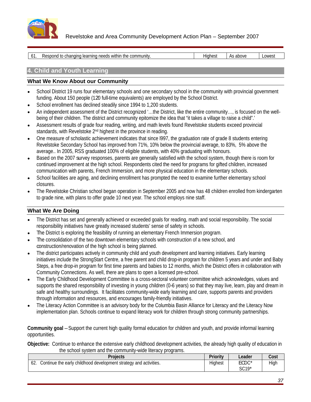

Revelstoke and Area Community Development Action Plan – September 2007

| Hiahe<br>المنافذ ويتمسمون والمستمالة والمشارب<br>As ahov<br>مباعاته المتبدعين<br>changing learning needs. |                                             |        |
|-----------------------------------------------------------------------------------------------------------|---------------------------------------------|--------|
|                                                                                                           |                                             |        |
|                                                                                                           |                                             |        |
| $\sim$ $\sim$                                                                                             | would to m<br>g neeas within the community. | Lowest |

# **4. Child and Youth Learning**

### **What We Know About our Community**

- School District 19 runs four elementary schools and one secondary school in the community with provincial government  $\bullet$ funding. About 150 people (120 full-time equivalents) are employed by the School District.
- School enrollment has declined steadily since 1994 to 1,200 students.
- An independent assessment of the District recognized '…the District, like the entire community…, is focused on the well being of their children. The district and community epitomize the idea that "it takes a village to raise a child".'
- Assessment results of grade four reading, writing, and math levels found Revelstoke students exceed provincial standards, with Revelstoke 2<sup>nd</sup> highest in the province in reading.
- One measure of scholastic achievement indicates that since l997, the graduation rate of grade 8 students entering Revelstoke Secondary School has improved from 71%, 10% below the provincial average, to 83%, 5% above the average.. In 2005, RSS graduated 100% of eligible students, with 40% graduating with honours.
- Based on the 2007 survey responses, parents are generally satisfied with the school system, though there is room for continued improvement at the high school. Respondents cited the need for programs for gifted children, increased communication with parents, French Immersion, and more physical education in the elementary schools.
- School facilities are aging, and declining enrollment has prompted the need to examine further elementary school closures. The contract of the contract of the contract of the contract of the contract of the contract of the contract of the contract of the contract of the contract of the contract of the contract of the contract of the
- The Revelstoke Christian school began operation in September 2005 and now has 48 children enrolled from kindergarten to grade nine, with plans to offer grade 10 next year. The school employs nine staff.

# **What We Are Doing**

- The District has set and generally achieved or exceeded goals for reading, math and social responsibility. The social responsibility initiatives have greatly increased students' sense of safety in schools.
- 
- The District is exploring the feasibility of running an elementary French Immersion program. The consolidation of the two downtown elementary schools with construction of a new school, and
- construction/renovation of the high school is being planned. The district participates actively in community child and youth development and learning initiatives. Early learning initiatives include the StrongStart Centre, a free parent and child drop-in program for children 5 years and under and Baby Steps, a free drop-in program for first time parents and babies to 12 months, which the District offers in collaboration with Community Connections. As well, there are plans to open a licensed pre-school.
- The Early Childhood Development Committee is a cross-sectoral volunteer committee which acknowledges, values and supports the shared responsibility of investing in young children (0-6 years) so that they may live, learn, play and dream in safe and healthy surroundings. It facilitates community-wide early learning and care, supports parents and providers through information and resources, and encourages family-friendly initiatives.
- The Literacy Action Committee is an advisory body for the Columbia Basin Alliance for Literacy and the Literacy Now implementation plan. Schools continue to expand literacy work for children through strong community partnerships.

**Community goal** – Support the current high quality formal education for children and youth, and provide informal learning opportunities.

**Objective:** Continue to enhance the extensive early childhood development activities, the already high quality of education in the school system and the community-wide literacy programs.

| _____<br><b>Project</b>                                             | $B = 1$<br> | <u>Leader</u><br>$-$ | $\Gamma$ net<br>ovv. |
|---------------------------------------------------------------------|-------------|----------------------|----------------------|
| . Continue the early childhood development strategy and activities. | Hiaher      | $CCDC*$<br>∼         | مانت ال              |
|                                                                     |             | $C010*$<br>0010      |                      |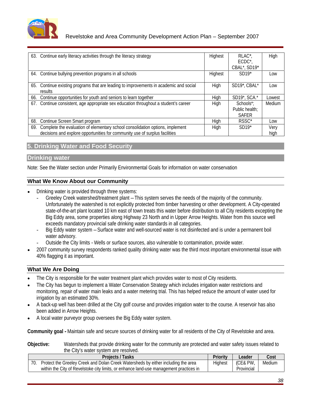

# Revelstoke and Area Community Development Action Plan – September 2007

| 63. Continue early literacy activities through the literacy strategy                                                                                             | Highest      | RLAC*,<br>ECDC*,<br>CBAL*, SD19*          | High         |
|------------------------------------------------------------------------------------------------------------------------------------------------------------------|--------------|-------------------------------------------|--------------|
| 64. Continue bullying prevention programs in all schools                                                                                                         | Highest      | $SD19*$                                   | Low          |
| 35. Continue existing programs that are leading to improvements in academic and social                                                                           | Hiah         | SD19 <sup>*</sup> , CBAL <sup>*</sup> Low |              |
| 66. Continue opportunities for youth and seniors to learn together                                                                                               |              | SD19*, SCA.*                              | Lowest       |
| 37. Continue consistent, age appropriate sex education throughout a student's career                                                                             | <b>Lliah</b> | Schools*;<br>Public health;<br>SAFER      | Medium       |
| 68. Continue Screen Smart program                                                                                                                                |              |                                           | Low          |
| 69. Complete the evaluation of elementary school consolidation options, implement<br>decisions and explore opportunities for community use of surplus facilities |              | $SD19*$                                   | Very<br>hiah |

# **5. Drinking Water and Food Security**

### **Drinking water**

Note: See the Water section under Primarily Environmental Goals for information on water conservation

# **What We Know About our Community**

- Drinking water is provided through three systems:
	- Greeley Creek watershed/treatment plant This system serves the needs of the majority of the community. Unfortunately the watershed is not explicitly protected from timber harvesting or other development. A City-operated state-of-the-art plant located 10 km east of town treats this water before distribution to all City residents excepting the Big Eddy area, some properties along Highway 23 North and in Upper Arrow Heights. Water from this source well exceeds mandatory provincial safe drinking water standards in all categories.
	- Big Eddy water system Surface water and well-sourced water is not disinfected and is under a permanent boil water advisory.
	- Outside the City limits Wells or surface sources, also vulnerable to contamination, provide water.
- 2007 community survey respondents ranked quality drinking water was the third most important environmental issue with 40% flagging it as important.

# **What We Are Doing**

- The City is responsible for the water treatment plant which provides water to most of City residents.
- The City has begun to implement a Water Conservation Strategy which includes irrigation water restrictions and monitoring, repair of water main leaks and a water metering trial. This has helped reduce the amount of water used for irrigation by an estimated 30%.
- A back-up well has been drilled at the City golf course and provides irrigation water to the course. A reservoir has also been added in Arrow Heights.
- A local water purveyor group oversees the Big Eddy water system.

**Community goal -** Maintain safe and secure sources of drinking water for all residents of the City of Revelstoke and area.

**Objective:** Watersheds that provide drinking water for the community are protected and water safety issues related to the City's water system are resolved.

| Projects / Tasks                                                                                              |        | ملممہ                            | Cost                          |
|---------------------------------------------------------------------------------------------------------------|--------|----------------------------------|-------------------------------|
| , either including the area<br>∪reek and Dolan Creek Watersheds by either in <sup>1</sup><br>rotect the Greel | Highes | $\sim$ $\sim$ $\sim$<br>(CE& PW, | $M$ odiu<br><b>INICUIUIII</b> |
| , or enhance land-use management practices in<br>v of Revelstoke citv li<br>гше сло                           |        | Provincial                       |                               |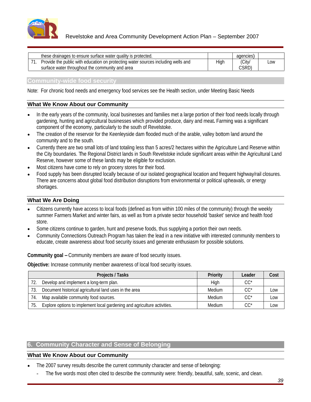

**Community-wide food security**

Note: For chronic food needs and emergency food services see the Health section, under Meeting Basic Needs

### **What We Know About our Community**

- In the early years of the community, local businesses and families met a large portion of their food needs locally through gardening, hunting and agricultural businesses which provided produce, dairy and meat**.** Farming was a significant component of the economy, particularly to the south of Revelstoke.
- The creation of the reservoir for the Keenleyside dam flooded much of the arable, valley bottom land around the community and to the south.
- Currently there are two small lots of land totaling less than 5 acres/2 hectares within the Agriculture Land Reserve within the City boundaries. The Regional District lands in South Revelstoke include significant areas within the Agricultural Land Reserve, however some of these lands may be eligible for exclusion.
- Most citizens have come to rely on grocery stores for their food.
- Food supply has been disrupted locally because of our isolated geographical location and frequent highway/rail closures. There are concerns about global food distribution disruptions from environmental or political upheavals, or energy shortages. The contract of the contract of the contract of the contract of the contract of the contract of the contract of the contract of the contract of the contract of the contract of the contract of the contract of the

### **What We Are Doing**

- Citizens currently have access to local foods (defined as from within 100 miles of the community) through the weekly summer Farmers Market and winter fairs, as well as from a private sector household 'basket' service and health food store. The contract of the contract of the contract of the contract of the contract of the contract of the contract of the contract of the contract of the contract of the contract of the contract of the contract of the con
- Some citizens continue to garden, hunt and preserve foods, thus supplying a portion their own needs.
- Community Connections Outreach Program has taken the lead in a new initiative with interested community members to educate, create awareness about food security issues and generate enthusiasm for possible solutions.

**Community goal –**Community members are aware of food security issues.

**Objective:** Increase community member awareness of local food security issues.

| <b>Projects / Tasks</b>                                                      | <b>Priority</b> | Leader | Cost |  |
|------------------------------------------------------------------------------|-----------------|--------|------|--|
| 72. Develop and implement a long-term plan.                                  |                 |        |      |  |
| 73. Document historical agricultural land uses in the area                   | Madium          | $CC^*$ | Low  |  |
| 74. Map available community food sources.                                    | Medium          | $CC^*$ | Low  |  |
| 75. Explore options to implement local gardening and agriculture activities. | Medium          | $CC^*$ | Low  |  |

# **6. Community Character and Sense of Belonging**

- The 2007 survey results describe the current community character and sense of belonging:
	- The five words most often cited to describe the community were: friendly, beautiful, safe, scenic, and clean.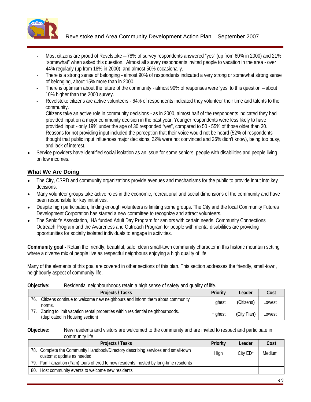

- Most citizens are proud of Revelstoke 78% of survey respondents answered "yes" (up from 60% in 2000) and 21% "somewhat" when asked this question. Almost all survey respondents invited people to vacation in the area - over 44% regularly (up from 18% in 2000), and almost 50% occasionally.
- There is a strong sense of belonging almost 90% of respondents indicated a very strong or somewhat strong sense of belonging, about 15% more than in 2000.
- There is optimism about the future of the community almost 90% of responses were 'yes' to this question about 10% higher than the 2000 survey.
- Revelstoke citizens are active volunteers 64% of respondents indicated they volunteer their time and talents to the community.
- Citizens take an active role in community decisions as in 2000, almost half of the respondents indicated they had provided input on a major community decision in the past year. Younger respondents were less likely to have provided input - only 19% under the age of 30 responded "yes", compared to 50 - 55% of those older than 30. Reasons for not providing input included the perception that their voice would not be heard (52% of respondents thought that public input influences major decisions, 22% were not convinced and 26% didn't know), being too busy, and lack of interest.
- Service providers have identified social isolation as an issue for some seniors, people with disabilities and people living on low incomes.

- The City, CSRD and community organizations provide avenues and mechanisms for the public to provide input into key decisions. The contract of the contract of the contract of the contract of the contract of the contract of the contract of the contract of the contract of the contract of the contract of the contract of the contract of the
- Many volunteer groups take active roles in the economic, recreational and social dimensions of the community and have been responsible for key initiatives.
- Despite high participation, finding enough volunteers is limiting some groups. The City and the local Community Futures Development Corporation has started a new committee to recognize and attract volunteers.
- The Senior's Association, IHA funded Adult Day Program for seniors with certain needs, Community Connections Outreach Program and the Awareness and Outreach Program for people with mental disabilities are providing opportunities for socially isolated individuals to engage in activities.

**Community goal -** Retain the friendly, beautiful, safe, clean small-town community character in this historic mountain setting where a diverse mix of people live as respectful neighbours enjoying a high quality of life.

Many of the elements of this goal are covered in other sections of this plan. This section addresses the friendly, small-town, neighbourly aspect of community life.

#### **Objective:** Residential neighbourhoods retain a high sense of safety and quality of life.

| <b>Projects / Tasks</b>                                                                                          | $D = 1$<br>Priori | Leader      | Cost   |
|------------------------------------------------------------------------------------------------------------------|-------------------|-------------|--------|
| $\overline{z}$<br>J. Citizens continue to welcome new neighbours and inform them about community<br>norms        | Highes.           | (Citizens)  | Lowest |
| Zoning to limit vacation rental properties within residential neighbourhoods.<br>(duplicated in Housing section) | Highes.           | (City Plan) | Lowest |

#### **Objective:** New residents and visitors are welcomed to the community and are invited to respect and participate in community life

| <b>Projects / Tasks</b>                                                                                       | Priority | Leader                      | Cost |
|---------------------------------------------------------------------------------------------------------------|----------|-----------------------------|------|
| 78. Complete the Community Handbook/Directory describing services and small-town<br>customs; update as needed |          | City ED <sup>*</sup> Medium |      |
| 79. Familiarization (Fam) tours offered to new residents, hosted by long-time residents                       |          |                             |      |
| 80. Host community events to welcome new residents                                                            |          |                             |      |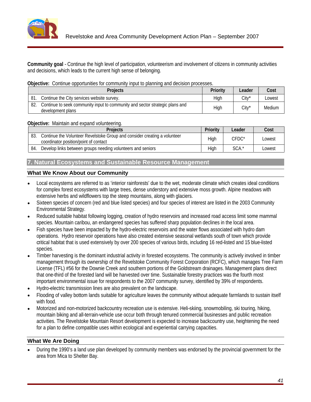

**Community goal** - Continue the high level of participation, volunteerism and involvement of citizens in community activities and decisions, which leads to the current high sense of belonging.

### **Objective:** Continue opportunities for community input to planning and decision processes.

|                                                                                                       | <b>Leader</b> | Cost   |
|-------------------------------------------------------------------------------------------------------|---------------|--------|
| 81. Continue the City services website survey.                                                        | $Citv^*$      | Lowest |
| 82. Continue to seek community input to community and sector strategic plans and<br>development plans | $Citv^*$      | Medium |

### **Objective:** Maintain and expand volunteering.

| ___<br><b>Dealaat</b><br>TUJULE                                   |                                                                      | ەلەم ا<br>$-$       | UUSL   |
|-------------------------------------------------------------------|----------------------------------------------------------------------|---------------------|--------|
| $\sim$<br>Contin'<br>ບບ.<br>coordinator position/point of contact | nue the Volunteer Revelstoke Group and consider creating a volunteer | CEDC                | Lowest |
| 84. Develop links between groups needing volunteers and seniors   |                                                                      | $C^{\wedge}$<br>ישט | LUWCOL |

# **7. Natural Ecosystems and Sustainable Resource Management**

### **What We Know About our Community**

- Local ecosystems are referred to as 'interior rainforests' due to the wet, moderate climate which creates ideal conditions for complex forest ecosystems with large trees, dense understory and extensive moss growth. Alpine meadows with extensive herbs and wildflowers top the steep mountains, along with glaciers.
- Sixteen species of concern (red and blue listed species) and four species of interest are listed in the 2003 Community Environmental Strategy.
- Reduced suitable habitat following logging, creation of hydro reservoirs and increased road access limit some mammal species. Mountain caribou, an endangered species has suffered sharp population declines in the local area.
- Fish species have been impacted by the hydro-electric reservoirs and the water flows associated with hydro dam operations. Hydro reservoir operations have also created extensive seasonal wetlands south of town which provide critical habitat that is used extensively by over 200 species of various birds, including 16 red-listed and 15 blue-listed species. The contract of the contract of the contract of the contract of the contract of the contract of the contract of the contract of the contract of the contract of the contract of the contract of the contract of the c
- Timber harvesting is the dominant industrial activity in forested ecosystems. The community is actively involved in timber management through its ownership of the Revelstoke Community Forest Corporation (RCFC), which manages Tree Farm License (TFL) #56 for the Downie Creek and southern portions of the Goldstream drainages. Management plans direct that one-third of the forested land will be harvested over time. Sustainable forestry practices was the fourth most important environmental issue for respondents to the 2007 community survey, identified by 39% of respondents.
- Hydro-electric transmission lines are also prevalent on the landscape.
- Flooding of valley bottom lands suitable for agriculture leaves the community without adequate farmlands to sustain itself with food.
- Motorized and non-motorized backcountry recreation use is extensive. Heli-skiing, snowmobiling, ski touring, hiking, mountain biking and all-terrain-vehicle use occur both through tenured commercial businesses and public recreation activities. The Revelstoke Mountain Resort development is expected to increase backcountry use, heightening the need for a plan to define compatible uses within ecological and experiential carrying capacities.

### **What We Are Doing**

During the 1990's a land use plan developed by community members was endorsed by the provincial government for the area from Mica to Shelter Bay.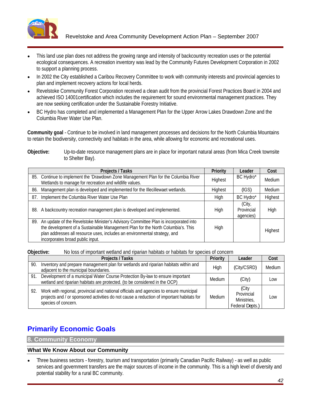

- This land use plan does not address the growing range and intensity of backcountry recreation uses or the potential ecological consequences. A recreation inventory was lead by the Community Futures Development Corporation in 2002 to support a planning process.
- In 2002 the City established a Caribou Recovery Committee to work with community interests and provincial agencies to  $\bullet$ plan and implement recovery actions for local herds.
- Revelstoke Community Forest Corporation received a clean audit from the provincial Forest Practices Board in 2004 and achieved ISO 14001certification which includes the requirement for sound environmental management practices. They are now seeking certification under the Sustainable Forestry Initiative.
- BC Hydro has completed and implemented a Management Plan for the Upper Arrow Lakes Drawdown Zone and the Columbia River Water Use Plan.

**Community goal** - Continue to be involved in land management processes and decisions for the North Columbia Mountains to retain the biodiversity, connectivity and habitats in the area, while allowing for economic and recreational uses.

**Objective:** Up-to-date resource management plans are in place for important natural areas (from Mica Creek townsite to Shelter Bay).

| <b>Projects / Tasks</b>                                                                                                                                                                                                                                                                     |                | Priority   Leader       | <b>Cost</b> |
|---------------------------------------------------------------------------------------------------------------------------------------------------------------------------------------------------------------------------------------------------------------------------------------------|----------------|-------------------------|-------------|
| 85. Continue to implement the 'Drawdown Zone Management Plan for the Columbia River<br>Wetlands to manage for recreation and wildlife values.                                                                                                                                               | <b>Highest</b> | BC Hydro*               | Medium      |
| <sup>1</sup> 86. Management plan is developed and implemented for the Illecillewaet wetlands.                                                                                                                                                                                               |                | (IGS)                   | Medium      |
| 87. Implement the Columbia River Water Use Plan                                                                                                                                                                                                                                             |                | BC Hydro*               | Highest     |
| 88. A backcountry recreation management plan is developed and implemented.                                                                                                                                                                                                                  |                | Provincial<br>agencies) | High        |
| 89. An update of the Revelstoke Minister's Advisory Committee Plan is incorporated into<br>the development of a Sustainable Management Plan for the North Columbia's. This<br>plan addresses all resource uses, includes an environmental strategy, and<br>incorporates broad public input. |                |                         | Highest     |

**Objective:** No loss of important wetland and riparian habitats or habitats for species of concern

| <b>Projects / Tasks</b>                                                                                                                                                                                                 | Priority | Leader                                             | <b>Cost</b> |
|-------------------------------------------------------------------------------------------------------------------------------------------------------------------------------------------------------------------------|----------|----------------------------------------------------|-------------|
| Inventory and prepare management plan for wetlands and riparian habitats within and<br>adjacent to the municipal boundaries.                                                                                            |          | (City/CSRD)                                        | Medium      |
| . Development of a municipal Water Course Protection By-law to ensure important<br>wetland and riparian habitats are protected. (to be considered in the OCP)                                                           | Medium   | (City)                                             | Low         |
| 92. Work with regional, provincial and national officials and agencies to ensure municipal<br>projects and / or sponsored activities do not cause a reduction of important habitats for   Medium<br>species of concern. |          | Provincial<br><b>Ministries</b><br>Federal Depts.) | Low         |

# **Primarily Economic Goals**

**8. Community Economy**

### **What We Know About our Community**

Three business sectors - forestry, tourism and transportation (primarily Canadian Pacific Railway) - as well as public services and government transfers are the major sources of income in the community. This is a high level of diversity and potential stability for a rural BC community.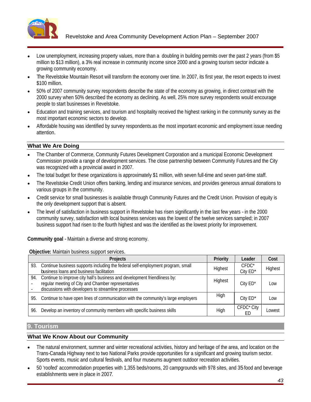

- Low unemployment, increasing property values, more than a doubling in building permits over the past 2 years (from \$5 million to \$13 million), a 3% real increase in community income since 2000 and a growing tourism sector indicate a growing community economy.
- The Revelstoke Mountain Resort will transform the economy over time. In 2007, its first year, the resort expects to invest  $$100$  million.
- 50% of 2007 community survey respondents describe the state of the economy as growing, in direct contrast with the 2000 survey when 50% described the economy as declining. As well, 25% more survey respondents would encourage people to start businesses in Revelstoke.<br>Education and training services, and tourism and hospitality received the highest ranking in the community survey as the
- most important economic sectors to develop.
- Affordable housing was identified by survey respondents.as the most important economic and employment issue needing attention.

- The Chamber of Commerce, Community Futures Development Corporation and a municipal Economic Development Commission provide a range of development services. The close partnership between Community Futures and the City was recognized with a provincial award in 2007.
- The total budget for these organizations is approximately \$1 million, with seven full-time and seven part-time staff.
- The Revelstoke Credit Union offers banking, lending and insurance services, and provides generous annual donations to various groups in the community.
- Credit service for small businesses is available through Community Futures and the Credit Union. Provision of equity is the only development support that is absent.
- The level of satisfaction in business support in Revelstoke has risen significantly in the last few years in the 2000 community survey, satisfaction with local business services was the lowest of the twelve services sampled; in 2007 business support had risen to the fourth highest and was the identified as the lowest priority for improvement.

**Community goal** - Maintain a diverse and strong economy.

#### **Objective:** Maintain business support services.

| Projects                                                                                                                                                                                   | <b>Priority</b> | Leade                        | Cost    |
|--------------------------------------------------------------------------------------------------------------------------------------------------------------------------------------------|-----------------|------------------------------|---------|
| 93. Continue business supports including the federal self-employment program, small<br>business loans and business facilitation                                                            | Highest         | CFDC*<br>City ED*            | Highest |
| 4. Continue to improve city hall's business and development friendliness by:<br>regular meeting of City and Chamber representatives<br>discussions with developers to streamline processes | Highes          | City ED*                     | Low     |
| 95. Continue to have open lines of communication with the community's large employers                                                                                                      | High            | City ED*                     | Low     |
| 96. Develop an inventory of community members with specific business skills                                                                                                                | High            | CFDC <sup>*</sup> City<br>ED | Lowest  |

### **9. Tourism**

- The natural environment, summer and winter recreational activities, history and heritage of the area, and location on the Trans-Canada Highway next to two National Parks provide opportunities for a significant and growing tourism sector. Sports events, music and cultural festivals, and four museums augment outdoor recreation activities.
- 50 'roofed' accommodation properties with 1,355 beds/rooms, 20 campgrounds with 978 sites, and 35 food and beverage establishments were in place in 2007.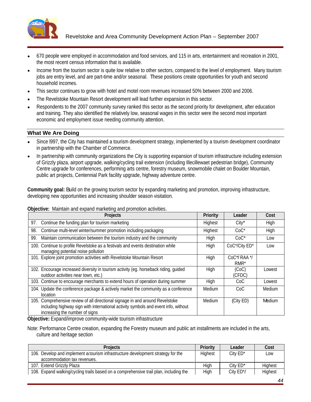

- 670 people were employed in accommodation and food services, and 115 in arts, entertainment and recreation in 2001, the most recent census information that is available.
- Income from the tourism sector is quite low relative to other sectors, compared to the level of employment. Many tourism jobs are entry level, and are part-time and/or seasonal. These positions create opportunities for youth and second household incomes.
- This sector continues to grow with hotel and motel room revenues increased 50% between 2000 and 2006.
- The Revelstoke Mountain Resort development will lead further expansion in this sector.
- Respondents to the 2007 community survey ranked this sector as the second priority for development, after education and training. They also identified the relatively low, seasonal wages in this sector were the second most important economic and employment issue needing community attention.

- Since l997, the City has maintained a tourism development strategy, implemented by a tourism development coordinator in partnership with the Chamber of Commerce.
- In partnership with community organizations the City is supporting expansion of tourism infrastructure including extension of Grizzly plaza, airport upgrade, walking/cycling trail extension (including Illecillewaet pedestrian bridge), Community Centre upgrade for conferences, performing arts centre, forestry museum, snowmobile chalet on Boulder Mountain, public art projects, Centennial Park facility upgrade, highway adventure centre.

**Community goal:** Build on the growing tourism sector by expanding marketing and promotion, improving infrastructure, developing new opportunities and increasing shoulder season visitation.

| Objective: Maintain and expand marketing and promotion activities. |
|--------------------------------------------------------------------|
|--------------------------------------------------------------------|

| Projects                                                                                                                                                                                              | <b>Priority</b> | Leade <sup>r</sup> | Cost        |
|-------------------------------------------------------------------------------------------------------------------------------------------------------------------------------------------------------|-----------------|--------------------|-------------|
| 7. Continue the funding plan for tourism marketing                                                                                                                                                    | Highest         | $City^*$           | <b>High</b> |
| 98. Continue multi-level winter/summer promotion including packaging                                                                                                                                  | Highest         | $CoC^*$            | High        |
| 9. Maintain communication between the tourism industry and the community                                                                                                                              | High            | $CoC^*$            |             |
| 100. Continue to profile Revelstoke as a festivals and events destination while<br>managing potential noise pollution                                                                                 | High            | CoC*/City ED*      | Low         |
| <sup>1</sup> 101. Explore joint promotion activities with Revelstoke Mountain Resort                                                                                                                  | High            | CoC*/RAA           |             |
| 102. Encourage increased diversity in tourism activity (eg. horseback riding, guided<br>outdoor activities near town, etc.)                                                                           | High            | (CoC)<br>(CFDC)    | Lowest      |
| 103. Continue to encourage merchants to extend hours of operation during summer                                                                                                                       | High            |                    | Lowest      |
| 1104. Update the conference package & actively market the community as a conference                                                                                                                   | Medium          | CoC                | Medium      |
| 105. Comprehensive review of all directional signage in and around Revelstoke<br>including highway sign with international activity symbols and event info, without<br>increasing the number of signs | Medium          | (City ED)          | Medium      |

**Objective:** Expand/improve community-wide tourism infrastructure

Note: Performance Centre creation, expanding the Forestry museum and public art installments are included in the arts, culture and heritage section

| TOJECTS                                                                               | <b>Priority</b> | Leader       | Cost    |
|---------------------------------------------------------------------------------------|-----------------|--------------|---------|
| 106. Develop and implement a tourism infrastructure development strategy for the      | Hiahes          | City ED*     |         |
| accommodation tax revenues.                                                           |                 |              |         |
| 107. Extend Grizzly Plaza                                                             |                 | $City$ $ED*$ | Highest |
| 108. Expand walking/cycling trails based on a comprehensive trail plan, including the | High            | City ED*/    | Highest |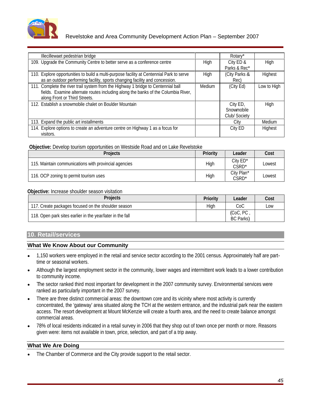

| Illecillewaet pedestrian bridge                                                                                                                                                                        |        | Rotary*                                |             |
|--------------------------------------------------------------------------------------------------------------------------------------------------------------------------------------------------------|--------|----------------------------------------|-------------|
| 109. Upgrade the Community Centre to better serve as a conference centre                                                                                                                               | High   | ∿ ∪uy ⊏∪ α<br>Parks & Rec*             |             |
| 10. Explore opportunities to build a multi-purpose facility at Centennial Park to serve<br>as an outdoor performing facility, sports changing facility and concession.                                 | High   | City Parks &                           | Highest     |
| 11. Complete the river trail system from the Highway 1 bridge to Centennial ball<br>fields. Examine alternate routes including along the banks of the Columbia River,<br>along Front or Third Streets. | Medium | (City Ed)                              | Low to High |
| 12. Establish a snowmobile chalet on Boulder Mountain                                                                                                                                                  |        | `itv FD<br>Snowmobile<br>Club/ Society |             |
| 13. Expand the public art installments                                                                                                                                                                 |        |                                        | Medium      |
| 114. Explore options to create an adventure centre on Highway 1 as a focus for                                                                                                                         |        | City ED -                              | Highest     |

#### **Objective:** Develop tourism opportunities on Westside Road and on Lake Revelstoke

| $\sim$ $\sim$<br>___<br><b>Projects</b>               | <b>Priority</b> | Leader                     | Cost   |
|-------------------------------------------------------|-----------------|----------------------------|--------|
| 115. Maintain communications with provincial agencies | - 11 11 1       | City $ED^*$<br><b>CSRD</b> | Lowest |
| 116. OCP zoning to permit tourism uses                |                 | City Plan*<br><b>CSRD</b>  | Lowest |

#### **Objective:** Increase shoulder season visitation

| <b>PIUJECIS</b>                                            | $D - L - L$<br>Leader<br><b>Priority</b> | Cost |
|------------------------------------------------------------|------------------------------------------|------|
| 117. Create packages focused on the shoulder season        | $\sim$ $\sim$<br>◡◡                      | Low  |
| 118. Open park sites earlier in the year/later in the fall | $\sqrt{200}$ , $\sqrt{2}$ ,<br>BC Parks) |      |

# **10. Retail/services**

# **What We Know About our Community**

- 1,150 workers were employed in the retail and service sector according to the 2001 census. Approximately half are parttime or seasonal workers.
- Although the largest employment sector in the community, lower wages and intermittent work leads to a lower contribution  $\bullet$ to community income.
- The sector ranked third most important for development in the 2007 community survey. Environmental services were ranked as particularly important in the 2007 survey.
- There are three distinct commercial areas: the downtown core and its vicinity where most activity is currently concentrated, the 'gateway' area situated along the TCH at the western entrance, and the industrial park near the eastern access. The resort development at Mount McKenzie will create a fourth area, and the need to create balance amongst commercial areas.<br>78% of local residents indicated in a retail survey in 2006 that they shop out of town once per month or more. Reasons
- given were: items not available in town, price, selection, and part of a trip away.

### **What We Are Doing**

The Chamber of Commerce and the City provide support to the retail sector.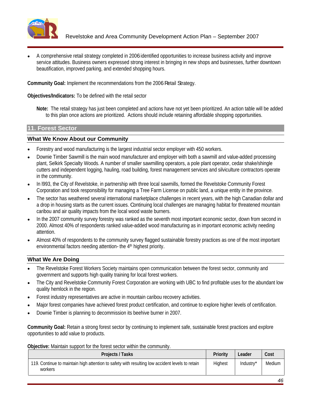

A comprehensive retail strategy completed in 2006 identified opportunities to increase business activity and improve service attitudes. Business owners expressed strong interest in bringing in new shops and businesses, further downtown beautification, improved parking, and extended shopping hours.

**Community Goal:** Implement the recommendations from the 2006 Retail Strategy.

**Objectives/Indicators:** To be defined with the retail sector

**Note:** The retail strategy has just been completed and actions have not yet been prioritized. An action table will be added to this plan once actions are prioritized. Actions should include retaining affordable shopping opportunities.

#### **11. Forest Sector**

### **What We Know About our Community**

- Forestry and wood manufacturing is the largest industrial sector employer with 450 workers.
- Downie Timber Sawmill is the main wood manufacturer and employer with both a sawmill and value-added processing plant, Selkirk Specialty Woods. A number of smaller sawmilling operators, a pole plant operator, cedar shake/shingle cutters and independent logging, hauling, road building, forest management services and silviculture contractors operate in the community.
- In l993, the City of Revelstoke, in partnership with three local sawmills, formed the Revelstoke Community Forest Corporation and took responsibility for managing a Tree Farm License on public land, a unique entity in the province.
- The sector has weathered several international marketplace challenges in recent years, with the high Canadian dollar and a drop in housing starts as the current issues. Continuing local challenges are managing habitat for threatened mountain caribou and air quality impacts from the local wood waste burners.
- In the 2007 community survey forestry was ranked as the seventh most important economic sector, down from second in 2000. Almost 40% of respondents ranked value-added wood manufacturing as in important economic activity needing attention.
- Almost 40% of respondents to the community survey flagged sustainable forestry practices as one of the most important environmental factors needing attention- the 4<sup>th</sup> highest priority.

# **What We Are Doing**

- The Revelstoke Forest Workers Society maintains open communication between the forest sector, community and government and supports high quality training for local forest workers.
- The City and Revelstoke Community Forest Corporation are working with UBC to find profitable uses for the abundant low quality hemlock in the region.
- Forest industry representatives are active in mountain caribou recovery activities.
- Major forest companies have achieved forest product certification, and continue to explore higher levels of certification.
- Downie Timber is planning to decommission its beehive burner in 2007.

**Community Goal:** Retain a strong forest sector by continuing to implement safe, sustainable forest practices and explore opportunities to add value to products.

**Objective:** Maintain support for the forest sector within the community.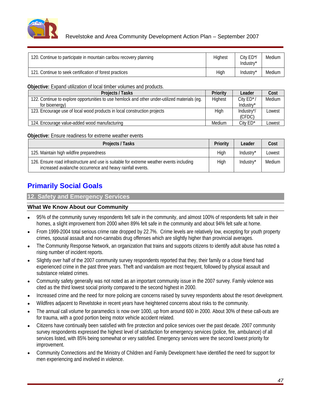

**Objective:** Expand utilization of local timber volumes and products.

| <b>Projects / Tasks</b>                                                                       | Leader                                                        | Cost                  |
|-----------------------------------------------------------------------------------------------|---------------------------------------------------------------|-----------------------|
| 122. Continue to explore opportunities to use hemlock and other under-utilized materials (eg. |                                                               | $City$ $ED^*/$ Medium |
| for bioenerr                                                                                  | lndustrv*                                                     |                       |
| 123. Encourage use of local wood products in local construction projects                      | . Industry*/                                                  | Lowest                |
|                                                                                               | (CFDC)                                                        |                       |
| 124. Encourage value-added wood manufacturing                                                 | City ED*   Lowest<br>the contract of the contract of the con- |                       |

### **Objective:** Ensure readiness for extreme weather events

| <b>Projects / Tasks</b>                                                                                                                               |  | Priority Leader Cost |
|-------------------------------------------------------------------------------------------------------------------------------------------------------|--|----------------------|
| 125. Maintain high wildfire preparedness                                                                                                              |  | Industry* Lowest     |
| 126. Ensure road infrastructure and use is suitable for extreme weather events including<br>increased avalanche occurrence and heavy rainfall events. |  | Industry* Medium     |

# **Primarily Social Goals**

**12. Safety and Emergency Services** 

- 95% of the community survey respondents felt safe in the community, and almost 100% of respondents felt safe in their homes, a slight improvement from 2000 when 89% felt safe in the community and about 94% felt safe at home.
- From 1999-2004 total serious crime rate dropped by 22.7%. Crime levels are relatively low, excepting for youth property crimes, spousal assault and non-cannabis drug offenses which are slightly higher than provincial averages.
- The Community Response Network, an organization that trains and supports citizens to identify adult abuse has noted a rising number of incident reports.
- Slightly over half of the 2007 community survey respondents reported that they, their family or a close friend had experienced crime in the past three years. Theft and vandalism are most frequent, followed by physical assault and substance related crimes.
- Community safety generally was not noted as an important community issue in the 2007 survey. Family violence was cited as the third lowest social priority compared to the second highest in 2000.
- Increased crime and the need for more policing are concerns raised by survey respondents about the resort development.
- Wildfires adjacent to Revelstoke in recent years have heightened concerns about risks to the community.
- The annual call volume for paramedics is now over 1000, up from around 600 in 2000. About 30% of these call-outs are for trauma, with a good portion being motor vehicle accident related.
- Citizens have continually been satisfied with fire protection and police services over the past decade. 2007 community survey respondents expressed the highest level of satisfaction for emergency services (police, fire, ambulance) of all services listed, with 85% being somewhat or very satisfied. Emergency services were the second lowest priority for improvement.
- Community Connections and the Ministry of Children and Family Development have identified the need for support for men experiencing and involved in violence.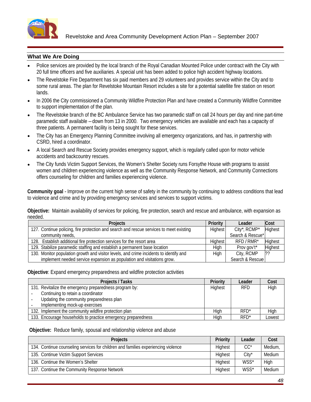

- Police services are provided by the local branch of the Royal Canadian Mounted Police under contract with the City with 20 full time officers and five auxiliaries. A special unit has been added to police high accident highway locations.
- The Revelstoke Fire Department has six paid members and 29 volunteers and provides service within the City and to some rural areas. The plan for Revelstoke Mountain Resort includes a site for a potential satellite fire station on resort lands. The contract of the contract of the contract of the contract of the contract of the contract of the contract of the contract of the contract of the contract of the contract of the contract of the contract of the con
- In 2006 the City commissioned a Community Wildfire Protection Plan and have created a Community Wildfire Committee to support implementation of the plan.
- The Revelstoke branch of the BC Ambulance Service has two paramedic staff on call 24 hours per day and nine part-time paramedic staff available – down from 13 in 2000. Two emergency vehicles are available and each has a capacity of three patients. A permanent facility is being sought for these services.
- The City has an Emergency Planning Committee involving all emergency organizations, and has, in partnership with CSRD, hired a coordinator.
- A local Search and Rescue Society provides emergency support, which is regularly called upon for motor vehicle accidents and backcountry rescues.
- The City funds Victim Support Services, the Women's Shelter Society runs Forsythe House with programs to assist women and children experiencing violence as well as the Community Response Network, and Community Connections offers counseling for children and families experiencing violence.

**Community goal** - Improve on the current high sense of safety in the community by continuing to address conditions that lead to violence and crime and by providing emergency services and services to support victims.

**Objective:** Maintain availability of services for policing, fire protection, search and rescue and ambulance, with expansion as needed. And a structure of the control of the control of the control of the control of the control of the control of the control of the control of the control of the control of the control of the control of the control of

| <b>Projects</b>                                                                        | <b>Priority</b> | Leadr                |         |
|----------------------------------------------------------------------------------------|-----------------|----------------------|---------|
| ". Continue policing, fire protection and search and rescue services to meet existing  | Highest         | City*, RCMP* Highest |         |
| community needs                                                                        |                 | Search & Rescue*     |         |
| 128. Establish additional fire protection services for the resort area                 |                 | RFD/RMR*             |         |
| 129. Stabilize paramedic staffing and establish a permanent base location              |                 |                      | Highest |
| 130. Monitor population growth and visitor levels, and crime incidents to identify and | طحنل            | City, RCMP           |         |
| implement needed service expansion as population and visitations grow.                 |                 | Search & Rescue      |         |

**Objective:** Expand emergency preparedness and wildfire protection activities

| Projects / Tasks                                             | Priority | Leader  | <b>Cos</b> |
|--------------------------------------------------------------|----------|---------|------------|
| 131. Revitalize the emergency preparedness program by:       | Highest  | RFD     |            |
| Continuing to retain a coordinator                           |          |         |            |
| Updating the community preparedness plan                     |          |         |            |
| Implementing mock-up exercises                               |          |         |            |
| 132. Implement the community wildfire protection plan        |          |         |            |
| 133. Encourage households to practice emergency preparedness |          | $- - -$ | Lowest     |

#### **Objective:** Reduce family, spousal and relationship violence and abuse

| <b>Projects</b>                                                                   | Priority Leader Cost |       |             |
|-----------------------------------------------------------------------------------|----------------------|-------|-------------|
| 134. Continue counseling services for children and families experiencing violence |                      |       | Medium,     |
| 135. Continue Victim Support Services                                             |                      | City* | Medium      |
| 136. Continue the Women's Shelter                                                 |                      | ៴៴៶៴  |             |
| 137. Continue the Community Response Network                                      |                      |       | WSS* Medium |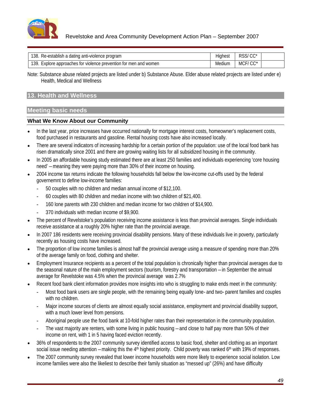

Note: Substance abuse related projects are listed under b) Substance Abuse. Elder abuse related projects are listed under e) Health, Medical and Wellness

# **13. Health and Wellness**

# **Meeting basic needs**

- In the last year, price increases have occurred nationally for mortgage interest costs, homeowner's replacement costs,  $\bullet$ food purchased in restaurants and gasoline. Rental housing costs have also increased locally.
- There are several indicators of increasing hardship for a certain portion of the population: use of the local food bank has risen dramatically since 2001 and there are growing waiting lists for all subsidized housing in the community.
- In 2005 an affordable housing study estimated there are at least 250 families and individuals experiencing 'core housing need' – meaning they were paying more than 30% of their income on housing.<br>2004 income tax returns indicate the following households fall below the low-income cut-offs used by the federal
- governemnt to define low-income families:
	- 50 couples with no children and median annual income of \$12,100.
	- 60 couples with 80 children and median income with two children of \$21,400.
	- 160 lone parents with 230 children and median income for two children of \$14,900.
	- 370 individuals with median income of \$9,900.
- The percent of Revelstoke's population receiving income assistance is less than provincial averages. Single individuals receive assistance at a roughly 20% higher rate than the provincial average.
- In 2007 186 residents were receiving provincial disability pensions. Many of these individuals live in poverty, particularly recently as housing costs have increased.
- The proportion of low income families is almost half the provincial average using a measure of spending more than 20% of the average family on food, clothing and shelter.
- Employment Insurance recipients as a percent of the total population is chronically higher than provincial averages due to the seasonal nature of the main employment sectors (tourism, forestry and transportation – in September the annual average for Revelstoke was 4.5% when the provincial average was 2.7%
- Recent food bank client information provides more insights into who is struggling to make ends meet in the community:
	- Most food bank users are single people, with the remaining being equally lone- and two- parent families and couples with no children.
	- Major income sources of clients are almost equally social assistance, employment and provincial disability support, with a much lower level from pensions.
	- Aboriginal people use the food bank at 10-fold higher rates than their representation in the community population.
	- The vast majority are renters, with some living in public housing and close to half pay more than 50% of their income on rent, with 1 in 5 having faced eviction recently.
- 36% of respondents to the 2007 community survey identified access to basic food, shelter and clothing as an important social issue needing attention – making this the  $4<sup>th</sup>$  highest priority. Child poverty was ranked  $6<sup>th</sup>$  with 19% of responses.
- The 2007 community survey revealed that lower income households were more likely to experience social isolation. Low income families were also the likeliest to describe their family situation as "messed up" (26%) and have difficulty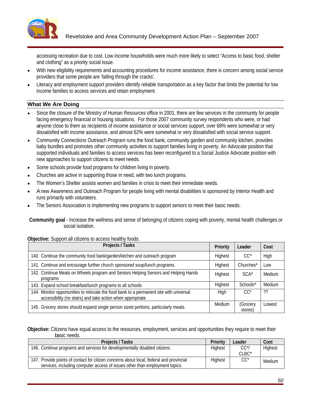

accessing recreation due to cost. Low income households were much more likely to select "Access to basic food, shelter and clothing" as a priority social issue.

- With new eligibility requirements and accounting procedures for income assistance, there is concern among social service providers that some people are 'falling through the cracks'.
- Literacy and employment support providers identify reliable transportation as a key factor that limits the potential for low income families to access services and retain employment.

# **What We Are Doing**

- Since the closure of the Ministry of Human Resources office in 2001, there are few services in the community for people facing emergency financial or housing situations. For those 2007 community survey respondents who were, or had anyone close to them as recipients of income assistance or social services support, over 68% were somewhat or very dissatisfied with income assistance, and almost 62% were somewhat or very dissatisfied with social service support.
- Community Connections Outreach Program runs the food bank, community garden and community kitchen, provides baby bundles and promotes other community activities to support families living in poverty. An Advocate position that supported individuals and families to access services has been reconfigured to a Social Justice Advocate position with new approaches to support citizens to meet needs.
- Some schools provide food programs for children living in poverty.
- Churches are active in supporting those in need, with two lunch programs.
- The Women's Shelter assists women and families in crisis to meet their immediate needs.
- A new Awareness and Outreach Program for people living with mental disabilities is sponsored by Interior Health and runs primarily with volunteers.
- The Seniors Association is implementing new programs to support seniors to meet their basic needs.

**Community goal** - Increase the wellness and sense of belonging of citizens coping with poverty, mental health challenges or social isolation.

#### **Objective:** Support all citizens to access healthy foods.

| Projects / Tasks                                                                                                                                      |         | Priority   Leader                     | <b>Cost</b>       |
|-------------------------------------------------------------------------------------------------------------------------------------------------------|---------|---------------------------------------|-------------------|
| 140. Continue the community food bank/garden/kitchen and outreach program                                                                             |         |                                       |                   |
| 141. Continue and encourage further church sponsored soup/lunch programs.                                                                             |         | Highest Churches*   Low               |                   |
| 142. Continue Meals on Wheels program and Seniors Helping Seniors and Helping Hands<br>programs                                                       | Highest | $SCA*$                                | Medium            |
| 143. Expand school breakfast/lunch programs to all schools                                                                                            |         |                                       | Schools*   Medium |
| 144. Monitor opportunities to relocate the food bank to a permanent site with universal<br>accessibility (no stairs) and take action when appropriate | Hiah    | $CC^*$                                |                   |
| 1 145. Grocery stores should expand single person sized portions, particularly meats.                                                                 |         | Medium   (Grocery   Lowest<br>stores) |                   |

**Objective:** Citizens have equal access to the resources, employment, services and opportunities they require to meet their basic needs. The contract of the contract of the contract of the contract of the contract of the contract of the contract of the contract of the contract of the contract of the contract of the contract of the contract of t

| <b>Projects / Tasks</b>                                                                 | <b>Priority</b> | Leader                          | Cos.   |
|-----------------------------------------------------------------------------------------|-----------------|---------------------------------|--------|
| 146. Continue programs and services for developmentally disabled citizens               |                 | $\Omega$                        | Hiahe  |
|                                                                                         |                 | $\bigcap$ D $\bigcap^*$<br>ULDU |        |
| 147. Provide points of contact for citizen concerns about local, federal and provincial | <b>Highes</b>   | $\sim$                          | Medium |
| cluding computer access of issues other than employment topics.<br>Prvices, including J |                 |                                 |        |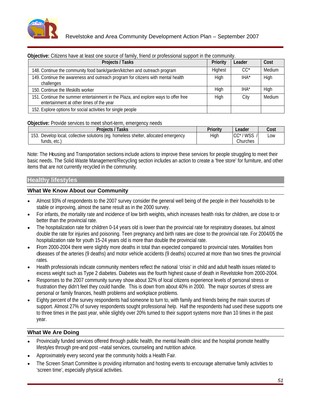

| <b>Objective:</b> Citizens have at least one source of family, friend or professional support in the community.                 |        |             |
|---------------------------------------------------------------------------------------------------------------------------------|--------|-------------|
| <b>Projects / Tasks</b>                                                                                                         | Leader | Cost        |
| 148. Continue the community food bank/garden/kitchen and outreach program                                                       |        | Medium      |
| 149. Continue the awareness and outreach program for citizens with mental health                                                | IHA*   | <b>Fill</b> |
| 150. Continue the lifeskills worker                                                                                             |        |             |
| 151. Continue the summer entertainment in the Plaza, and explore ways to offer free<br>entertainment at other times of the year |        | Medium      |
| 152. Explore options for social activities for single people                                                                    |        |             |

### **Objective:** Provide services to meet short-term, emergency needs

| <b>Projects / Tasks</b>                                                                                         | <b>Priority</b> | Leader                                                                                                    | Cost   |
|-----------------------------------------------------------------------------------------------------------------|-----------------|-----------------------------------------------------------------------------------------------------------|--------|
| 153. Develop local, collective solutions (eg. homeless shelter, allocated emergency                             | <b>Lliah</b>    | $CC^*/WSS$                                                                                                | $\sum$ |
|                                                                                                                 |                 |                                                                                                           | LUW    |
| funde ate                                                                                                       |                 |                                                                                                           |        |
| the contract of the contract of the contract of the contract of the contract of the contract of the contract of |                 | Churche:<br>. <b>.</b><br>the contract of the contract of the contract of the contract of the contract of |        |

Note: The Housing and Transportation sections include actions to improve these services for people struggling to meet their basic needs. The Solid Waste Management/Recycling section includes an action to create a 'free store' for furniture, and other items that are not currently recycled in the community.

### **Healthy lifestyles**

### **What We Know About our Community**

- Almost 93% of respondents to the 2007 survey consider the general well being of the people in their households to be stable or improving, almost the same result as in the 2000 survey.
- For infants, the mortality rate and incidence of low birth weights, which increases health risks for children, are close to or better than the provincial rate.
- The hospitalization rate for children 0-14 years old is lower than the provincial rate for respiratory diseases, but almost double the rate for injuries and poisoning. Teen pregnancy and birth rates are close to the provincial rate. For 2004/05 the hospitalization rate for youth 15-24 years old is more than double the provincial rate.
- From 2000-2004 there were slightly more deaths in total than expected compared to provincial rates. Mortalities from diseases of the arteries (9 deaths) and motor vehicle accidents (9 deaths) occurred at more than two times the provincial rates. The contract of the contract of the contract of the contract of the contract of the contract of the contract of the contract of the contract of the contract of the contract of the contract of the contract of the con
- Health professionals indicate community members reflect the national 'crisis' in child and adult health issues related to excess weight such as Type 2 diabetes. Diabetes was the fourth highest cause of death in Revelstoke from 2000-2004.
- Responses to the 2007 community survey show about 32% of local citizens experience levels of personal stress or frustration they didn't feel they could handle. This is down from about 40% in 2000. The major sources of stress are personal or family finances, health problems and workplace problems.
- Eighty percent of the survey respondents had someone to turn to, with family and friends being the main sources of support. Almost 27% of survey respondents sought professional help. Half the respondents had used these supports one to three times in the past year, while slightly over 20% turned to their support systems more than 10 times in the past year.

# **What We Are Doing**

- Provincially funded services offered through public health, the mental health clinic and the hospital promote healthy lifestyles through pre-and post –natal services, counseling and nutrition advice.
- Approximately every second year the community holds a Health Fair.
- The Screen Smart Committee is providing information and hosting events to encourage alternative family activities to 'screen time', especially physical activities.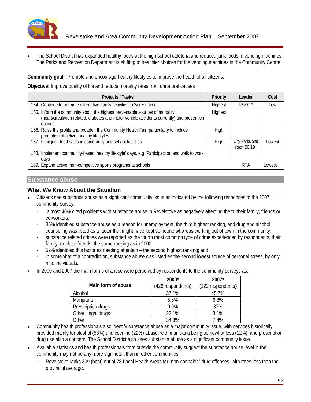

The School District has expanded healthy foods at the high school cafeteria and reduced junk foods in vending machines. The Parks and Recreation Department is shifting to healthier choices for the vending machines in the Community Centre.

**Community goal** - Promote and encourage healthy lifestyles to improve the health of all citizens.

**Objective:** Improve quality of life and reduce mortality rates from unnatural causes

| <b>Projects / Tasks</b>                                                                                                                                                    | <b>Priority</b> | Leader                       | Cost   |
|----------------------------------------------------------------------------------------------------------------------------------------------------------------------------|-----------------|------------------------------|--------|
| 154. Continue to promote alternative family activities to 'screen time'.                                                                                                   | Highest         | RSSC*                        | Low    |
| 155. Inform the community about the highest preventable sources of mortality<br>(heart/circulation-related, diabetes and motor vehicle accidents currently) and prevention | Highest         |                              |        |
| 156. Raise the profile and broaden the Community Health Fair, particularly to include<br>promotion of active, healthy lifestyles                                           | High            |                              |        |
| 157. Limit junk food sales in community and school facilities                                                                                                              |                 | City Parks and<br>Rec* SD19* | Lowest |
| 158. Implement community-based 'healthy lifestyle' days, e.g. Participaction and walk to work                                                                              |                 |                              |        |
| 159. Expand active, non-competitive sports programs at schools                                                                                                             |                 | <b>RTA</b>                   | Lowest |

# **Substance abuse**

### **What We Know About the Situation**

- Citizens see substance abuse as a significant community issue as indicated by the following responses to the 2007 community survey:
	- almost 40% cited problems with substance abuse in Revelstoke as negatively affecting them, their family, friends or co-workers;
	- 36% identified substance abuse as a reason for unemployment, the third highest ranking, and drug and alcohol counseling was listed as a factor that might have kept someone who was working out of town in the community; substance related crimes were reported as the fourth most common type of crime experienced by respondents, their
	- family, or close friends, the same ranking as in 2000;
	- 52% identified this factor as needing attention the second highest ranking; and
	- in somewhat of a contradiction, substance abuse was listed as the second lowest source of personal stress, by only nine individuals.
- In 2000 and 2007 the main forms of abuse were perceived by respondents to the community surveys as:

|                     | ∗חחחר<br>ZUUU     | $2007*$<br>ZUV I                         |
|---------------------|-------------------|------------------------------------------|
| Main form of abuse  | (426 respondents) | (122 respondents)                        |
| Alcohol             | <b>07 40/</b>     | 45.7%                                    |
| Marijuan:           | 5.6%              | 0.001<br>0.0%                            |
| Prescription drugs  | 0.9%              |                                          |
| Other illegal drugs | 22.40/            | 0.401<br>$\cdot$ $\cdot$ $\cdot$ $\cdot$ |
|                     | 0.1001<br>∪י ∪…ט  | 7.40/<br>4.70 /                          |

- Community health professionals also identify substance abuse as a major community issue, with services historically provided mainly for alcohol (58%) and cocaine (22%) abuse, with marijuana being somewhat less (12%), and prescription drug use also a concern. The School District also sees substance abuse as a significant community issue.
- Available statistics and health professionals from outside the community suggest the substance abuse level in the community may not be any more significant than in other communities:
	- Revelstoke ranks 30<sup>th</sup> (best) out of 78 Local Health Areas for "non-cannabis" drug offenses, with rates less than the provincial average.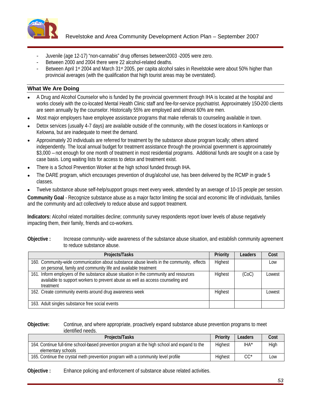

- 
- 
- Juvenile (age 12-17) "non-cannabis" drug offenses between2003 -2005 were zero.<br>Between 2000 and 2004 there were 22 alcohol-related deaths.<br>Between April 1st 2004 and March 31st 2005, per capita alcohol sales in Revelstoke provincial averages (with the qualification that high tourist areas may be overstated).

- A Drug and Alcohol Counselor who is funded by the provincial government through IHA is located at the hospital and works closely with the co-located Mental Health Clinic staff and fee-for-service psychiatrist. Approximately 150-200 clients are seen annually by the counselor. Historically 55% are employed and almost 60% are men.
- Most major employers have employee assistance programs that make referrals to counseling available in town.
- Detox services (usually 4-7 days) are available outside of the community, with the closest locations in Kamloops or Kelowna, but are inadequate to meet the demand.
- Approximately 20 individuals are referred for treatment by the substance abuse program locally; others attend independently. The local annual budget for treatment assistance through the provincial government is approximately \$3,000 – not enough for one month of treatment in most residential programs. Additional funds are sought on a case by case basis. Long waiting lists for access to detox and treatment exist.
- There is a School Prevention Worker at the high school funded through IHA.
- The DARE program, which encourages prevention of drug/alcohol use, has been delivered by the RCMP in grade 5 classes. The contract of the contract of the contract of the contract of the contract of the contract of the contract of the contract of the contract of the contract of the contract of the contract of the contract of the c
- Twelve substance abuse self-help/support groups meet every week, attended by an average of 10-15 people per session.

**Community Goal** - Recognize substance abuse as a major factor limiting the social and economic life of individuals, families and the community and act collectively to reduce abuse and support treatment.

**Indicators:** Alcohol related mortalities decline; community survey respondents report lower levels of abuse negatively impacting them, their family, friends and co-workers.

**Objective :** Increase community- wide awareness of the substance abuse situation, and establish community agreement to reduce substance abuse.

| Projects/Tasks                                                                                                                                                                       | <b>Priority</b> | Leaders | Cost   |
|--------------------------------------------------------------------------------------------------------------------------------------------------------------------------------------|-----------------|---------|--------|
| 160. Community-wide communication about substance abuse levels in the community, effects   Highest<br>on personal, family and community life and available treatment                 |                 |         | Low    |
| 161. Inform employers of the substance abuse situation in the community and resources<br>available to support workers to prevent abuse as well as access counseling and<br>treatment | <b>Highest</b>  | (CoC)   | Lowest |
| 162. Create community events around drug awareness week                                                                                                                              | Highe           |         | Lowest |
| 163. Adult singles substance free social events                                                                                                                                      |                 |         |        |

#### **Objective:** Continue, and where appropriate, proactively expand substance abuse prevention programs to meet identified needs.

| Projects/Tasks                                                                                                     |
|--------------------------------------------------------------------------------------------------------------------|
| 164. Continue full-time school-based prevention program at the high school and expand to the<br>elementary schools |
| 165. Continue the crystal meth prevention program with a community level profile                                   |

**Objective :** Enhance policing and enforcement of substance abuse related activities.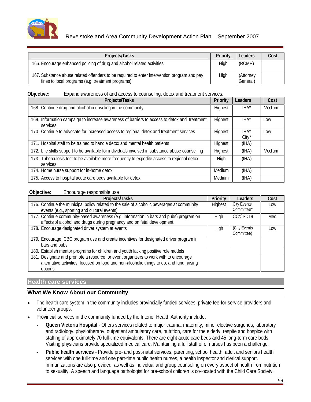

# Revelstoke and Area Community Development Action Plan – September 2007

| <b>Projects/Tasks</b>                                                                                                                            | <b>Priority</b><br>Leaders   | Cost |
|--------------------------------------------------------------------------------------------------------------------------------------------------|------------------------------|------|
| 166. Encourage enhanced policing of drug and alcohol related activities                                                                          | DOMD'                        |      |
| 167. Substance abuse related offenders to be required to enter intervention program and pay<br>fines to local programs (e.g. treatment programs) | /Attorne∨<br>Hiah<br>General |      |

#### **Objective:** Expand awareness of and access to counseling, detox and treatment services.

| <b>Projects/Tasks</b>                                                                                                     |                | <b>Priority Leaders</b>           | <b>Cost</b> |
|---------------------------------------------------------------------------------------------------------------------------|----------------|-----------------------------------|-------------|
| 168. Continue drug and alcohol counseling in the community                                                                | Highest        | I⊔∧*<br>$\mathbf{u}$              | Medium      |
| 169. Information campaign to increase awareness of barriers to access to detox and treatment   Highest<br><b>SAIVICAS</b> |                | IHA*                              | Low         |
| 70. Continue to advocate for increased access to regional detox and treatment services                                    | <b>Highest</b> | IHA*                              | Low         |
| 171. Hospital staff to be trained to handle detox and mental health patients                                              | Highest        | $\overline{\phantom{a}}$<br>(IHA) |             |
| 172. Life skills support to be available for individuals involved in substance abuse counselling                          | Highest        | (IHA)                             | Medium      |
| 173. Tuberculosis test to be available more frequently to expedite access to regional detox<br>services                   |                | (IHA)                             |             |
| 174. Home nurse support for in-home detox                                                                                 | Medium         | (IHA)                             |             |
| 175. Access to hospital acute care beds available for detox                                                               | Medium         | (IHA)                             |             |

#### **Objective:** Encourage responsible use

| Projects/Tasks                                                                                                                                                                   | <b>Priority</b> | Leaders                  | Cost |
|----------------------------------------------------------------------------------------------------------------------------------------------------------------------------------|-----------------|--------------------------|------|
| 176. Continue the municipal policy related to the sale of alcoholic beverages at community<br>events (e.g., sporting and cultural events)                                        | Highest         | City Events<br>Committee | Low  |
| 177. Continue community-based awareness (e.g. information in bars and pubs) program on<br>affects of alcohol and drugs during pregnancy and on fetal development.                |                 | CC*/SD19                 | Med  |
| 178. Encourage designated driver system at events                                                                                                                                |                 | City Events              | Low  |
| 179. Encourage ICBC program use and create incentives for designated driver program in<br>bars and pubs                                                                          |                 |                          |      |
| 180. Establish mentor programs for children and youth lacking positive role models                                                                                               |                 |                          |      |
| 181. Designate and promote a resource for event organizers to work with to encourage<br>alternative activities, focused on food and non-alcoholic things to do, and fund raising |                 |                          |      |

# **Health care services**

- The health care system in the community includes provincially funded services, private fee-for-service providers and volunteer groups.
- Provincial services in the community funded by the Interior Health Authority include:
	- **Queen Victoria Hospital** Offers services related to major trauma, maternity, minor elective surgeries, laboratory and radiology, physiotherapy, outpatient ambulatory care, nutrition, care for the elderly, respite and hospice with staffing of approximately 70 full-time equivalents. There are eight acute care beds and 45 long-term care beds. Visiting physicians provide specialized medical care. Maintaining a full staff of of nurses has been a challenge.
	- Public health services Provide pre- and post-natal services, parenting, school health, adult and seniors health services with one full-time and one part-time public health nurses, a health inspector and clerical support. Immunizations are also provided, as well as individual and group counseling on every aspect of health from nutrition to sexuality. A speech and language pathologist for pre-school children is co-located with the Child Care Society.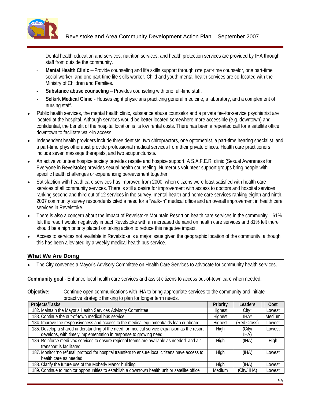

Dental health education and services, nutrition services, and health protection services are provided by IHA through staff from outside the community.

- **Mental Health Clinic** –Provide counseling and life skills support through one part-time counselor, one part-time social worker, and one part-time life skills worker. Child and youth mental health services are co-located with the Ministry of Children and Families.
- **Substance abuse counseling** Provides counseling with one full-time staff.
- **Selkirk Medical Clinic**  Houses eight physicians practicing general medicine, a laboratory, and a complement of nursing staff.
- Public health services, the mental health clinic, substance abuse counselor and a private fee-for-service psychiatrist are located at the hospital. Although services would be better located somewhere more accessible (e.g. downtown) and confidential, the benefit of the hospital location is its low rental costs. There has been a repeated call for a satellite office downtown to facilitate walk-in access.
- Independent health providers include three dentists, two chiropractors, one optometrist, a part-time hearing specialist and a part-time physiotherapist provide professional medical services from their private offices. Health care practitioners
- include seven massage therapists, and two acupuncturists.<br>An active volunteer hospice society provides respite and hospice support. A S.A.F.E.R. clinic (Sexual Awareness for Everyone in Revelstoke) provides sexual health counseling. Numerous volunteer support groups bring people with specific health challenges or experiencing bereavement together.
- Satisfaction with health care services has improved from 2000, when citizens were least satisfied with health care services of all community services. There is still a desire for improvement with access to doctors and hospital services ranking second and third out of 12 services in the survey, mental health and home care services ranking eighth and ninth. 2007 community survey respondents cited a need for a "walk-in" medical office and an overall improvement in health care services in Revelstoke.
- There is also a concern about the impact of Revelstoke Mountain Resort on health care services in the community 61% felt the resort would negatively impact Revelstoke with an increased demand on health care services and 81% felt there should be a high priority placed on taking action to reduce this negative impact.
- Access to services not available in Revelstoke is a major issue given the geographic location of the community, although this has been alleviated by a weekly medical health bus service.

# **What We Are Doing**

The City convenes a Mayor's Advisory Committee on Health Care Services to advocate for community health services.

**Community goal** - Enhance local health care services and assist citizens to access out-of-town care when needed.

| prodotto ottatogio timitang to pian for longon tommoodor                                                                                                        |         |                               |             |
|-----------------------------------------------------------------------------------------------------------------------------------------------------------------|---------|-------------------------------|-------------|
| <b>Projects/Tasks</b>                                                                                                                                           |         | Priority   Leaders   Cost     |             |
| 182. Maintain the Mayor's Health Services Advisory Committee                                                                                                    |         |                               | I owest     |
| 183. Continue the out-of-town medical bus service                                                                                                               |         |                               | Mediur      |
| 184. Improve the responsiveness and access to the medical equipment/aids loan cupboard                                                                          | Highest | (Red Cross) Lowest            |             |
| 185. Develop a shared understanding of the need for medical service expansion as the resort<br>develops, with timely implementation in response to growing need |         |                               | Lowest      |
| 186. Reinforce medi-vac services to ensure regional teams are available as needed and air<br>transport is facilitated                                           |         |                               | <b>High</b> |
| 187. Monitor 'no refusal' protocol for hospital transfers to ensure local citizens have access to  <br>health care as needed                                    |         |                               | Lowest      |
| 188. Clarify the future use of the Moberly Manor building                                                                                                       |         | $\mathbf{r}$                  | Lowest      |
| 189. Continue to monitor opportunities to establish a downtown health unit or satellite office                                                                  |         | Medium   (City/ IHA)   Lowest |             |

### **Objective:** Continue open communications with IHA to bring appropriate services to the community and initiate proactive strategic thinking to plan for longer term needs.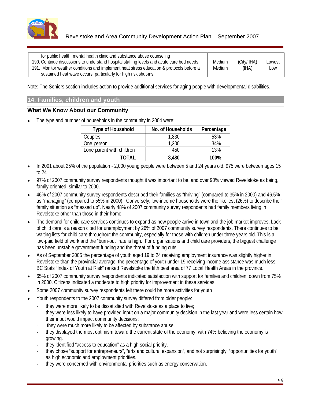

| for public health, mental health clinic and substance abuse counseling                     |        |                          |  |
|--------------------------------------------------------------------------------------------|--------|--------------------------|--|
| 190. Continue discussions to understand hospital staffing levels and acute care bed needs. |        | Medium (City/IHA) Lowest |  |
| 191. Monitor weather conditions and implement heat stress education & protocols before a   | Medium |                          |  |
| sustained heat wave occurs, particularly for high risk shut-ins.                           |        |                          |  |

Note: The Seniors section includes action to provide additional services for aging people with developmental disabilities.

# **14. Families, children and youth**

### **What We Know About our Community**

The type and number of households in the community in 2004 were:

| <b>Type of Household</b>                                                                                 | No. of Households   Percentage |                                                                                                                         |
|----------------------------------------------------------------------------------------------------------|--------------------------------|-------------------------------------------------------------------------------------------------------------------------|
| Couples                                                                                                  | 1.830                          | 53%                                                                                                                     |
| One person                                                                                               | ה ה                            |                                                                                                                         |
| Lone parent with children                                                                                | 450                            |                                                                                                                         |
| <b>TATLE</b><br>IUIAL<br>the contract of the contract of the contract of the contract of the contract of | 3.480                          | 100%<br>the contract of the contract of the contract of the contract of the contract of the contract of the contract of |

- In 2001 about 25% of the population 2,000 young people were between 5 and 24 years old. 975 were between ages 15 to 24
- 97% of 2007 community survey respondents thought it was important to be, and over 90% viewed Revelstoke as being, family oriented, similar to 2000.<br>46% of 2007 community survey respondents described their families as "thriving" (compared to 35% in 2000) and 46.5%
- as "managing" (compared to 55% in 2000). Conversely, low-income households were the likeliest (26%) to describe their family situation as "messed up". Nearly 48% of 2007 community survey respondents had family members living in Revelstoke other than those in their home.
- The demand for child care services continues to expand as new people arrive in town and the job market improves. Lack of child care is a reason cited for unemployment by 26% of 2007 community survey respondents. There continues to be waiting lists for child care throughout the community, especially for those with children under three years old. This is a low-paid field of work and the "burn-out" rate is high. For organizations and child care providers, the biggest challenge has been unstable government funding and the threat of funding cuts.
- As of September 2005 the percentage of youth aged 19 to 24 receiving employment insurance was slightly higher in  $\bullet$ Revelstoke than the provincial average, the percentage of youth under 19 receiving income assistance was much less. BC Stats "Index of Youth at Risk" ranked Revelstoke the fifth best area of 77 Local Health Areas in the province.
- 65% of 2007 community survey respondents indicated satisfaction with support for families and children, down from 75% in 2000. Citizens indicated a moderate to high priority for improvement in these services.
- Some 2007 community survey respondents felt there could be more activities for youth
- Youth respondents to the 2007 community survey differed from older people:
	- they were more likely to be dissatisfied with Revelstoke as a place to live;
	- they were less likely to have provided input on a major community decision in the last year and were less certain how their input would impact community decisions;
	- they were much more likely to be affected by substance abuse.
	- they displayed the most optimism toward the current state of the economy, with 74% believing the economy is growing.
	- they identified "access to education" as a high social priority.
	- they chose "support for entrepreneurs", "arts and cultural expansion", and not surprisingly, "opportunities for youth" as high economic and employment priorities.
	- they were concerned with environmental priorities such as energy conservation.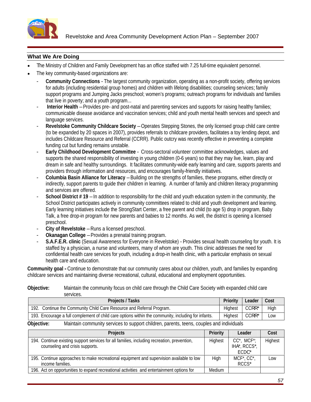

- The Ministry of Children and Family Development has an office staffed with 7.25 full-time equivalent personnel.
- The key community-based organizations are:
	- **Community Connections** The largest community organization, operating as a non-profit society, offering services for adults (including residential group homes) and children with lifelong disabilities; counseling services; family support programs and Jumping Jacks preschool; women's programs; outreach programs for individuals and families that live in poverty; and a youth program...
	- **Interior Health** Provides pre- and post-natal and parenting services and supports for raising healthy families; communicable disease avoidance and vaccination services; child and youth mental health services and speech and language services.
	- **Revelstoke Community Childcare Society** Operates Stepping Stones, the only licensed group child care centre (to be expanded by 20 spaces in 2007), provides referrals to childcare providers, facilitates a toy lending depot, and includes Childcare Resource and Referral (CCRR). Public outcry was recently effective in preventing a complete funding cut but funding remains unstable.
	- **Early Childhood Development Committee** Cross-sectoral volunteer committee acknowledges, values and supports the shared responsibility of investing in young children (0-6 years) so that they may live, learn, play and dream in safe and healthy surroundings. It facilitates community-wide early learning and care, supports parents and providers through information and resources, and encourages family-friendly initiatives.
	- **Columbia Basin Alliance for Literacy** Building on the strengths of families, these programs, either directly or indirectly, support parents to guide their children in learning. A number of family and children literacy programming and services are offered.
	- **School District # 19** In addition to responsibility for the child and youth education system in the community, the School District participates actively in community committees related to child and youth development and learning.<br>Early learning initiatives include the StrongStart Center, a free parent and child (to age 5) drop in progr Talk, a free drop-in program for new parents and babies to 12 months. As well, the district is opening a licensed preschool.
	-
	- **City of Revelstoke** Runs a licensed preschool.<br>- **Okanagan College** Provides a prenatal training program.
	- **S.A.F.E.R. clinic** (Sexual Awareness for Everyone in Revelstoke) Provides sexual health counseling for youth. It is staffed by a physician, a nurse and volunteers, many of whom are youth. This clinic addresses the need for confidential health care services for youth, including a drop-in health clinic, with a particular emphasis on sexual health care and education.

**Community goal -** Continue to demonstrate that our community cares about our children, youth, and families by expanding childcare services and maintaining diverse recreational, cultural, educational and employment opportunities.

### **Objective:** Maintain the community focus on child care through the Child Care Society with expanded child care services. The contract of the contract of the contract of the contract of the contract of the contract of the contract of the contract of the contract of the contract of the contract of the contract of the contract of the

| <b>Projects / Tasks</b>                                                                             |            | Priority   Leader   Cost    |     |
|-----------------------------------------------------------------------------------------------------|------------|-----------------------------|-----|
| 192. Continue the Community Child Care Resource and Referral Program.                               | الممطمئ ال | —— <del>———</del><br>∣CCRR* |     |
| 193. Encourage a full complement of child care options within the community, including for infants. | Highest    | I CCRR* I                   | Low |
| Objective:<br>ommunity services to support children, parents, teens, couples and individuals        |            |                             |     |

| <b>Projects</b>                                                                            | <b>Priority</b> | Leader                    | Cost    |
|--------------------------------------------------------------------------------------------|-----------------|---------------------------|---------|
| 34. Continue existing support services for all families, including recreation, prevention, | Highest         | CC*, MCF*;                | Highest |
| counseling and crisis supports.                                                            |                 | IHA*, RCCS*,              |         |
|                                                                                            |                 | ECDO<br><b>LUDU</b>       |         |
| 195. Continue approaches to make recreational equipment and supervision available to low   |                 | $\overline{MCF^*, CC^*},$ | Low     |
| income families.                                                                           |                 | RCCS*                     |         |
| 196. Act on opportunities to expand recreational activities and entertainment options for  | Medium          |                           |         |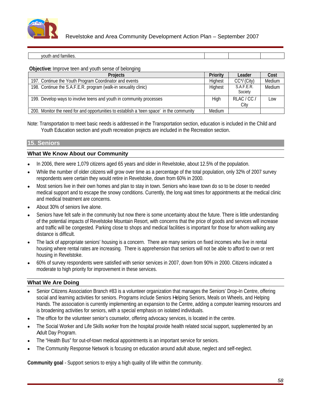

# Revelstoke and Area Community Development Action Plan – September 2007

| youth and families. |  |  |  |
|---------------------|--|--|--|
|                     |  |  |  |

#### **Objective:** Improve teen and youth sense of belonging

|                                                                                                      |        | Leader                | Cost               |
|------------------------------------------------------------------------------------------------------|--------|-----------------------|--------------------|
| 197. Continue the Youth Program Coordinator and events                                               |        |                       | CC*/ (City) Medium |
| 198. Continue the S.A.F.E.R. program (walk-in sexuality clinic)                                      |        | S.A.F.E.R.<br>Society | <i>Medium</i>      |
| 199. Develop ways to involve teens and youth in community processes                                  |        | RLAC/CC/ Low          |                    |
| 1_200. Monitor the need for and opportunities to establish a 'teen space' in the community Fig. 200. | Medium |                       |                    |

Note: Transportation to meet basic needs is addressed in the Transportation section, education is included in the Child and Youth Education section and youth recreation projects are included in the Recreation section.

# **15. Seniors**

### **What We Know About our Community**

- In 2006, there were 1,079 citizens aged 65 years and older in Revelstoke, about 12.5% of the population.
- While the number of older citizens will grow over time as a percentage of the total population, only 32% of 2007 survey respondents were certain they would retire in Revelstoke, down from 60% in 2000.
- Most seniors live in their own homes and plan to stay in town. Seniors who leave town do so to be closer to needed medical support and to escape the snowy conditions. Currently, the long wait times for appointments at the medical clinic and medical treatment are concerns.
- About 30% of seniors live alone.
- Seniors have felt safe in the community but now there is some uncertainty about the future. There is little understanding of the potential impacts of Revelstoke Mountain Resort, with concerns that the price of goods and services will increase and traffic will be congested. Parking close to shops and medical facilities is important for those for whom walking any distance is difficult.
- The lack of appropriate seniors' housing is a concern. There are many seniors on fixed incomes who live in rental housing where rental rates are increasing. There is apprehension that seniors will not be able to afford to own or rent housing in Revelstoke.
- 60% of survey respondents were satisfied with senior services in 2007, down from 90% in 2000. Citizens indicated a moderate to high priority for improvement in these services.

### **What We Are Doing**

- Senior Citizens Association Branch #83 is a volunteer organization that manages the Seniors' Drop-In Centre, offering social and learning activities for seniors. Programs include Seniors Helping Seniors, Meals on Wheels, and Helping Hands. The association is currently implementing an expansion to the Centre, adding a computer learning resources and is broadening activities for seniors, with a special emphasis on isolated individuals.
- The office for the volunteer senior's counselor, offering advocacy services, is located in the centre.
- The Social Worker and Life Skills worker from the hospital provide health related social support, supplemented by an Adult Day Program.<br>The "Health Bus" for out-of-town medical appointments is an important service for seniors.
- 
- The Community Response Network is focusing on education around adult abuse, neglect and self-neglect.

**Community goal** - Support seniors to enjoy a high quality of life within the community.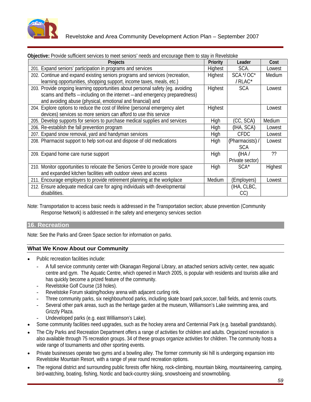

| <b>ODJOUTU:</b> I TOMAO Odinoloht ooi Mood to moot ooinolo moodo aha onoodiago thom to olay in Novolotoko                                                                                                                   |                 |                           |             |
|-----------------------------------------------------------------------------------------------------------------------------------------------------------------------------------------------------------------------------|-----------------|---------------------------|-------------|
| <b>Projects</b>                                                                                                                                                                                                             | <b>Priority</b> | Leader                    | <b>Cost</b> |
| 201. Expand seniors' participation in programs and services                                                                                                                                                                 | Highest         | SCA.                      | Lowest      |
| 202. Continue and expand existing seniors programs and services (recreation,<br>learning opportunities, shopping support, income taxes, meals, etc.)                                                                        | Highest         | SCA.*/OC*<br>/RLAC*       | Medium      |
| 203. Provide ongoing learning opportunities about personal safety (eg. avoiding<br>scams and thefts - including on the internet - and emergency preparedness)<br>and avoiding abuse (physical, emotional and financial) and | Highest         | SCA                       | Lowest      |
| 204. Explore options to reduce the cost of lifeline (personal emergency alert<br>devices) services so more seniors can afford to use this service                                                                           | Highest         |                           | Lowest      |
| 205. Develop supports for seniors to purchase medical supplies and services                                                                                                                                                 |                 | (CC, SCA) Medium          |             |
| 206. Re-establish the fall prevention program                                                                                                                                                                               |                 | (IHA, SCA) Lowest         |             |
| 207. Expand snow removal, yard and handyman services                                                                                                                                                                        |                 | <b>CFDC</b>               | Lowest      |
| 208. Pharmacist support to help sort-out and dispose of old medications                                                                                                                                                     | High            | (Pharmacists) / Lowest    |             |
| 209. Expand home care nurse support                                                                                                                                                                                         |                 | (IHA /<br>Private sector) |             |
| 210. Monitor opportunities to relocate the Seniors Centre to provide more space<br>and expanded kitchen facilities with outdoor views and access                                                                            |                 | $SCA^*$                   | Highes      |
| 211. Encourage employers to provide retirement planning at the workplace                                                                                                                                                    | Medium          | (Employers)               | Lowest      |
| 212. Ensure adequate medical care for aging individuals with developmental                                                                                                                                                  |                 | (IHA, CLBC,               |             |

# **Objective:** Provide sufficient services to meet seniors' needs and encourage them to stay in Revelstoke

Note: Transportation to access basic needs is addressed in the Transportation section; abuse prevention (Community Response Network) is addressed in the safety and emergency services section

# **16. Recreation**

Note: See the Parks and Green Space section for information on parks.

- Public recreation facilities include:
	- A full service community center with Okanagan Regional Library, an attached seniors activity center, new aquatic centre and gym. The Aquatic Centre, which opened in March 2005, is popular with residents and tourists alike and has quickly become a prized feature of the community.
	- Revelstoke Golf Course (18 holes).
	- Revelstoke Forum skating/hockey arena with adjacent curling rink.
	- Three community parks, six neighbourhood parks, including skate board park,soccer, ball fields, and tennis courts.
	- Several other park areas, such as the heritage garden at the museum, Williamson's Lake swimming area, and Grizzly Plaza.
		- Undeveloped parks (e.g. east Williamson's Lake).
- Some community facilities need upgrades, such as the hockey arena and Centennial Park (e.g. baseball grandstands).
- The City Parks and Recreation Department offers a range of activities for children and adults. Organized recreation is also available through 75 recreation groups. 34 of these groups organize activities for children. The community hosts a wide range of tournaments and other sporting events.
- Private businesses operate two gyms and a bowling alley. The former community ski hill is undergoing expansion into Revelstoke Mountain Resort, with a range of year round recreation options.
- The regional district and surrounding public forests offer hiking, rock-climbing, mountain biking, mountaineering, camping, bird-watching, boating, fishing, Nordic and back-country skiing, snowshoeing and snowmobiling.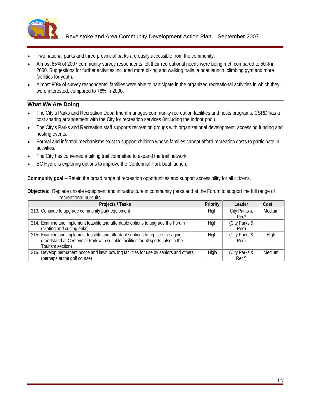

- Two national parks and three provincial parks are easily accessible from the community.
- Almost 85% of 2007 community survey respondents felt their recreational needs were being met, compared to 50% in 2000. Suggestions for further activities included more biking and walking trails, a boat launch, climbing gym and more facilities for youth.
- Almost 90% of survey respondents' families were able to participate in the organized recreational activities in which they were interested, compared to 76% in 2000.

- The City's Parks and Recreation Department manages community recreation facilities and hosts programs. CSRD has a cost sharing arrangement with the City for recreation services (including the indoor pool).
- The City's Parks and Recreation staff supports recreation groups with organizational development, accessing funding and  $\bullet$ hosting events.
- Formal and informal mechanisms exist to support children whose families cannot afford recreation costs to participate in activities.
- The City has convened a biking trail committee to expand the trail network.
- BC Hydro is exploring options to improve the Centennial Park boat launch.

**Community goal** – Retain the broad range of recreation opportunities and support accessibility for all citizens.

**Objective:** Replace unsafe equipment and infrastructure in community parks and at the Forum to support the full range of recreational pursuits

| Projects / Tasks                                                                                                                                                                          | Priority | Leader               | Cost   |
|-------------------------------------------------------------------------------------------------------------------------------------------------------------------------------------------|----------|----------------------|--------|
| 213. Continue to upgrade community park equipment                                                                                                                                         |          | City Parks &         | Medium |
| 214. Examine and implement feasible and affordable options to upgrade the Forum<br>(skating and curling rinks)                                                                            | Hiah     | (City Parks &<br>Rec |        |
| 215. Examine and implement feasible and affordable options to replace the aging<br>grandstand at Centennial Park with suitable facilities for all sports (also in the<br>[ourism section) | Hiah     | City Parks &<br>Rec) |        |
| 1216. Develop permanent bocce and lawn bowling facilities for use by seniors and others<br>(perhaps at the golf course)                                                                   |          | (City Parks &        | Medium |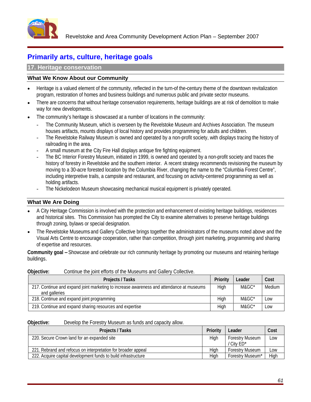

# **Primarily arts, culture, heritage goals**

### **17. Heritage conservation**

# **What We Know About our Community**

- Heritage is a valued element of the community, reflected in the turn-of the-century theme of the downtown revitalization program, restoration of homes and business buildings and numerous public and private sector museums.
- There are concerns that without heritage conservation requirements, heritage buildings are at risk of demolition to make way for new developments.
- The community's heritage is showcased at a number of locations in the community:
	- The Community Museum, which is overseen by the Revelstoke Museum and Archives Association. The museum houses artifacts, mounts displays of local history and provides programming for adults and children.
	- The Revelstoke Railway Museum is owned and operated by a non-profit society, with displays tracing the history of railroading in the area.
	- A small museum at the City Fire Hall displays antique fire fighting equipment.
	- The BC Interior Forestry Museum, initiated in 1999, is owned and operated by a non-profit society and traces the history of forestry in Revelstoke and the southern interior. A recent strategy recommends revisioning the museum by moving to a 30-acre forested location by the Columbia River, changing the name to the "Columbia Forest Centre", including interpretive trails, a campsite and restaurant, and focusing on activity-centered programming as well as holding artifacts.
	- The Nickelodeon Museum showcasing mechanical musical equipment is privately operated.

### **What We Are Doing**

- A City Heritage Commission is involved with the protection and enhancement of existing heritage buildings, residences and historical sites. This Commission has prompted the City to examine alternatives to preserve heritage buildings through zoning, bylaws or special designation.
- The Revelstoke Museums and Gallery Collective brings together the administrators of the museums noted above and the Visual Arts Centre to encourage cooperation, rather than competition, through joint marketing, programming and sharing of expertise and resources.

**Community goal –**Showcase and celebrate our rich community heritage by promoting our museums and retaining heritage buildings.

| <b>Superior</b> commutative point offerits of the maccurity called y concentration       |                   |        |
|------------------------------------------------------------------------------------------|-------------------|--------|
| <b>Projects / Tasks</b>                                                                  | Priority   Leader | Cost   |
| 217. Continue and expand joint marketing to increase awareness and attendance at museums | $M9C^*$           | Medium |
| 218. Continue and expand joint programming                                               | M&GC*             | Low    |
| 219. Continue and expand sharing resources and expertise                                 | M&GC*             | Low    |

**Objective:** Continue the joint efforts of the Museums and Gallery Collective.

**Objective:** Develop the Forestry Museum as funds and capacity allow.

| Projects / Tasks                                               | .    | <b>Priority   Leader</b> |                          | $\mid$ Cost |
|----------------------------------------------------------------|------|--------------------------|--------------------------|-------------|
| 220. Secure Crown land for an expanded site                    |      |                          | Forestry Museum   Low    |             |
|                                                                |      | / City ED*               |                          |             |
| 221. Rebrand and refocus on interpretation for broader appeal  |      |                          | estrv Museum II Low      |             |
| 222. Acquire capital development funds to build infrastructure | ____ |                          | restrv Museum* I - High- |             |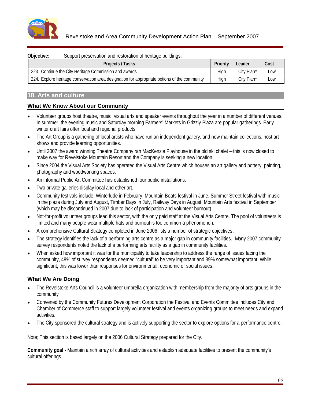

| Objective: | Support preservation and restoration of heritage buildings.                                  |                   |                              |
|------------|----------------------------------------------------------------------------------------------|-------------------|------------------------------|
|            | Projects / Tasks                                                                             | Priority   Leader | Cost<br>$\ddot{\phantom{0}}$ |
|            | 223. Continue the City Heritage Commission and awards                                        | City Plan*        | Low                          |
|            | 224. Explore heritage conservation area designation for appropriate potions of the community | City Plan*        | Low                          |

# **18. Arts and culture**

# **What We Know About our Community**

- Volunteer groups host theatre, music, visual arts and speaker events throughout the year in a number of different venues. In summer, the evening music and Saturday morning Farmers' Markets in Grizzly Plaza are popular gatherings. Early winter craft fairs offer local and regional products.
- The Art Group is a gathering of local artists who have run an independent gallery, and now maintain collections, host art shows and provide learning opportunities.
- Until 2007 the award winning Theatre Company ran MacKenzie Playhouse in the old ski chalet this is now closed to make way for Revelstoke Mountain Resort and the Company is seeking a new location.<br>Since 2004 the Visual Arts Society has operated the Visual Arts Centre which houses an art gallery and pottery, painting,
- photography and woodworking spaces.
- An informal Public Art Committee has established four public installations.
- Two private galleries display local and other art.
- Community festivals include: Winterlude in February, Mountain Beats festival in June, Summer Street festival with music in the plaza during July and August, Timber Days in July, Railway Days in August, Mountain Arts festival in September (which may be discontinued in 2007 due to lack of participation and volunteer burnout)
- Not-for-profit volunteer groups lead this sector, with the only paid staff at the Visual Arts Centre. The pool of volunteers is limited and many people wear multiple hats and burnout is too common a phenomenon.
- A comprehensive Cultural Strategy completed in June 2006 lists a number of strategic objectives.
- The strategy identifies the lack of a performing arts centre as a major gap in community facilities. Many 2007 community survey respondents noted the lack of a performing arts facility as a gap in community facilities.<br>When asked how important it was for the municipality to take leadership to address the range of issues facing the
- community, 48% of survey respondents deemed "cultural" to be very important and 39% somewhat important. While significant, this was lower than responses for environmental, economic or social issues.

# **What We Are Doing**

- The Revelstoke Arts Council is a volunteer umbrella organization with membership from the majority of arts groups in the community
- Convened by the Community Futures Development Corporation the Festival and Events Committee includes City and Chamber of Commerce staff to support largely volunteer festival and events organizing groups to meet needs and expand activities.
- The City sponsored the cultural strategy and is actively supporting the sector to explore options for a performance centre.

Note; This section is based largely on the 2006 Cultural Strategy prepared for the City.

**Community goal -** Maintain a rich array of cultural activities and establish adequate facilities to present the community's cultural offerings.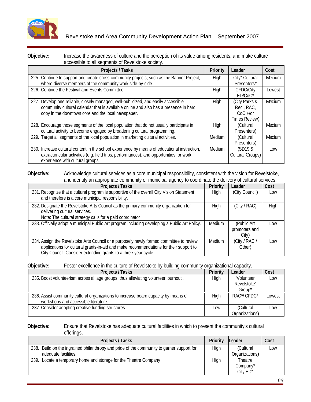

#### **Objective:** Increase the awareness of culture and the perception of its value among residents, and make culture accessible to all segments of Revelstoke society.

| <b>Projects / Tasks</b>                                                                                                                                                                                                          | Priority | Leader                                                     | Cost   |
|----------------------------------------------------------------------------------------------------------------------------------------------------------------------------------------------------------------------------------|----------|------------------------------------------------------------|--------|
| 225. Continue to support and create cross-community projects, such as the Banner Project,<br>where diverse members of the community work side-by-side.                                                                           |          | City* Cultural<br>Presenters                               | Medium |
| 226. Continue the Festival and Events Committee                                                                                                                                                                                  |          | CFDC/City<br>ED/CoC <sup>®</sup>                           | Lowest |
| 227. Develop one reliable, closely managed, well-publicized, and easily accessible<br>community cultural calendar that is available online and also has a presence in hard<br>copy in the downtown core and the local newspaper. |          | (City Parks &<br>Rec., RAC,<br>$CoC +/or$<br>Times Review) | Medium |
| 228. Encourage those segments of the local population that do not usually participate in<br>cultural activity to become engaged by broadening cultural programming.                                                              | Hiah     | (Cultural<br>Presente                                      | Medium |
| 229. Target all segments of the local population in marketing cultural activities.                                                                                                                                               | Medium   | (Cultural<br>Presenter                                     | Medium |
| 230. Increase cultural content in the school experience by means of educational instruction,<br>extracurricular activities (e.g. field trips, performances), and opportunities for work<br>experience with cultural groups.      | Medium   | (SD19 &<br>Cultural Groups)                                | Low    |

### **Objective:** Acknowledge cultural services as a core municipal responsibility, consistent with the vision for Revelstoke, and identify an appropriate community or municipal agency to coordinate the delivery of cultural services.

| $\sim$                                                                                                                                                                                                                                             |             |                                    |      |
|----------------------------------------------------------------------------------------------------------------------------------------------------------------------------------------------------------------------------------------------------|-------------|------------------------------------|------|
| <b>Projects / Tasks</b>                                                                                                                                                                                                                            |             | Priority Leader                    | Cost |
| 231. Recognize that a cultural program is supportive of the overall City Vision Statement<br>and therefore is a core municipal responsibility.                                                                                                     | <b>High</b> | City Council)   Low                |      |
| 232. Designate the Revelstoke Arts Council as the primary community organization for<br>delivering cultural services.<br>Note: The cultural strategy calls for a paid coordinator                                                                  | High        | (City / RAC)                       | High |
| $\frac{1}{233}$ . Officially adopt a municipal Public Art program including developing a Public Art Policy. $\Box$ Medium                                                                                                                          |             | (Public Ar<br>promoters and        | Low  |
| 234. Assign the Revelstoke Arts Council or a purposely newly formed committee to review<br>applications for cultural grants-in-aid and make recommendations for their support to<br>City Council. Consider extending grants to a three-year cycle. |             | Medium (City / RAC / Low<br>Other) |      |

#### **Objective:** Foster excellence in the culture of Revelstoke by building community organizational capacity.

| <b>Projects / Tasks</b>                                                                | Priority   Leader |                | Cost   |
|----------------------------------------------------------------------------------------|-------------------|----------------|--------|
| 1 235. Boost volunteerism across all age groups, thus alleviating volunteer 'burnout'. | Hiah              | 'Voluntee      | Low    |
|                                                                                        |                   | Revelstoke'    |        |
|                                                                                        |                   | Group*         |        |
| 236. Assist community cultural organizations to increase board capacity by means of    | High              | RAC*/CFDC*     | Lowest |
| workshops and accessible literature.                                                   |                   |                |        |
| 237. Consider adopting creative funding structures.                                    |                   | (Cultura)      | Low    |
|                                                                                        |                   | Organizations) |        |

### **Objective:** Ensure that Revelstoke has adequate cultural facilities in which to present the community's cultural offerings.

| <b>Projects / Tasks</b>                                                                   | Priority Leader    |                  | Cost |
|-------------------------------------------------------------------------------------------|--------------------|------------------|------|
| 238. Build on the ingrained philanthropy and pride of the community to garner support for | امزليا             | $\Gamma$ ulturol | Low  |
| adequate facilities                                                                       |                    | ()rganizations)  |      |
| 239. Locate a temporary home and storage for the Theatre Company                          | مامنالا<br>- 11 41 | Theatre          |      |
|                                                                                           |                    | Compo            |      |
|                                                                                           |                    | OH<br>— UIIY ⊏∟  |      |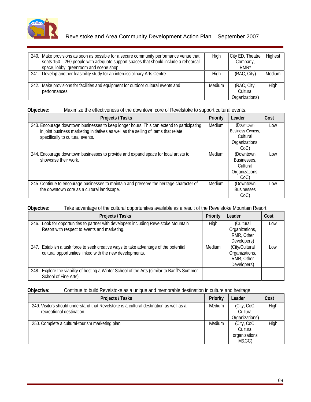

# Revelstoke and Area Community Development Action Plan – September 2007

| 240. Make provisions as soon as possible for a secure community performance venue that |        | City ED, Theatre Highest |                      |  |
|----------------------------------------------------------------------------------------|--------|--------------------------|----------------------|--|
| seats 150 - 250 people with adequate support spaces that should include a rehearsal    |        | Company,                 |                      |  |
| space, lobby, greenroom and scene shop.                                                |        | $RMR*$                   |                      |  |
| 241. Develop another feasibility study for an interdisciplinary Arts Centre.           |        |                          | (RAC, City)   Medium |  |
|                                                                                        |        |                          |                      |  |
| 242. Make provisions for facilities and equipment for outdoor cultural events and      | Medium | (RAC, City,              | High                 |  |
| performances                                                                           |        | Cultura                  |                      |  |
|                                                                                        |        | Organizations)           |                      |  |

# **Objective:** Maximize the effectiveness of the downtown core of Revelstoke to support cultural events.

| <b>Projects / Tasks</b>                                                                            |                     | Priority Leader   | Cost |  |
|----------------------------------------------------------------------------------------------------|---------------------|-------------------|------|--|
| 243. Encourage downtown businesses to keep longer hours. This can extend to participating   Medium |                     | (Downtown         | Low  |  |
| in joint business marketing initiatives as well as the selling of items that relate                |                     | Business Owners,  |      |  |
| specifically to cultural events.                                                                   |                     | Cultural          |      |  |
|                                                                                                    |                     | Organizations,    |      |  |
|                                                                                                    |                     | $CoC$ )           |      |  |
| 244. Encourage downtown businesses to provide and expand space for local artists to                | Medium <sub>I</sub> | (Downtown         | Low  |  |
| showcase their work.                                                                               |                     | Businesses,       |      |  |
|                                                                                                    |                     | Cultural          |      |  |
|                                                                                                    |                     | Organizations.    |      |  |
|                                                                                                    |                     | CoC               |      |  |
| 245. Continue to encourage businesses to maintain and preserve the heritage character of   Medium  |                     | (Downtown         | Low  |  |
| the downtown core as a cultural landscape.                                                         |                     | <b>Businesses</b> |      |  |
|                                                                                                    |                     | $CoC$ )           |      |  |

# **Objective:** Take advantage of the cultural opportunities available as a result of the Revelstoke Mountain Resort.

| Projects / Tasks                                                                             | <b>Priority   Leader</b> |                | Cost |
|----------------------------------------------------------------------------------------------|--------------------------|----------------|------|
| 246. Look for opportunities to partner with developers including Revelstoke Mountain         | Hiah                     | (Cultural      | Low  |
| Resort with respect to events and marketing.                                                 |                          | Organizations, |      |
|                                                                                              |                          | RMR, Othe      |      |
|                                                                                              |                          | Developers     |      |
| 247. Establish a task force to seek creative ways to take advantage of the potential         | Medium                   | (City/Cultural | Low  |
| cultural opportunities linked with the new developments.                                     |                          | Organizations, |      |
|                                                                                              |                          | RMR, Othe.     |      |
|                                                                                              |                          | Developers)    |      |
| 248. Explore the viability of hosting a Winter School of the Arts (similar to Banff's Summer |                          |                |      |
| School of Fine Arts)                                                                         |                          |                |      |

# **Objective:** Continue to build Revelstoke as a unique and memorable destination in culture and heritage.

| <b>Projects / Tasks</b>                                                                | Priority   Leader  | Cost |  |
|----------------------------------------------------------------------------------------|--------------------|------|--|
| 249. Visitors should understand that Revelstoke is a cultural destination as well as a | Medium (City, CoC, | High |  |
| recreational destination.                                                              | Cultural           |      |  |
|                                                                                        | Organizations      |      |  |
| 250. Complete a cultural-tourism marketing plan                                        | Medium (City, CoC, | High |  |
|                                                                                        | Cultural           |      |  |
|                                                                                        | organizations      |      |  |
|                                                                                        | M&GC               |      |  |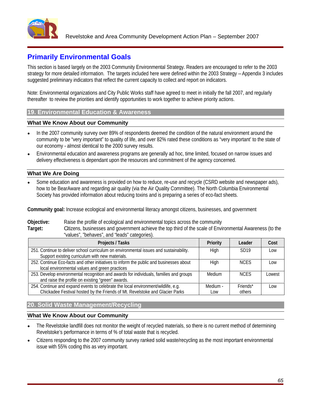

# **Primarily Environmental Goals**

This section is based largely on the 2003 Community Environmental Strategy. Readers are encouraged to refer to the 2003 strategy for more detailed information. The targets included here were defined within the 2003 Strategy – Appendix 3 includes suggested preliminary indicators that reflect the current capacity to collect and report on indicators.

Note: Environmental organizations and City Public Works staff have agreed to meet in initially the fall 2007, and regularly thereafter to review the priorities and identify opportunities to work together to achieve priority actions.

# **19. Environmental Education & Awareness**

### **What We Know About our Community**

- In the 2007 community survey over 89% of respondents deemed the condition of the natural environment around the community to be "very important" to quality of life, and over 82% rated these conditions as "very important' to the state of our economy - almost identical to the 2000 survey results.
- Environmental education and awareness programs are generally ad hoc, time limited, focused on narrow issues and delivery effectiveness is dependant upon the resources and commitment of the agency concerned.

# **What We Are Doing**

Some education and awareness is provided on how to reduce, re-use and recycle (CSRD website and newspaper ads), how to be BearAware and regarding air quality (via the Air Quality Committee). The North Columbia Environmental Society has provided information about reducing toxins and is preparing a series of eco-fact sheets.

**Community goal:** Increase ecological and environmental literacy amongst citizens, businesses, and government

**Objective:** Raise the profile of ecological and environmental topics across the community

**Target:** Citizens, businesses and government achieve the top third of the scale of Environmental Awareness (to the "values", "behaves", and "leads" categories).

| <b>Projects / Tasks</b>                                                                                                                                           |          | Leader             | Cost  |
|-------------------------------------------------------------------------------------------------------------------------------------------------------------------|----------|--------------------|-------|
| 251. Continue to deliver school curriculum on environmental issues and sustainability.<br>Support existing curriculum with new materials.                         | Hiah     | SD <sub>19</sub>   |       |
| 252. Continue Eco-facts and other initiatives to inform the public and businesses about<br>local environmental values and green practices                         | High     | <b>NCES</b>        | Low   |
| 253. Develop environmental recognition and awards for individuals, families and groups<br>and raise the profile on existing "green" awards.                       | Medium   | <b>NCES</b>        | Lowes |
| 254. Continue and expand events to celebrate the local environment/wildlife, e.g.<br>Chickadee Festival hosted by the Friends of Mt. Revelstoke and Glacier Parks | Medium - | Friends*<br>others | LOW   |

# **20. Solid Waste Management/Recycling**

- The Revelstoke landfill does not monitor the weight of recycled materials, so there is no current method of determining Revelstoke's performance in terms of % of total waste that is recycled.
- Citizens responding to the 2007 community survey ranked solid waste/recycling as the most important environmental issue with 55% coding this as very important.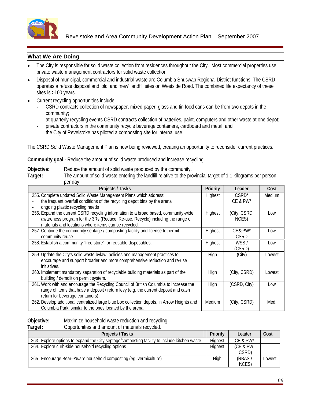

- The City is responsible for solid waste collection from residences throughout the City. Most commercial properties use private waste management contractors for solid waste collection.
- Disposal of municipal, commercial and industrial waste are Columbia Shuswap Regional District functions. The CSRD operates a refuse disposal and 'old' and 'new' landfill sites on Westside Road. The combined life expectancy of these sites is >100 years.
- Current recycling opportunities include:
	- CSRD contracts collection of newspaper, mixed paper, glass and tin food cans can be from two depots in the community;
	- at quarterly recycling events CSRD contracts collection of batteries, paint, computers and other waste at one depot;
	- private contractors in the community recycle beverage containers, cardboard and metal; and
	- the City of Revelstoke has piloted a composting site for internal use.

The CSRD Solid Waste Management Plan is now being reviewed, creating an opportunity to reconsider current practices.

**Community goal** - Reduce the amount of solid waste produced and increase recycling.

**Objective:** Reduce the amount of solid waste produced by the community.

**Target:** The amount of solid waste entering the landfill relative to the provincial target of 1.1 kilograms per person per day.

| <b>Projects / Tasks</b>                                                                                                                                                                                                       | <b>Priority</b> | Leader                | Cost   |
|-------------------------------------------------------------------------------------------------------------------------------------------------------------------------------------------------------------------------------|-----------------|-----------------------|--------|
| 255. Complete updated Solid Waste Management Plans which address:<br>the frequent overfull conditions of the recycling depot bins by the arena<br>ongoing plastic recycling needs                                             | Highest         | CSRD*<br>CE & PW*     | Medium |
| 256. Expand the current CSRD recycling information to a broad based, community-wide<br>awareness program for the 3Rs (Reduce, Re-use, Recycle) including the range of<br>materials and locations where items can be recycled. | Hiahest         | (City, CSRD<br>NCES)  | Low    |
| 257. Continue the community septage / composting facility and license to permit<br>community reuse.                                                                                                                           | Highest         | CE&PW*<br><b>CSRD</b> | Low    |
| 258. Establish a community "free store" for reusable disposables.                                                                                                                                                             | Highest         | WSS/<br>(CSRD)        | Low    |
| 259. Update the City's solid waste bylaw, policies and management practices to<br>encourage and support broader and more comprehensive reduction and re-use                                                                   | Hiah            | (City)                | Lowest |
| 260. Implement mandatory separation of recyclable building materials as part of the<br>building / demolition permit system.                                                                                                   | Hinh            | (City, CSRD)          | Lowest |
| 261. Work with and encourage the Recycling Council of British Columbia to increase the<br>range of items that have a deposit / return levy (e.g. the current deposit and cash<br>return for beverage containers).             |                 | (CSRD, City)          | Low    |
| 262. Develop additional centralized large blue box collection depots, in Arrow Heights and   Medium  <br>Columbia Park, similar to the ones located by the arena.                                                             |                 | (City, CSRD)          | Med.   |

**Objective:** Maximize household waste reduction and recycling<br> **Target:** Opportunities and amount of materials recycled.

Opportunities and amount of materials recycled.

| __ |                                                                                              |                 |                     |       |
|----|----------------------------------------------------------------------------------------------|-----------------|---------------------|-------|
|    | <b>Projects / Tasks</b>                                                                      | <b>Priority</b> | Leader              | Cost  |
|    | 263. Explore options to expand the City septage/composting facility to include kitchen waste | Highest         | CE & PW             |       |
|    | 264. Explore curb-side household recycling options                                           | Highes.         | (CE & PW,           |       |
|    |                                                                                              |                 | $\sim$              |       |
|    | 265. Encourage Bear-Aware household composting (eg. vermiculture).                           |                 | (RBAS,              | Lowes |
|    |                                                                                              |                 | <b>NCCO</b><br>IVED |       |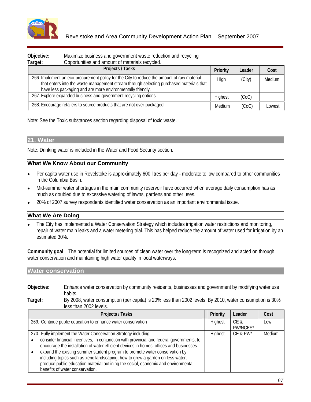

| Objective:<br><b>Target</b> | Maximize business and government waste reduction and recycling<br>Opportunities and amount of materials recycled.                                                                                                                                     |        |                 |        |
|-----------------------------|-------------------------------------------------------------------------------------------------------------------------------------------------------------------------------------------------------------------------------------------------------|--------|-----------------|--------|
|                             | <b>Projects / Tasks</b>                                                                                                                                                                                                                               |        | Priority Leader | Cost   |
|                             | 266. Implement an eco-procurement policy for the City to reduce the amount of raw material<br>that enters into the waste management stream through selecting purchased materials that  <br>have less packaging and are more environmentally friendly. |        |                 | Medium |
|                             | 267. Explore expanded business and government recycling options                                                                                                                                                                                       |        | (CoC)           |        |
|                             | 268. Encourage retailers to source products that are not over-packaged                                                                                                                                                                                | Medium | (000)           | Lowest |

Note: See the Toxic substances section regarding disposal of toxic waste.

# **21. Water**

Note: Drinking water is included in the Water and Food Security section.

### **What We Know About our Community**

- Per capita water use in Revelstoke is approximately 600 litres per day moderate to low compared to other communities  $\bullet$ in the Columbia Basin.
- Mid-summer water shortages in the main community reservoir have occurred when average daily consumption has as much as doubled due to excessive watering of lawns, gardens and other uses.
- 20% of 2007 survey respondents identified water conservation as an important environmental issue.

### **What We Are Doing**

The City has implemented a Water Conservation Strategy which includes irrigation water restrictions and monitoring, repair of water main leaks and a water metering trial. This has helped reduce the amount of water used for irrigation by an estimated 30%.

**Community goal** – The potential for limited sources of clean water over the long-term is recognized and acted on through water conservation and maintaining high water quality in local waterways.

### **Water conservation**

| habits. | Objective: | water conservation by community residents, businesses and<br>ad government by modifying water use<br>L'innance water |  |
|---------|------------|----------------------------------------------------------------------------------------------------------------------|--|
|         |            |                                                                                                                      |  |

**Target:** By 2008, water consumption (per capita) is 20% less than 2002 levels. By 2010, water consumption is 30% less than 2002 levels.

| <b>Projects / Tasks</b>                                                                                                                                                                                                                                                                                                                                                                                                                                                                                                                                               |         | Priority   Leader              | Cost   |
|-----------------------------------------------------------------------------------------------------------------------------------------------------------------------------------------------------------------------------------------------------------------------------------------------------------------------------------------------------------------------------------------------------------------------------------------------------------------------------------------------------------------------------------------------------------------------|---------|--------------------------------|--------|
| 269. Continue public education to enhance water conservation                                                                                                                                                                                                                                                                                                                                                                                                                                                                                                          | Highest | ∣ CE č<br>PW/NCES <sup>®</sup> |        |
| 270. Fully implement the Water Conservation Strategy including:<br>$\sim$ consider financial incentives, In conjunction with provincial and federal governments, to $\parallel$<br>encourage the installation of water efficient devices in homes, offices and businesses.<br>expand the existing summer student program to promote water conservation by<br>including topics such as xeric landscaping, how to grow a garden on less water,<br>produce public education material outlining the social, economic and environmental<br>benefits of water conservation. |         | Highest   CE & PW*             | Medium |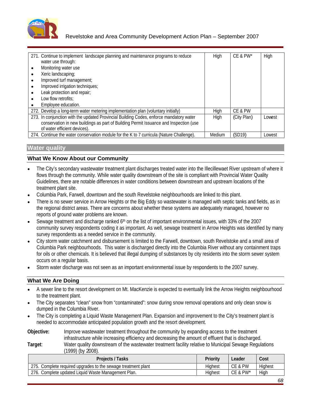

| 71. Continue to implement landscape planning and maintenance programs to reduce                                                                                                                                  | High | $\mathsf{C}$ E & PW* | l Hiah |
|------------------------------------------------------------------------------------------------------------------------------------------------------------------------------------------------------------------|------|----------------------|--------|
| water use through:                                                                                                                                                                                               |      |                      |        |
| Monitoring water use                                                                                                                                                                                             |      |                      |        |
| Xeric landscaping;                                                                                                                                                                                               |      |                      |        |
| Improved turf management;                                                                                                                                                                                        |      |                      |        |
| Improved irrigation techniques;                                                                                                                                                                                  |      |                      |        |
| Leak protection and repair;                                                                                                                                                                                      |      |                      |        |
| Low flow retrofits;                                                                                                                                                                                              |      |                      |        |
| Employee education.                                                                                                                                                                                              |      |                      |        |
| 72. Develop a long-term water metering implementation plan (voluntary initially)                                                                                                                                 | Hiah | CE & PW              |        |
| 273. In conjunction with the updated Provincial Building Codes, enforce mandatory water<br>conservation in new buildings as part of Building Permit Issuance and Inspection (use<br>of water efficient devices). | High | (City Plan)          | Lowest |
| 274. Continue the water conservation module for the K to 7 curricula (Nature Challenge). Medium (SD19) Lowest                                                                                                    |      |                      |        |

# **Water quality**

# **What We Know About our Community**

- The City's secondary wastewater treatment plant discharges treated water into the Illecillewaet River upstream of where it flows through the community. While water quality downstream of the site is compliant with Provincial Water Quality Guidelines, there are notable differences in water conditions between downstream and upstream locations of the treatment plant site.
- Columbia Park, Farwell, downtown and the south Revelstoke neighbourhoods are linked to this plant.
- There is no sewer service in Arrow Heights or the Big Eddy so wastewater is managed with septic tanks and fields, as in the regional district areas. There are concerns about whether these systems are adequately managed, however no reports of ground water problems are known.
- Sewage treatment and discharge ranked  $6<sup>th</sup>$  on the list of important environmental issues, with 33% of the 2007 community survey respondents coding it as important. As well, sewage treatment in Arrow Heights was identified by many survey respondents as a needed service in the community.
- City storm water catchment and disbursement is limited to the Farwell, downtown, south Revelstoke and a small area of Columbia Park neighbourhoods. This water is discharged directly into the Columbia River without any containment traps for oils or other chemicals. It is believed that illegal dumping of substances by city residents into the storm sewer system occurs on a regular basis.
- Storm water discharge was not seen as an important environmental issue by respondents to the 2007 survey.

# **What We Are Doing**

- A sewer line to the resort development on Mt. MacKenzie is expected to eventually link the Arrow Heights neighbourhood to the treatment plant.
- The City separates "clean" snow from "contaminated": snow during snow removal operations and only clean snow is dumped in the Columbia River.
- The City is completing a Liquid Waste Management Plan. Expansion and improvement to the City's treatment plant is needed to accommodate anticipated population growth and the resort development.

**Objective:** Improve wastewater treatment throughout the community by expanding access to the treatment infrastructure while increasing efficiency and decreasing the amount of effluent that is discharged.

### **Target**: Water quality downstream of the wastewater treatment facility relative to Municipal Sewage Regulations (1999) (by 2008).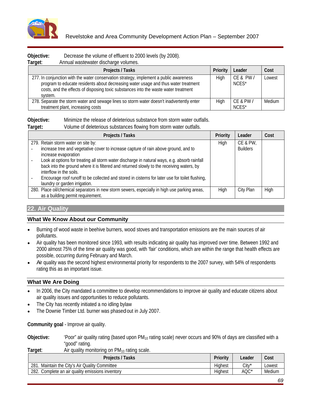

| Objective:<br>crease the volume of effluent to 2000 levels (by 2008).<br>Target:<br>Annual wastewater discharge volumes.                                                                                                                                            |                            |  |
|---------------------------------------------------------------------------------------------------------------------------------------------------------------------------------------------------------------------------------------------------------------------|----------------------------|--|
| <b>Projects / Tasks</b>                                                                                                                                                                                                                                             | <b>Priority Leader</b>     |  |
| 277. In conjunction with the water conservation strategy, implement a public awareness<br>program to educate residents about decreasing water usage and thus water treatment<br>costs, and the effects of disposing toxic substances into the waste water treatment | CE & PW / Lowest<br>NCES*  |  |
| 278. Separate the storm water and sewage lines so storm water doesn't inadvertently enter<br>treatment plant, increasing costr                                                                                                                                      | CE & PW / Medium<br>INL JE |  |

**Objective:** Minimize the release of deleterious substance from storm water outfalls.

### **Target:** Volume of deleterious substances flowing from storm water outfalls.

# **22. Air Quality**

# **What We Know About our Community**

- Burning of wood waste in beehive burners, wood stoves and transportation emissions are the main sources of air pollutants.
- Air quality has been monitored since 1993, with results indicating air quality has improved over time. Between 1992 and 2000 almost 75% of the time air quality was good, with 'fair' conditions, which are within the range that health effects are possible, occurring during February and March.
- Air quality was the second highest environmental priority for respondents to the 2007 survey, with 54% of respondents rating this as an important issue.

# **What We Are Doing**

- In 2006, the City mandated a committee to develop recommendations to improve air quality and educate citizens about  $\bullet$ air quality issues and opportunities to reduce pollutants.
- The City has recently initiated a no idling bylaw
- The Downie Timber Ltd. burner was phased out in July 2007.

**Community goal** - Improve air quality.

Objective: 'Poor" air quality rating (based upon PM<sub>10</sub> rating scale) never occurs and 90% of days are classified with a "good" rating.

**Target:** Air quality monitoring on PM<sub>10</sub> rating scale.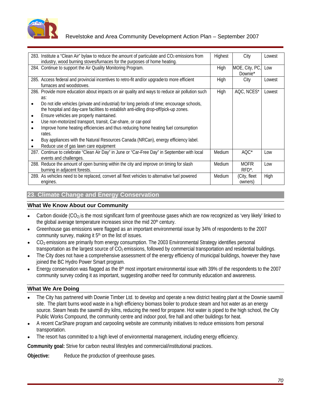

# Revelstoke and Area Community Development Action Plan – September 2007

| 283. Institute a "Clean Air" bylaw to reduce the amount of particulate and CO <sub>2</sub> emissions from   Highest<br>industry, wood burning stoves/furnaces for the purposes of home heating. |        | City               | Lowest              |
|-------------------------------------------------------------------------------------------------------------------------------------------------------------------------------------------------|--------|--------------------|---------------------|
| 284. Continue to support the Air Quality Monitoring Program.                                                                                                                                    | Hiah   | MOE, City, PC, Low |                     |
|                                                                                                                                                                                                 |        | Downie*            |                     |
| 285. Access federal and provincial incentives to retro-fit and/or upgrade to more efficient<br>furnaces and woodstoves.                                                                         | Hinh   | City               | l owest             |
| 286. Provide more education about impacts on air quality and ways to reduce air pollution such                                                                                                  | High   |                    | AQC, NCES* Lowest   |
|                                                                                                                                                                                                 |        |                    |                     |
| Do not idle vehicles (private and industrial) for long periods of time; encourage schools,                                                                                                      |        |                    |                     |
| the hospital and day-care facilities to establish anti-idling drop-off/pick-up zones.                                                                                                           |        |                    |                     |
| Ensure vehicles are properly maintained.                                                                                                                                                        |        |                    |                     |
| Use non-motorized transport, transit, Car-share, or car-pool                                                                                                                                    |        |                    |                     |
| Improve home heating efficiencies and thus reducing home heating fuel consumption                                                                                                               |        |                    |                     |
|                                                                                                                                                                                                 |        |                    |                     |
| Buy appliances with the Natural Resources Canada (NRCan), energy efficiency label.                                                                                                              |        |                    |                     |
| • Reduce use of gas lawn care equipment                                                                                                                                                         |        |                    |                     |
| 287. Continue to celebrate "Clean Air Day" in June or "Car-Free Day" in September with local   Medium                                                                                           |        | AQC*               | l ow                |
| events and challenges.                                                                                                                                                                          |        |                    |                     |
| 288. Reduce the amount of open burning within the city and improve on timing for slash                                                                                                          | Medium | <b>MOFR</b>        | Low                 |
| burning in adjacent forests.                                                                                                                                                                    |        | RFD*.              |                     |
| 289. As vehicles need to be replaced, convert all fleet vehicles to alternative fuel powered                                                                                                    | Medium |                    | (City, fleet   High |
| engines                                                                                                                                                                                         |        | nwners)            |                     |

# **23. Climate Change and Energy Conservation**

### **What We Know About our Community**

- Carbon dioxide (CO<sub>2</sub>) is the most significant form of greenhouse gases which are now recognized as 'very likely' linked to the global average temperature increases since the mid 20<sup>th</sup> century.
- Greenhouse gas emissions were flagged as an important environmental issue by 34% of respondents to the 2007 community survey, making it  $5<sup>th</sup>$  on the list of issues.
- CO<sub>2</sub> emissions are primarily from energy consumption. The 2003 Environmental Strategy identifies personal transportation as the largest source of  $CO<sub>2</sub>$  emissions, followed by commercial transportation and residential buildings.
- The City does not have a comprehensive assessment of the energy efficiency of municipal buildings, however they have joined the BC Hydro Power Smart program.
- Energy conservation was flagged as the 8<sup>th</sup> most important environmental issue with 39% of the respondents to the 2007 community survey coding it as important, suggesting another need for community education and awareness.

# **What We Are Doing**

- The City has partnered with Downie Timber Ltd. to develop and operate a new district heating plant at the Downie sawmill site. The plant burns wood waste in a high efficiency biomass boiler to produce steam and hot water as an energy source. Steam heats the sawmill dry kilns, reducing the need for propane. Hot water is piped to the high school, the City Public Works Compound, the community centre and indoor pool, fire hall and other buildings for heat.
- A recent CarShare program and carpooling website are community initiatives to reduce emissions from personal  $\bullet$ transportation.
- The resort has committed to a high level of environmental management, including energy efficiency.

**Community goal:** Strive for carbon neutral lifestyles and commercial/institutional practices.

**Objective:** Reduce the production of greenhouse gases.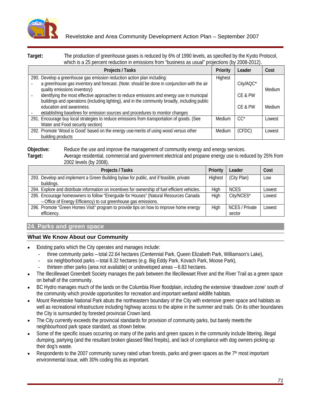

# Revelstoke and Area Community Development Action Plan – September 2007

**Target:** The production of greenhouse gases is reduced by 6% of 1990 levels, as specified by the Kyoto Protocol, which is a 25 percent reduction in emissions from "business as usual" projections (by 2008-2012).

| millon to a Lo personal readeration in emissionic nominesses as asuar projections (b) Loco Lo .L). |                         |              |
|----------------------------------------------------------------------------------------------------|-------------------------|--------------|
| <b>Projects / Tasks</b>                                                                            | <b>Priority Leader</b>  |              |
| 290. Develop a greenhouse gas emission reduction action plan including:                            |                         |              |
| a greenhouse gas inventory and forecast. (Note: should be done in conjunction with the air         | City/AQC*               |              |
| quality emissions inventory)                                                                       |                         |              |
| identifying the most effective approaches to reduce emissions and energy use in municipal          | CE & PW                 |              |
| buildings and operations (including lighting), and in the community broadly, including public      |                         |              |
| education and awareness.                                                                           | CE & PW   Medium        |              |
| establishing baselines for emission sources and procedures to monitor changes                      |                         |              |
| 291. Encourage buy local strategies to reduce emissions from transportation of goods. (See         | Medium<br>- vv          | <b>Lowes</b> |
| Water and Food security section)                                                                   |                         |              |
| 292. Promote 'Wood is Good' based on the energy use merits of using wood versus other              | (CFDC) Lowest<br>Medium |              |
| building products                                                                                  |                         |              |

**Objective:** Reduce the use and improve the management of community energy and energy services.

**Target:** Average residential, commercial and government electrical and propane energy use is reduced by 25% from 2002 levels (by 2008).

| <b>Projects / Tasks</b>                                                                                                                                | <b>Priority   Leader</b>         | ∪ost  |
|--------------------------------------------------------------------------------------------------------------------------------------------------------|----------------------------------|-------|
| 1 293. Develop and implement a Green Building bylaw for public, and if feasible, private                                                               | (City Plan)                      |       |
| 294. Explore and distribute information on incentives for ownership of fuel efficient vehicles.                                                        |                                  |       |
| 295. Encourage homeowners to follow "Energuide for Houses" (Natural Resources Canada<br>-Office of Energy Efficiency) to cut greenhouse gas emissions. | City/NCES*                       | Lowes |
| 296. Promote "Green Homes Visit" program to provide tips on how to improve home energy<br>efficiency                                                   | NCES / Private   Lowest<br>secto |       |

# **24. Parks and green space**

- Existing parks which the City operates and manages include:
	- three community parks total 22.64 hectares (Centennial Park, Queen Elizabeth Park, Williamson's Lake),
	- six neighborhood parks total 8.32 hectares (e.g. Big Eddy Park, Kovach Park, Moose Park),
	- thirteen other parks (area not available) or undeveloped areas 6.83 hectares.
- The Illecillewaet Greenbelt Society manages the park between the Illecillewaet River and the River Trail as a green space on behalf of the community.
- BC Hydro manages much of the lands on the Columbia River floodplain, including the extensive 'drawdown zone' south of the community which provide opportunities for recreation and important wetland wildlife habitats.
- Mount Revelstoke National Park abuts the northeastern boundary of the City with extensive green space and habitats as well as recreational infrastructure including highway access to the alpine in the summer and trails. On its other boundaries the City is surrounded by forested provincial Crown land.
- The City currently exceeds the provincial standards for provision of community parks, but barely meets the neighbourhood park space standard, as shown below.
- Some of the specific issues occurring on many of the parks and green spaces in the community include littering, illegal dumping, partying (and the resultant broken glassed filled firepits), and lack of compliance with dog owners picking up their dog's waste.
- Respondents to the 2007 community survey rated urban forests, parks and green spaces as the 7<sup>th</sup> most important environmental issue, with 30% coding this as important.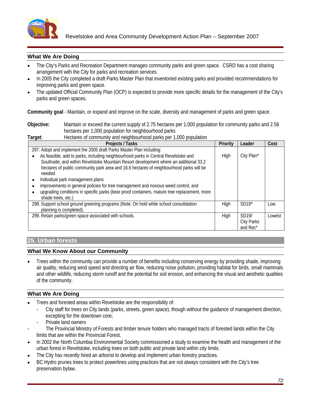

- The City's Parks and Recreation Department manages community parks and green space. CSRD has a cost sharing arrangement with the City for parks and recreation services.
- In 2005 the City completed a draft Parks Master Plan that inventoried existing parks and provided recommendations for improving parks and green space.
- The updated Official Community Plan (OCP) is expected to provide more specific details for the management of the City's parks and green spaces.

**Community goal** - Maintain, or expand and improve on the scale, diversity and management of parks and green space.

**Objective:** Maintain or exceed the current supply of 2.75 hectares per 1,000 population for community parks and 2.56 hectares per 1,000 population for neighbourhood parks<br>Hectares of community and paint hourhood parks need 1999 population

| ⊺arget: | Hectares of community and neighbourhood parks per 1,000 population                                                                                                                                                                                                       |                                        |        |
|---------|--------------------------------------------------------------------------------------------------------------------------------------------------------------------------------------------------------------------------------------------------------------------------|----------------------------------------|--------|
|         | <b>Projects / Tasks</b>                                                                                                                                                                                                                                                  | <b>Priority Leader</b>                 | Cost   |
|         | 297. Adopt and implement the 2005 draft Parks Master Plan including:                                                                                                                                                                                                     |                                        |        |
| needed  | • As feasible, add to parks, including neighbourhood parks in Central Revelstoke and<br>Southside, and within Revelstoke Mountain Resort development where an additional 33.2<br>hectares of public community park area and 16.6 hectares of neighbourhood parks will be | High   City Plan*                      |        |
|         | Individual park management plans                                                                                                                                                                                                                                         |                                        |        |
|         | • improvements in general policies for tree management and noxious weed control, and                                                                                                                                                                                     |                                        |        |
|         | upgrading conditions in specific parks (bear proof containers, mature tree replacement, more $\ $<br>shade trees, etc.)                                                                                                                                                  |                                        |        |
|         | 298. Support school ground greening programs (Note: On hold while school consolidation<br>planning is completed).                                                                                                                                                        | $SD19*$                                | Low    |
|         | 299. Retain parks/green space associated with schools.                                                                                                                                                                                                                   | SDI9/<br><b>City Parks</b><br>and Rec* | Lowest |

# **25. Urban forests**

### **What We Know About our Community**

Trees within the community can provide a number of benefits including conserving energy by providing shade, improving air quality, reducing wind speed and directing air flow, reducing noise pollution, providing habitat for birds, small mammals and other wildlife, reducing storm runoff and the potential for soil erosion, and enhancing the visual and aesthetic qualities of the community.

# **What We Are Doing**

- Trees and forested areas within Revelstoke are the responsibility of:
	- City staff for trees on City lands (parks, streets, green space), though without the guidance of management direction, excepting for the downtown core;
	- Private land owners
- The Provincial Ministry of Forests and timber tenure holders who managed tracts of forested lands within the City limits that are within the Provincial Forest.
- In 2002 the North Columbia Environmental Society commissioned a study to examine the health and management of the urban forest in Revelstoke, including trees on both public and private land within city limits.
- The City has recently hired an arborist to develop and implement urban forestry practices.
- BC Hydro prunes trees to protect powerlines using practices that are not always consistent with the City's tree preservation bylaw.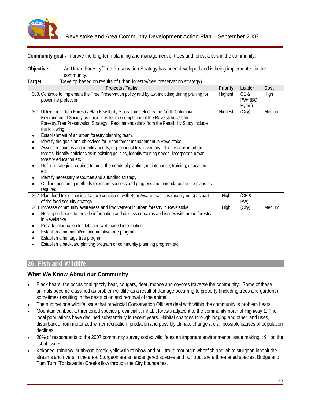

**Community goal -** Improve the long-term planning and management of trees and forest areas in the community.

**Objective:** An Urban Forestry/Tree Preservation Strategy has been developed and is being implemented in the community.

| <b>Projects / Tasks</b>                                                                                                                                                                                                                                                                                                                                                                                                                | Priority Leader Cost                  |        |
|----------------------------------------------------------------------------------------------------------------------------------------------------------------------------------------------------------------------------------------------------------------------------------------------------------------------------------------------------------------------------------------------------------------------------------------|---------------------------------------|--------|
| 300. Continue to implement the Tree Preservation policy and bylaw, including during pruning for<br>powerline protection                                                                                                                                                                                                                                                                                                                | Highest   CE &<br>PW <sup>*</sup> (BC | High   |
| 301. Utilize the Urban Forestry Plan Feasibility Study completed by the North Columbia<br>Environmental Society as guidelines for the completion of the Revelstoke Urban<br>Forestry/Tree Preservation Strategy. Recommendations from the Feasibility Study include<br>the following:<br>Establishment of an urban forestry planning team.<br>Identify the goals and objectives for urban forest management in Revelstoke.             | Highest (City)                        | Medium |
| Assess resources and identify needs, e.g. conduct tree inventory, identify gaps in urban<br>forests, identify deficiencies in existing policies, identify training needs, incorporate urban<br>forestry education etc<br>Define strategies required to meet the needs of planting, maintenance, training, education                                                                                                                    |                                       |        |
| Identify necessary resources and a funding strategy.<br>Outline monitoring methods to ensure success and progress and amend/update the plans as  <br>required.                                                                                                                                                                                                                                                                         |                                       |        |
| 302. Plant food trees species that are consistent with Bear Aware practices (mainly nuts) as part<br>of the food security strategy                                                                                                                                                                                                                                                                                                     | High (CE &                            |        |
| 303. Increase community awareness and involvement in urban forestry in Revelstoke.<br>Host open house to provide information and discuss concerns and issues with urban forestry  <br>in Revelstoke<br>Provide information leaflets and web-based information.<br>Establish a memorial/commemorative tree program.<br>Establish a heritage tree program.<br>• Establish a backyard planting program or community planning program etc. | High (City)                           | Medium |

## **26. Fish and Wildlife**

## **What We Know About our Community**

- Black bears, the occasional grizzly bear, cougars, deer, moose and coyotes traverse the community. Some of these  $\bullet$ animals become classified as problem wildlife as a result of damage occurring to property (including trees and gardens), sometimes resulting in the destruction and removal of the animal.
- The number one wildlife issue that provincial Conservation Officers deal with within the community is problem bears.
- Mountain caribou, a threatened species provincially, inhabit forests adjacent to the community north of Highway 1. The local populations have declined substantially in recent years. Habitat changes through logging and other land uses, disturbance from motorized winter recreation, predation and possibly climate change are all possible causes of population declines. The contract of the contract of the contract of the contract of the contract of the contract of the contract of the contract of the contract of the contract of the contract of the contract of the contract of the
- 28% of respondents to the 2007 community survey coded wildlife as an important environmental issue making it  $9<sup>th</sup>$  on the list of issues.
- Kokanee; rainbow, cutthroat, brook, yellow fin rainbow and bull trout; mountain whitefish and white sturgeon inhabit the streams and rivers in the area. Sturgeon are an endangered species and bull trout are a threatened species. Bridge and Tum Tum (Tonkawatla) Creeks flow through the City boundaries.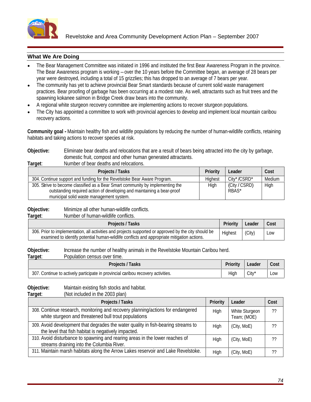

## **What We Are Doing**

- The Bear Management Committee was initiated in 1996 and instituted the first Bear Awareness Program in the province. The Bear Awareness program is working – over the 10 years before the Committee began, an average of 28 bears per year were destroyed, including a total of 15 grizzlies; this has dropped to an average of 7 bears per year.
- The community has yet to achieve provincial Bear Smart standards because of current solid waste management practices. Bear proofing of garbage has been occurring at a modest rate. As well, attractants such as fruit trees and the spawning kokanee salmon in Bridge Creek draw bears into the community.
- A regional white sturgeon recovery committee are implementing actions to recover sturgeon populations.
- The City has appointed a committee to work with provincial agencies to develop and implement local mountain caribou recovery actions.

**Community goal -** Maintain healthy fish and wildlife populations by reducing the number of human-wildlife conflicts, retaining habitats and taking actions to recover species at risk.

#### **Objective:** Eliminate bear deaths and relocations that are a result of bears being attracted into the city by garbage, domestic fruit, compost and other human generated attractants. **Target:** Number of bear deaths and relocations.

| <b>NUMBER OF DEAL ACAINS AND ICIDEALISTS</b>                                   |                         |          |
|--------------------------------------------------------------------------------|-------------------------|----------|
| Projects / Tasks                                                               | <b>Leader</b><br>чюну к | 0.04     |
| 304. Continue support and funding for the Revelstoke Bear Aware Program.       | $City^*/CSRD^*$         | l Medium |
| 305. Strive to become classified as a Bear Smart community by implementing the | (City / CSRD)<br>Hinh.  |          |
| outstanding required action of developing and maintaining a bear-proof         | <b>RBAS</b>             |          |
| municipal solid waste management system                                        |                         |          |

**Objective:** Minimize all other human-wildlife conflicts.<br> **Target:** Number of human-wildlife conflicts.

**Target**: Number of human-wildlife conflicts.

**Objective:** Increase the number of healthy animals in the Revelstoke Mountain Caribou herd.

| Target: | over time.<br>lation census<br>Population |  |  |  |
|---------|-------------------------------------------|--|--|--|
|         |                                           |  |  |  |

**Objective:** Maintain existing fish stocks and habitat.

**Target**: (Not included in the 2003 plan)

| <b>Projects / Tasks</b>                                                                                                                  |      | Priority   Leader             | $\vert$ Cost |
|------------------------------------------------------------------------------------------------------------------------------------------|------|-------------------------------|--------------|
| 308. Continue research, monitoring and recovery planning/actions for endangered<br>white sturgeon and threatened bull trout populations  | Hiah | White Sturgeon<br>Team; (MOE) |              |
| 309. Avoid development that degrades the water quality in fish-bearing streams to<br>the level that fish habitat is negatively impacted. | Hiah | (City, MoE)                   | ??           |
| 310. Avoid disturbance to spawning and rearing areas in the lower reaches of<br>streams draining into the Columbia River.                |      | (City, MoE)                   |              |
| 311. Maintain marsh habitats along the Arrow Lakes reservoir and Lake Revelstoke.                                                        | High | (City, MoE)                   |              |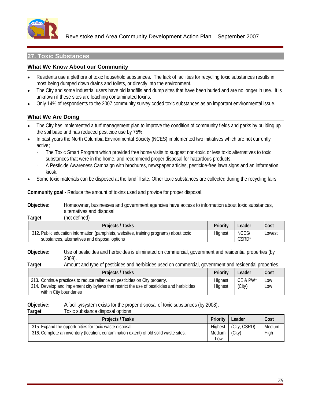

Revelstoke and Area Community Development Action Plan – September 2007

## **27. Toxic Substances**

#### **What We Know About our Community**

- Residents use a plethora of toxic household substances. The lack of facilities for recycling toxic substances results in  $\bullet$ most being dumped down drains and toilets, or directly into the environment.
- The City and some industrial users have old landfills and dump sites that have been buried and are no longer in use. It is unknown if these sites are leaching contaminated toxins.
- Only 14% of respondents to the 2007 community survey coded toxic substances as an important environmental issue.

#### **What We Are Doing**

- The City has implemented a turf management plan to improve the condition of community fields and parks by building up the soil base and has reduced pesticide use by 75%.
- In past years the North Columbia Environmental Society (NCES) implemented two initiatives which are not currently active;
	- The Toxic Smart Program which provided free home visits to suggest non-toxic or less toxic alternatives to toxic substances that were in the home, and recommend proper disposal for hazardous products.
	- A Pesticide Awareness Campaign with brochures, newspaper articles, pesticide-free lawn signs and an information kiosk.
- Some toxic materials can be disposed at the landfill site. Other toxic substances are collected during the recycling fairs.

**Community goal -** Reduce the amount of toxins used and provide for proper disposal.

**Objective:** Homeowner, businesses and government agencies have access to information about toxic substances, alternatives and disposal.

**Target**: (not defined)

**Objective:** Use of pesticides and herbicides is eliminated on commercial, government and residential properties (by 2008).

**Target**: Amount and type of pesticides and herbicides used on commercial, government and residential properties.

| Projects / Tasks                                                                                      | <b>Priority</b> | ∣ Leader      | Cost                 |
|-------------------------------------------------------------------------------------------------------|-----------------|---------------|----------------------|
| 313. Continue practices to reduce reliance on pesticides on City property.                            |                 | CE & PW*      | ⊥I ∩w                |
| 314. Develop and implement city bylaws that a<br>s that restrict the use of pesticides and herbicides | Hinhaet         | $\mid$ (City) | $\sim$ $\sim$ $\sim$ |
| within City boundaries                                                                                |                 |               |                      |

**Objective:** A facility/system exists for the proper disposal of toxic substances (by 2008).

#### **Target:** Toxic substance disposal options

| <b>Projects / Tasks</b>                                                               | , I Laadar I<br>Tionly   Leager | Cost        |  |
|---------------------------------------------------------------------------------------|---------------------------------|-------------|--|
| 315. Expand the opportunities for toxic waste disposal                                | est (City, CSRD) Medium         |             |  |
| 316. Complete an inventory (location, contamination extent) of old solid waste sites. | ___<br>Medium I (City)<br>10.01 | <b>High</b> |  |
|                                                                                       |                                 |             |  |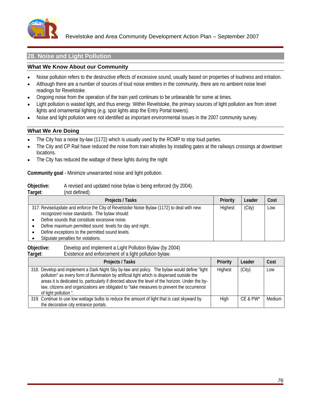

Revelstoke and Area Community Development Action Plan – September 2007

## **28. Noise and Light Pollution**

## **What We Know About our Community**

- Noise pollution refers to the destructive effects of excessive sound, usually based on properties of loudness and irritation.  $\bullet$
- Although there are a number of sources of loud noise emitters in the community, there are no ambient noise level  $\bullet$ readings for Revelstoke.
- Ongoing noise from the operation of the train yard continues to be unbearable for some at times.
- Light pollution is wasted light, and thus energy. Within Revelstoke, the primary sources of light pollution are from street lights and ornamental lighting (e.g. spot lights atop the Entry Portal towers).
- Noise and light pollution were not identified as important environmental issues in the 2007 community survey.  $\bullet$

## **What We Are Doing**

- The City has a noise by-law (1172) which is usually used by the RCMP to stop loud parties.
- The City and CP Rail have reduced the noise from train whistles by installing gates at the railways crossings at downtown locations. The contract of the contract of the contract of the contract of the contract of the contract of the contract of the contract of the contract of the contract of the contract of the contract of the contract of the
- The City has reduced the wattage of these lights during the night

**Community goal** - Minimize unwarranted noise and light pollution.

**Objective:** A revised and updated noise bylaw is being enforced (by 2004).

**Target**: (not defined)

| <b>Projects / Tasks</b>                                                                   |         | Priority   Leader   Cost |     |
|-------------------------------------------------------------------------------------------|---------|--------------------------|-----|
| 317. Revise/update and enforce the City of Revelstoke Noise Bylaw (1172) to deal with new | Highest | $\mid$ (City)            | Low |
| recognized noise standards. The bylaw should:                                             |         |                          |     |
| Define sounds that constitute excessive noise.                                            |         |                          |     |
| • Define maximum permitted sound levels for day and night.                                |         |                          |     |
| • Define exceptions to the permitted sound levels.                                        |         |                          |     |
| Stipulate penalties for violations.                                                       |         |                          |     |

**Objective:** Develop and implement a Light Pollution Bylaw (by 2004) **Target**: Existence and enforcement of a light pollution bylaw.

| <b>Projects / Tasks</b>                                                                                | Priority Leader |                    | Cost |
|--------------------------------------------------------------------------------------------------------|-----------------|--------------------|------|
| 318. Develop and implement a Dark Night Sky by-law and policy. The bylaw would define "light   Highest |                 | $\mid$ (City)      | Low  |
| pollution" as every form of illumination by artificial light which is dispersed outside the            |                 |                    |      |
| areas it is dedicated to, particularly if directed above the level of the horizon. Under the by-       |                 |                    |      |
| law, citizens and organizations are obligated to "take measures to prevent the occurrence              |                 |                    |      |
| of light pollution                                                                                     |                 |                    |      |
| 319. Continue to use low wattage bulbs to reduce the amount of light that is cast skyward by           |                 | $CE & PW^*$ Medium |      |
| the decorative city entrance portals.                                                                  |                 |                    |      |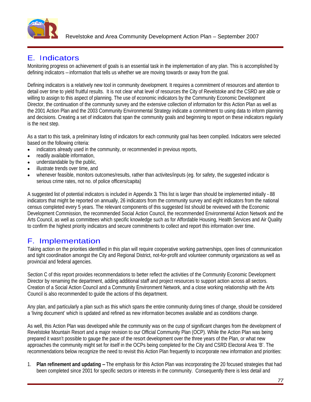

# E. Indicators

Monitoring progress on achievement of goals is an essential task in the implementation of any plan. This is accomplished by defining indicators – information that tells us whether we are moving towards or away from the goal.

Defining indicators is a relatively new tool in community development. It requires a commitment of resources and attention to detail over time to yield fruitful results. It is not clear what level of resources the City of Revelstoke and the CSRD are able or willing to assign to this aspect of planning. The use of economic indicators by the Community Economic Development Director, the continuation of the community survey and the extensive collection of information for this Action Plan as well as the 2001 Action Plan and the 2003 Community Environmental Strategy indicate a commitment to using data to inform planning and decisions. Creating a set of indicators that span the community goals and beginning to report on these indicators regularly is the next step.  $\blacksquare$ 

As a start to this task, a preliminary listing of indicators for each community goal has been compiled. Indicators were selected based on the following criteria:

- indicators already used in the community, or recommended in previous reports,  $\bullet$
- readily available information,
- understandable by the public,
- illustrate trends over time, and
- whenever feasible, monitors outcomes/results, rather than activites/inputs (eq. for safety, the suggested indicator is serious crime rates, not no. of police officers/capita)

A suggested list of potential indicators is included in Appendix 3. This list is larger than should be implemented initially - 88 indicators that might be reported on annually, 26 indicators from the community survey and eight indicators from the national census completed every 5 years. The relevant components of this suggested list should be reviewed with the Economic Development Commission, the recommended Social Action Council, the recommended Environmental Action Network and the Arts Council, as well as committees which specific knowledge such as for Affordable Housing, Health Services and Air Quality to confirm the highest priority indicators and secure commitments to collect and report this information over time.

# F. Implementation

Taking action on the priorities identified in this plan will require cooperative working partnerships, open lines of communication and tight coordination amongst the City and Regional District, not-for-profit and volunteer community organizations as well as provincial and federal agencies.

Section C of this report provides recommendations to better reflect the activities of the Community Economic Development Director by renaming the department, adding additional staff and project resources to support action across all sectors. Creation of a Social Action Council and a Community Environment Network, and a close working relationship with the Arts Council is also recommended to guide the actions of this department.

Any plan, and particularly a plan such as this which spans the entire community during times of change, should be considered a 'living document' which is updated and refined as new information becomes available and as conditions change.

As well, this Action Plan was developed while the community was on the cusp of significant changes from the development of Revelstoke Mountain Resort and a major revision to our Official Community Plan (OCP). While the Action Plan was being prepared it wasn't possible to gauge the pace of the resort development over the three years of the Plan, or what new approaches the community might set for itself in the OCPs being completed for the City and CSRD Electoral Area 'B'. The recommendations below recognize the need to revisit this Action Plan frequently to incorporate new information and priorities:

1. **Plan refinement and updating –**The emphasis for this Action Plan was incorporating the 20 focused strategies that had been completed since 2001 for specific sectors or interests in the community. Consequently there is less detail and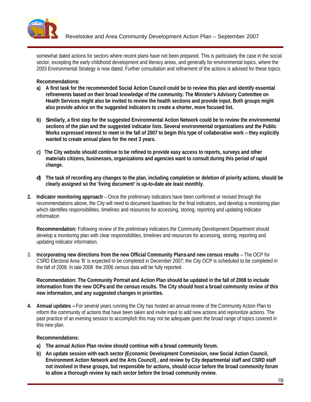

somewhat dated actions for sectors where recent plans have not been prepared. This is particularly the case in the social sector, excepting the early childhood development and literacy areas, and generally for environmental topics, where the 2003 Environmental Strategy is now dated. Further consultation and refinement of the actions is advised for these topics.

**Recommendations:** 

- **a) A first task for the recommended Social Action Council could be to review this plan and identify essential refinements based on their broad knowledge of the community. The Minister's Advisory Committee on Health Services might also be invited to review the health sections and provide input. Both groups might also provide advice on the suggested indicators to create a shorter, more focused list.**
- **b) Similarly, a first step for the suggested Environmental Action Network could be to review the environmental sections of the plan and the suggested indicator lists. Several environmental organizations and the Public Works expressed interest to meet in the fall of 2007 to begin this type of collaborative work – they explicitly wanted to create annual plans for the next 3 years.**
- **c) The City website should continue to be refined to provide easy access to reports, surveys and other materials citizens, businesses, organizations and agencies want to consult during this period of rapid change.**
- **d) The task of recording any changes to the plan, including completion or deletion of priority actions, should be clearly assigned so the 'living document' is up-to-date ate least monthly.**
- **2. Indicator monitoring approach** Once the preliminary indicators have been confirmed or revised through the recommendations above, the City will need to document baselines for the final indicators, and develop a monitoring plan which identifies responsibilities, timelines and resources for accessing, storing, reporting and updating indicator information

**Recommendation:** Following review of the preliminary indicators the Community Development Department should develop a monitoring plan with clear responsibilities, timelines and resources for accessing, storing, reporting and updating indicator information.

3. **Incorporating new directions from the new Official Community Plans and new census results** – The OCP for CSRD Electoral Area 'B' is expected to be completed in December 2007; the City OCP is scheduled to be completed in the fall of 2008. In late 2008 the 2006 census data will be fully reported.

**Recommendation: The Community Portrait and Action Plan should be updated in the fall of 2008 to include information from the new OCPs and the census results. The City should host a broad community review of this new information, and any suggested changes in priorities.**

**4. Annual updates –**For several years running the City has hosted an annual review of the Community Action Plan to inform the community of actions that have been taken and invite input to add new actions and reprioritize actions. The past practice of an evening session to accomplish this may not be adequate given the broad range of topics covered in this new plan.

## **Recommendations:**

- **a) The annual Action Plan review should continue with a broad community forum.**
- **b) An update session with each sector (Economic Development Commission, new Social Action Council, Environment Action Network and the Arts Council) , and review by City departmental staff and CSRD staff not involved in these groups, but responsible for actions, should occur before the broad community forum to allow a thorough review by each sector before the broad community review.**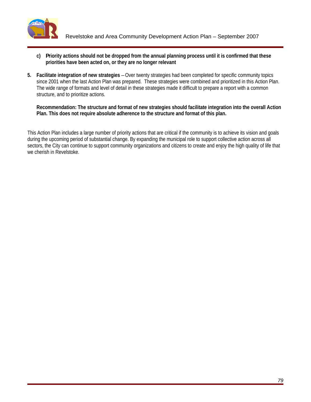

- **c) Priority actions should not be dropped from the annual planning process until it is confirmed that these priorities have been acted on, or they are no longer relevant**
- **5. Facilitate integration of new strategies**  Over twenty strategies had been completed for specific community topics since 2001 when the last Action Plan was prepared. These strategies were combined and prioritized in this Action Plan. The wide range of formats and level of detail in these strategies made it difficult to prepare a report with a common structure, and to prioritize actions.

#### **Recommendation: The structure and format of new strategies should facilitate integration into the overall Action Plan. This does not require absolute adherence to the structure and format of this plan.**

This Action Plan includes a large number of priority actions that are critical if the community is to achieve its vision and goals during the upcoming period of substantial change. By expanding the municipal role to support collective action across all sectors, the City can continue to support community organizations and citizens to create and enjoy the high quality of life that we cherish in Revelstoke.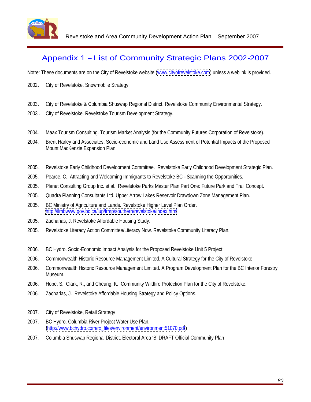

Revelstoke and Area Community Development Action Plan – September 2007

# Appendix 1 – List of Community Strategic Plans 2002-2007

Notre: These documents are on the City of Revelstoke website [\(www.cityofrevelstoke.com](http://www.cityofrevelstoke.com)) unless a weblink is provided.

- 2002. City of Revelstoke. Snowmobile Strategy
- 2003. City of Revelstoke & Columbia Shuswap Regional District. Revelstoke Community Environmental Strategy.
- 2003 . City of Revelstoke. Revelstoke Tourism Development Strategy.
- 2004. Maax Tourism Consulting. Tourism Market Analysis (for the Community Futures Corporation of Revelstoke).
- 2004. Brent Harley and Associates. Socio-economic and Land Use Assessment of Potential Impacts of the Proposed Mount MacKenzie Expansion Plan.
- 2005. Revelstoke Early Childhood Development Committee. Revelstoke Early Childhood Development Strategic Plan.
- 2005. Pearce, C. Attracting and Welcoming Immigrants to Revelstoke BC Scanning the Opportunities.
- 2005. Planet Consulting Group Inc. et.al. Revelstoke Parks Master Plan Part One: Future Park and Trail Concept.
- 2005. Quadra Planning Consultants Ltd. Upper Arrow Lakes Reservoir Drawdown Zone Management Plan.
- 2005. BC Ministry of Agriculture and Lands. Revelstoke Higher Level Plan Order. <http://ilmbwww.gov.bc.ca/lup/lrmp/southern/revelstoke/index.html>
- 2005. Zacharias, J. Revelstoke Affordable Housing Study.
- 2005. Revelstoke Literacy Action Committee/Literacy Now. Revelstoke Community Literacy Plan.
- 2006. BC Hydro. Socio-Economic Impact Analysis for the Proposed Revelstoke Unit 5 Project.
- 2006. Commonwealth Historic Resource Management Limited. A Cultural Strategy for the City of Revelstoke
- 2006. Commonwealth Historic Resource Management Limited. A Program Development Plan for the BC Interior Forestry Museum.
- 2006. Hope, S., Clark, R., and Cheung, K. Community Wildfire Protection Plan for the City of Revelstoke.
- 2006. Zacharias, J. Revelstoke Affordable Housing Strategy and Policy Options.
- 2007. City of Revelstoke, Retail Strategy
- 2007. BC Hydro. Columbia River Project Water Use Plan. [\(http://www.bchydro.com/rx\\_files/environment/environment51070.pdf](http://www.bchydro.com/rx_files/environment/environment51070.pdf))
- 2007. Columbia Shuswap Regional District. Electoral Area 'B' DRAFT Official Community Plan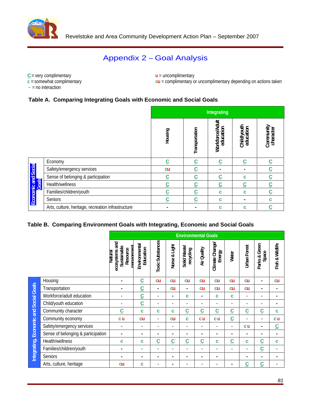

## Appendix 2 – Goal Analysis

**C**=very complimentary

- = no interaction

**u** = uncomplimentary

**c** = somewhat complimentary **cu** = complimentary or uncomplimentary depending on actions taken

## **Table A. Comparing Integrating Goals with Economic and Social Goals**

|                                                    |  | <b>Integrating</b> |           |                       |
|----------------------------------------------------|--|--------------------|-----------|-----------------------|
|                                                    |  |                    | æ.<br>ひ ® | Ĕ¤<br>Comm.<br>charac |
|                                                    |  |                    |           |                       |
| Econom <sup>®</sup>                                |  |                    |           |                       |
| Safety/emergency services                          |  |                    |           |                       |
| Sense of belonging & participation                 |  |                    |           |                       |
| $\frac{1}{8}$ Health/wellness                      |  |                    |           |                       |
| Families/children/youth                            |  |                    |           |                       |
| Seniors                                            |  |                    |           |                       |
| Arts, culture, heritage, recreation infrastructure |  |                    |           |                       |

## **Table B. Comparing Environment Goals with Integrating, Economic and Social Goals**

|                                    |           |           |                        |           | <b>Environmental Goals</b> |                |                        |                          |           |
|------------------------------------|-----------|-----------|------------------------|-----------|----------------------------|----------------|------------------------|--------------------------|-----------|
|                                    |           | 홀필        |                        |           |                            | א ט            |                        | $\overline{\phantom{0}}$ |           |
|                                    |           |           |                        |           |                            |                | ∍                      |                          |           |
| Housing                            |           |           | <b>cu</b><br><b>CU</b> | <b>cu</b> | <b>cu</b>                  | <b>cu</b>      | <b>CU</b><br><b>cu</b> |                          | <b>cu</b> |
| Transportation                     |           |           | <b>cu</b>              |           | <b>cu</b>                  | cu             | <b>CU</b><br><b>CU</b> |                          | $\sim$    |
| Workforce/adult education          |           |           |                        |           |                            |                |                        |                          |           |
| Child/youth education              |           |           |                        |           |                            |                |                        |                          |           |
| Community character                |           |           |                        |           |                            |                |                        |                          |           |
| Community economy                  | $c$ u     | <b>cu</b> |                        | <b>cu</b> | <b>cu</b>                  | c <sub>u</sub> | $\sim$                 |                          | $c$ u     |
| Safety/emergency services          |           |           | $\sim$ $\sim$          |           |                            |                |                        | <b>cu</b>                |           |
| Sense of belonging & participation |           |           |                        |           |                            |                |                        |                          |           |
| Health/wellness                    |           |           |                        |           |                            |                |                        |                          |           |
| Families/children/youth            |           |           |                        |           |                            |                |                        |                          |           |
| Seniors                            |           |           |                        |           |                            |                |                        |                          |           |
| Arts, culture, heritage            | <b>cu</b> |           |                        |           |                            |                | $\sim$                 | $\sim$                   |           |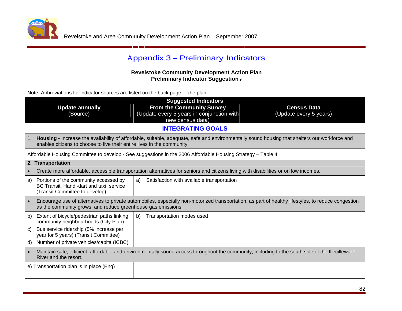

# Appendix 3 – Preliminary Indicators

## **Revelstoke Community Development Action Plan Preliminary Indicator Suggestions**

Note: Abbreviations for indicator sources are listed on the back page of the plan

|                                                                                                                       | <b>Suggested Indicators</b>                                                                                                                      |                                                                                                                                                    |
|-----------------------------------------------------------------------------------------------------------------------|--------------------------------------------------------------------------------------------------------------------------------------------------|----------------------------------------------------------------------------------------------------------------------------------------------------|
| <b>Update annually</b><br>(Source)                                                                                    | <b>From the Community Survey</b><br>(Update every 5 years in conjunction with  <br>new census data)                                              | <b>Census Data</b><br>(Update every 5 years)                                                                                                       |
|                                                                                                                       | <b>INTEGRATING GOALS</b>                                                                                                                         |                                                                                                                                                    |
| enables citizens to choose to live their entire lives in the community.                                               | Housing - Increase the availability of affordable, suitable, adequate, safe and environmentally sound housing that shelters our workforce and    |                                                                                                                                                    |
|                                                                                                                       | Affordable Housing Committee to develop - See suggestions in the 2006 Affordable Housing Strategy - Table 4                                      |                                                                                                                                                    |
| 2. Transportation                                                                                                     |                                                                                                                                                  |                                                                                                                                                    |
|                                                                                                                       | • Create more affordable, accessible transportation alternatives for seniors and citizens living with disabilities or on low incomes.            |                                                                                                                                                    |
| a) Portions of the community accessed by<br>BC Transit, Handi-dart and taxi service<br>(Transit Committee to develop) | Satisfaction with available transportation                                                                                                       |                                                                                                                                                    |
| as the community grows, and reduce greenhouse gas emissions.                                                          |                                                                                                                                                  | Encourage use of alternatives to private automobiles, especially non-motorized transportation, as part of healthy lifestyles, to reduce congestion |
| b) Extent of bicycle/pedestrian paths linking<br>community neighbourhoods (City Plan)                                 | Transportation modes used                                                                                                                        |                                                                                                                                                    |
| c) Bus service ridership (5% increase per<br>year for 5 years) (Transit Committee)                                    |                                                                                                                                                  |                                                                                                                                                    |
| d) Number of private vehicles/capita (ICBC)                                                                           |                                                                                                                                                  |                                                                                                                                                    |
| River and the resort.                                                                                                 | Maintain safe, efficient, affordable and environmentally sound access throughout the community, including to the south side of the Illecillewaet |                                                                                                                                                    |
| e) Transportation plan is in place (Eng)                                                                              |                                                                                                                                                  |                                                                                                                                                    |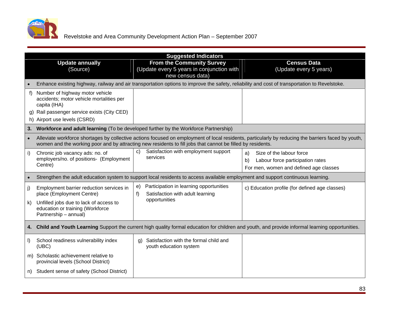

|                                                                                                                                                                              | <b>Suggested Indicators</b>                                                                                                                   |                                                                                                                                                     |
|------------------------------------------------------------------------------------------------------------------------------------------------------------------------------|-----------------------------------------------------------------------------------------------------------------------------------------------|-----------------------------------------------------------------------------------------------------------------------------------------------------|
| <b>Update annually</b><br>(Source)                                                                                                                                           | <b>From the Community Survey</b><br>(Update every 5 years in conjunction with $\vert$<br>new census data)                                     | <b>Census Data</b><br>(Update every 5 years)                                                                                                        |
|                                                                                                                                                                              | Enhance existing highway, railway and air transportation options to improve the safety, reliability and cost of transportation to Revelstoke. |                                                                                                                                                     |
| ) Number of highway motor vehicle<br>accidents; motor vehicle mortalities per<br>capita (IHA)<br>g) Rail passenger service exists (City CED)<br>h) Airport use levels (CSRD) |                                                                                                                                               |                                                                                                                                                     |
|                                                                                                                                                                              | Workforce and adult learning (To be developed further by the Workforce Partnership)                                                           |                                                                                                                                                     |
|                                                                                                                                                                              | women and the working poor and by attracting new residents to fill jobs that cannot be filled by residents.                                   | Alleviate workforce shortages by collective actions focused on employment of local residents, particularly by reducing the barriers faced by youth, |
| Chronic job vacancy ads: no. of<br>employers/no. of positions- (Employment<br>Centre)                                                                                        | c) Satisfaction with employment support<br>services                                                                                           | a) Size of the labour force<br>b) Labour force participation rates<br>For men, women and defined age classes                                        |
|                                                                                                                                                                              | Strengthen the adult education system to support local residents to access available employment and support continuous learning.              |                                                                                                                                                     |
| Employment barrier reduction services in<br>place (Employment Centre)<br>Unfilled jobs due to lack of access to<br>education or training (Workforce<br>Partnership - annual) | e) Participation in learning opportunities<br>Satisfaction with adult learning<br>opportunities                                               | c) Education profile (for defined age classes)                                                                                                      |
|                                                                                                                                                                              |                                                                                                                                               | 4. Child and Youth Learning Support the current high quality formal education for children and youth, and provide informal learning opportunities.  |
| School readiness vulnerability index<br>(UBC)                                                                                                                                | g) Satisfaction with the formal child and<br>youth education system                                                                           |                                                                                                                                                     |
| m) Scholastic achievement relative to<br>provincial levels (School District)                                                                                                 |                                                                                                                                               |                                                                                                                                                     |
| n) Student sense of safety (School District)                                                                                                                                 |                                                                                                                                               |                                                                                                                                                     |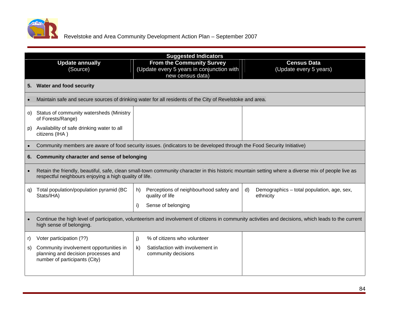

|                                                                                                                | <b>Suggested Indicators</b>                                                                                                                          |                        |
|----------------------------------------------------------------------------------------------------------------|------------------------------------------------------------------------------------------------------------------------------------------------------|------------------------|
| <b>Update annually</b>                                                                                         | <b>From the Community Survey</b>                                                                                                                     | <b>Census Data</b>     |
| (Source)                                                                                                       | (Update every 5 years in conjunction with $ $                                                                                                        | (Update every 5 years) |
|                                                                                                                | new census data)                                                                                                                                     |                        |
| 5. Water and food security                                                                                     |                                                                                                                                                      |                        |
|                                                                                                                | Maintain safe and secure sources of drinking water for all residents of the City of Revelstoke and area.                                             |                        |
| o) Status of community watersheds (Ministry<br>of Forests/Range)                                               |                                                                                                                                                      |                        |
| p) Availability of safe drinking water to all<br>citizens (IHA)                                                |                                                                                                                                                      |                        |
|                                                                                                                | Community members are aware of food security issues. (indicators to be developed through the Food Security Initiative)                               |                        |
| 6. Community character and sense of belonging                                                                  |                                                                                                                                                      |                        |
| respectful neighbours enjoying a high quality of life.                                                         | Retain the friendly, beautiful, safe, clean small-town community character in this historic mountain setting where a diverse mix of people live as   |                        |
| q) Total population/population pyramid (BC<br>Stats/IHA)                                                       | Perceptions of neighbourhood safety and $  d \rangle$ Demographics – total population, age, sex,<br>quality of life                                  | ethnicity              |
|                                                                                                                | Sense of belonging                                                                                                                                   |                        |
| high sense of belonging.                                                                                       | Continue the high level of participation, volunteerism and involvement of citizens in community activities and decisions, which leads to the current |                        |
| Voter participation (??)                                                                                       | % of citizens who volunteer                                                                                                                          |                        |
| Community involvement opportunities in<br>planning and decision processes and<br>number of participants (City) | Satisfaction with involvement in<br>community decisions                                                                                              |                        |
|                                                                                                                |                                                                                                                                                      |                        |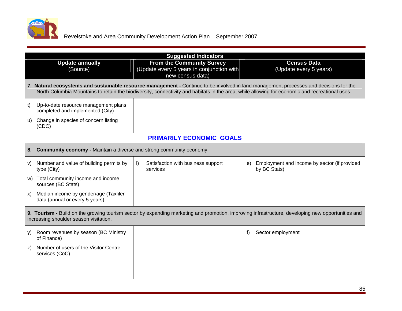

|                                                                             | <b>Suggested Indicators</b>                                     |                                                                                                                                                                                                                                                                                          |
|-----------------------------------------------------------------------------|-----------------------------------------------------------------|------------------------------------------------------------------------------------------------------------------------------------------------------------------------------------------------------------------------------------------------------------------------------------------|
| <b>Update annually</b>                                                      | <b>From the Community Survey</b>                                | <b>Census Data</b>                                                                                                                                                                                                                                                                       |
| (Source)                                                                    | (Update every 5 years in conjunction with  <br>new census data) | (Update every 5 years)                                                                                                                                                                                                                                                                   |
|                                                                             |                                                                 | 7. Natural ecosystems and sustainable resource management - Continue to be involved in land management processes and decisions for the<br>North Columbia Mountains to retain the biodiversity, connectivity and habitats in the area, while allowing for economic and recreational uses. |
| t) Up-to-date resource management plans<br>completed and implemented (City) |                                                                 |                                                                                                                                                                                                                                                                                          |
| u) Change in species of concern listing<br>(CDC)                            |                                                                 |                                                                                                                                                                                                                                                                                          |
|                                                                             | <b>PRIMARILY ECONOMIC GOALS</b>                                 |                                                                                                                                                                                                                                                                                          |
| 8. Community economy - Maintain a diverse and strong community economy.     |                                                                 |                                                                                                                                                                                                                                                                                          |
| v) Number and value of building permits by<br>type (City)                   | Satisfaction with business support<br>services                  | e) Employment and income by sector (if provided<br>by BC Stats)                                                                                                                                                                                                                          |
| w) Total community income and income<br>sources (BC Stats)                  |                                                                 |                                                                                                                                                                                                                                                                                          |
| x) Median income by gender/age (Taxfiler<br>data (annual or every 5 years)  |                                                                 |                                                                                                                                                                                                                                                                                          |
| increasing shoulder season visitation.                                      |                                                                 | 9. Tourism - Build on the growing tourism sector by expanding marketing and promotion, improving infrastructure, developing new opportunities and                                                                                                                                        |
| y) Room revenues by season (BC Ministry<br>of Finance)                      |                                                                 | Sector employment<br>f                                                                                                                                                                                                                                                                   |
| z) Number of users of the Visitor Centre<br>services (CoC)                  |                                                                 |                                                                                                                                                                                                                                                                                          |
|                                                                             |                                                                 |                                                                                                                                                                                                                                                                                          |
|                                                                             |                                                                 |                                                                                                                                                                                                                                                                                          |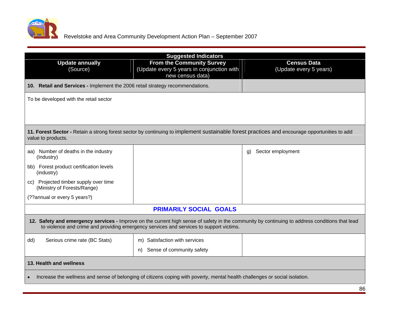

|                                                                               | <b>Suggested Indicators</b>                                                                                                 |                                                                                                                                                |
|-------------------------------------------------------------------------------|-----------------------------------------------------------------------------------------------------------------------------|------------------------------------------------------------------------------------------------------------------------------------------------|
| Update annually<br>(Source)                                                   | <b>From the Community Survey</b><br>(Update every 5 years in conjunction with<br>new census data)                           | <b>Census Data</b><br>(Update every 5 years)                                                                                                   |
| 10. Retail and Services - Implement the 2006 retail strategy recommendations. |                                                                                                                             |                                                                                                                                                |
| To be developed with the retail sector                                        |                                                                                                                             |                                                                                                                                                |
|                                                                               |                                                                                                                             |                                                                                                                                                |
| value to products.                                                            |                                                                                                                             | 11. Forest Sector - Retain a strong forest sector by continuing to implement sustainable forest practices and encourage opportunities to add   |
| aa) Number of deaths in the industry<br>(Industry)                            |                                                                                                                             | g) Sector employment                                                                                                                           |
| bb) Forest product certification levels<br>(industry)                         |                                                                                                                             |                                                                                                                                                |
| cc) Projected timber supply over time<br>(Ministry of Forests/Range)          |                                                                                                                             |                                                                                                                                                |
| (??annual or every 5 years?)                                                  |                                                                                                                             |                                                                                                                                                |
|                                                                               | <b>PRIMARILY SOCIAL GOALS</b>                                                                                               |                                                                                                                                                |
|                                                                               | to violence and crime and providing emergency services and services to support victims.                                     | 12. Safety and emergency services - Improve on the current high sense of safety in the community by continuing to address conditions that lead |
| Serious crime rate (BC Stats)<br>dd)                                          | m) Satisfaction with services                                                                                               |                                                                                                                                                |
|                                                                               | n) Sense of community safety                                                                                                |                                                                                                                                                |
| 13. Health and wellness                                                       |                                                                                                                             |                                                                                                                                                |
|                                                                               | Increase the wellness and sense of belonging of citizens coping with poverty, mental health challenges or social isolation. |                                                                                                                                                |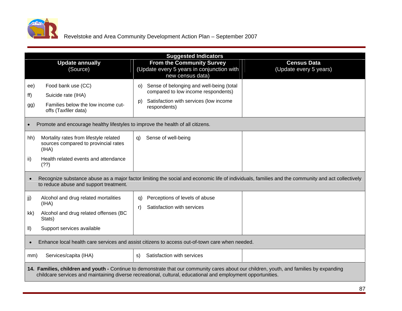

|                                                                                                                                       | <b>Suggested Indicators</b>                                                                                                                                                                                                                              |                                              |
|---------------------------------------------------------------------------------------------------------------------------------------|----------------------------------------------------------------------------------------------------------------------------------------------------------------------------------------------------------------------------------------------------------|----------------------------------------------|
| <b>Update annually</b><br>(Source)                                                                                                    | From the Community Survey<br>(Update every 5 years in conjunction with $\vert$<br>new census data)                                                                                                                                                       | <b>Census Data</b><br>(Update every 5 years) |
| Food bank use (CC)<br>ee)<br>Suicide rate (IHA)<br>f(f)<br>Families below the low income cut-<br>gg)<br>offs (Taxfiler data)          | o) Sense of belonging and well-being (total<br>compared to low income respondents)<br>p) Satisfaction with services (low income<br>respondents)                                                                                                          |                                              |
| Promote and encourage healthy lifestyles to improve the health of all citizens.                                                       |                                                                                                                                                                                                                                                          |                                              |
| Mortality rates from lifestyle related<br>hh)<br>sources compared to provincial rates<br>(HHA)                                        | q) Sense of well-being                                                                                                                                                                                                                                   |                                              |
| Health related events and attendance<br>(?)                                                                                           |                                                                                                                                                                                                                                                          |                                              |
| to reduce abuse and support treatment.                                                                                                | Recognize substance abuse as a major factor limiting the social and economic life of individuals, families and the community and act collectively                                                                                                        |                                              |
| Alcohol and drug related mortalities<br>(IHA)<br>Alcohol and drug related offenses (BC<br>kk)<br>Stats)<br>Support services available | q) Perceptions of levels of abuse<br>r) Satisfaction with services                                                                                                                                                                                       |                                              |
|                                                                                                                                       | Enhance local health care services and assist citizens to access out-of-town care when needed.                                                                                                                                                           |                                              |
| Services/capita (IHA)<br>mm)                                                                                                          | s) Satisfaction with services                                                                                                                                                                                                                            |                                              |
|                                                                                                                                       | 14. Families, children and youth - Continue to demonstrate that our community cares about our children, youth, and families by expanding<br>childcare services and maintaining diverse recreational, cultural, educational and employment opportunities. |                                              |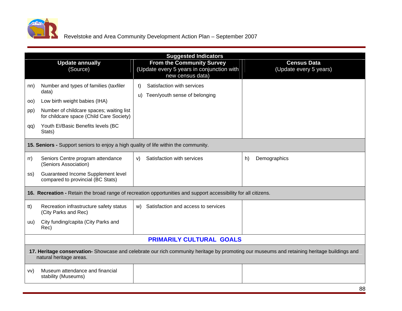

|                                                                                                                                     | <b>Suggested Indicators</b>                                                                         |                                                                                                                                             |
|-------------------------------------------------------------------------------------------------------------------------------------|-----------------------------------------------------------------------------------------------------|---------------------------------------------------------------------------------------------------------------------------------------------|
| <b>Update annually</b><br>(Source)                                                                                                  | <b>From the Community Survey</b><br>(Update every 5 years in conjunction with  <br>new census data) | <b>Census Data</b><br>(Update every 5 years)                                                                                                |
| Number and types of families (taxfiler<br>nn)<br>data)                                                                              | t) Satisfaction with services<br>u) Teen/youth sense of belonging                                   |                                                                                                                                             |
| Low birth weight babies (IHA)<br>00)<br>Number of childcare spaces; waiting list<br>pp)<br>for childcare space (Child Care Society) |                                                                                                     |                                                                                                                                             |
| Youth El/Basic Benefits levels (BC<br>qq)<br>Stats)                                                                                 |                                                                                                     |                                                                                                                                             |
| 15. Seniors - Support seniors to enjoy a high quality of life within the community.                                                 |                                                                                                     |                                                                                                                                             |
| Seniors Centre program attendance<br>rr)<br>(Seniors Association)                                                                   | v) Satisfaction with services                                                                       | h) Demographics                                                                                                                             |
| <b>Guaranteed Income Supplement level</b><br>ss)<br>compared to provincial (BC Stats)                                               |                                                                                                     |                                                                                                                                             |
| 16. Recreation - Retain the broad range of recreation opportunities and support accessibility for all citizens.                     |                                                                                                     |                                                                                                                                             |
| Recreation infrastructure safety status<br>tt)<br>(City Parks and Rec)                                                              | w) Satisfaction and access to services                                                              |                                                                                                                                             |
| City funding/capita (City Parks and<br>uu)<br>Rec)                                                                                  |                                                                                                     |                                                                                                                                             |
|                                                                                                                                     | <b>PRIMARILY CULTURAL GOALS</b>                                                                     |                                                                                                                                             |
| natural heritage areas.                                                                                                             |                                                                                                     | 17. Heritage conservation- Showcase and celebrate our rich community heritage by promoting our museums and retaining heritage buildings and |
| Museum attendance and financial<br>VV)<br>stability (Museums)                                                                       |                                                                                                     |                                                                                                                                             |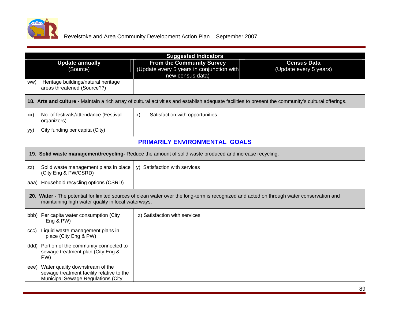

|                                                                                                                                | <b>Suggested Indicators</b>                                                                                                                          |                        |
|--------------------------------------------------------------------------------------------------------------------------------|------------------------------------------------------------------------------------------------------------------------------------------------------|------------------------|
| <b>Update annually</b>                                                                                                         | <b>From the Community Survey</b>                                                                                                                     | <b>Census Data</b>     |
| (Source)                                                                                                                       | (Update every 5 years in conjunction with $ $<br>new census data)                                                                                    | (Update every 5 years) |
| ww) Heritage buildings/natural heritage<br>areas threatened (Source??)                                                         |                                                                                                                                                      |                        |
|                                                                                                                                | 18. Arts and culture - Maintain a rich array of cultural activities and establish adequate facilities to present the community's cultural offerings. |                        |
| xx) No. of festivals/attendance (Festival<br>organizers)                                                                       | Satisfaction with opportunities                                                                                                                      |                        |
| City funding per capita (City)<br>yy)                                                                                          |                                                                                                                                                      |                        |
|                                                                                                                                | PRIMARILY ENVIRONMENTAL GOALS                                                                                                                        |                        |
|                                                                                                                                | 19. Solid waste management/recycling- Reduce the amount of solid waste produced and increase recycling.                                              |                        |
| $\mathsf{z}$ zz) Solid waste management plans in place $\mathsf{y}$ ) Satisfaction with services<br>(City Eng & PW/CSRD)       |                                                                                                                                                      |                        |
| aaa) Household recycling options (CSRD)                                                                                        |                                                                                                                                                      |                        |
| maintaining high water quality in local waterways.                                                                             | 20. Water - The potential for limited sources of clean water over the long-term is recognized and acted on through water conservation and            |                        |
| bbb) Per capita water consumption (City<br>Eng & PW)                                                                           | z) Satisfaction with services                                                                                                                        |                        |
| ccc) Liquid waste management plans in<br>place (City Eng & PW)                                                                 |                                                                                                                                                      |                        |
| ddd) Portion of the community connected to<br>sewage treatment plan (City Eng &<br>PW)                                         |                                                                                                                                                      |                        |
| eee) Water quality downstream of the<br>sewage treatment facility relative to the<br><b>Municipal Sewage Regulations (City</b> |                                                                                                                                                      |                        |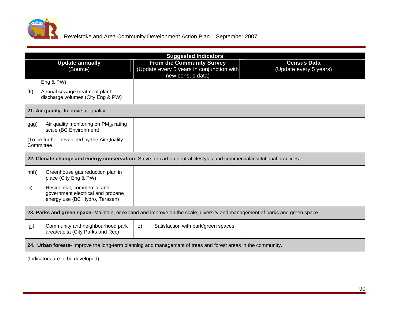

|                                                                                          | <b>Suggested Indicators</b>                                                                                                 |                        |
|------------------------------------------------------------------------------------------|-----------------------------------------------------------------------------------------------------------------------------|------------------------|
| <b>Update annually</b>                                                                   | <b>From the Community Survey</b>                                                                                            | <b>Census Data</b>     |
| (Source)                                                                                 | (Update every 5 years in conjunction with  <br>new census data)                                                             | (Update every 5 years) |
| Eng & PW)                                                                                |                                                                                                                             |                        |
| Annual sewage treatment plant<br>fff)                                                    |                                                                                                                             |                        |
| discharge volumes (City Eng & PW)                                                        |                                                                                                                             |                        |
| 21. Air quality- Improve air quality.                                                    |                                                                                                                             |                        |
|                                                                                          |                                                                                                                             |                        |
| $\vert$ ggg) Air quality monitoring on PM <sub>10</sub> rating<br>scale (BC Environment) |                                                                                                                             |                        |
| To be further developed by the Air Quality<br>Committee                                  |                                                                                                                             |                        |
|                                                                                          |                                                                                                                             |                        |
|                                                                                          | 22. Climate change and energy conservation- Strive for carbon neutral lifestyles and commercial/institutional practices.    |                        |
| Greenhouse gas reduction plan in<br>hhh)<br>place (City Eng & PW)                        |                                                                                                                             |                        |
| Residential, commercial and<br>$\vert$ iii)<br>government electrical and propane         |                                                                                                                             |                        |
| energy use (BC Hydro, Terasen)                                                           |                                                                                                                             |                        |
|                                                                                          | 23. Parks and green space- Maintain, or expand and improve on the scale, diversity and management of parks and green space. |                        |
| Community and neighbourhood park<br>iii)<br>area/capita (City Parks and Rec)             | Satisfaction with park/green spaces<br>$\mathsf{z})$                                                                        |                        |
|                                                                                          | 24. Urban forests- Improve the long-term planning and management of trees and forest areas in the community.                |                        |
|                                                                                          |                                                                                                                             |                        |
| (Indicators are to be developed)                                                         |                                                                                                                             |                        |
|                                                                                          |                                                                                                                             |                        |
|                                                                                          |                                                                                                                             |                        |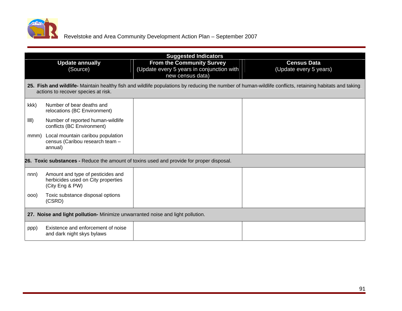

|                                                                                                    | <b>Suggested Indicators</b>                                                                                                                             |                                              |
|----------------------------------------------------------------------------------------------------|---------------------------------------------------------------------------------------------------------------------------------------------------------|----------------------------------------------|
| <b>Update annually</b><br>(Source)                                                                 | <b>From the Community Survey</b><br>(Update every 5 years in conjunction with  <br>new census data)                                                     | <b>Census Data</b><br>(Update every 5 years) |
| actions to recover species at risk.                                                                | 25. Fish and wildlife- Maintain healthy fish and wildlife populations by reducing the number of human-wildlife conflicts, retaining habitats and taking |                                              |
| kkk)<br>Number of bear deaths and<br>relocations (BC Environment)                                  |                                                                                                                                                         |                                              |
| Number of reported human-wildlife<br>$\parallel$ IIII)<br>conflicts (BC Environment)               |                                                                                                                                                         |                                              |
| mmm) Local mountain caribou population<br>census (Caribou research team -<br>annual)               |                                                                                                                                                         |                                              |
| 26. Toxic substances - Reduce the amount of toxins used and provide for proper disposal.           |                                                                                                                                                         |                                              |
| Amount and type of pesticides and<br>herbicides used on City properties<br>nnn)<br>(City Eng & PW) |                                                                                                                                                         |                                              |
| Toxic substance disposal options<br>000)<br>(CSRD)                                                 |                                                                                                                                                         |                                              |
| 27. Noise and light pollution- Minimize unwarranted noise and light pollution.                     |                                                                                                                                                         |                                              |
| Existence and enforcement of noise<br>ppp)<br>and dark night skys bylaws                           |                                                                                                                                                         |                                              |